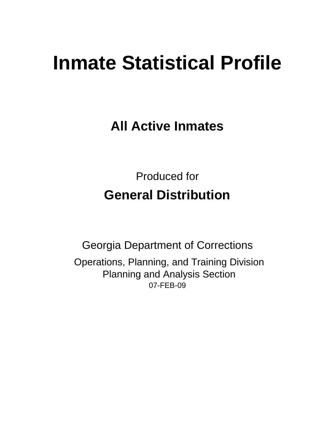# **Inmate Statistical Profile**

**All Active Inmates**

Produced for **General Distribution**

07-FEB-09 Georgia Department of Corrections Operations, Planning, and Training Division Planning and Analysis Section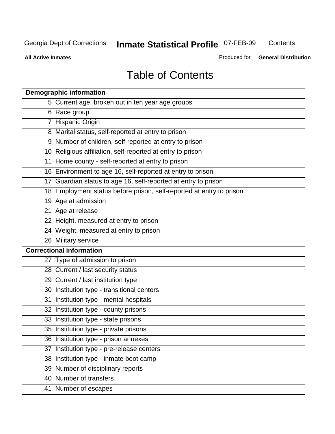**Contents** 

**All Active Inmates**

Produced for **General Distribution**

# Table of Contents

|    | <b>Demographic information</b>                                       |
|----|----------------------------------------------------------------------|
|    | 5 Current age, broken out in ten year age groups                     |
|    | 6 Race group                                                         |
|    | 7 Hispanic Origin                                                    |
|    | 8 Marital status, self-reported at entry to prison                   |
|    | 9 Number of children, self-reported at entry to prison               |
|    | 10 Religious affiliation, self-reported at entry to prison           |
|    | 11 Home county - self-reported at entry to prison                    |
|    | 16 Environment to age 16, self-reported at entry to prison           |
|    | 17 Guardian status to age 16, self-reported at entry to prison       |
|    | 18 Employment status before prison, self-reported at entry to prison |
|    | 19 Age at admission                                                  |
|    | 21 Age at release                                                    |
|    | 22 Height, measured at entry to prison                               |
|    | 24 Weight, measured at entry to prison                               |
|    | 26 Military service                                                  |
|    | <b>Correctional information</b>                                      |
|    | 27 Type of admission to prison                                       |
|    | 28 Current / last security status                                    |
|    | 29 Current / last institution type                                   |
|    | 30 Institution type - transitional centers                           |
|    | 31 Institution type - mental hospitals                               |
|    | 32 Institution type - county prisons                                 |
|    | 33 Institution type - state prisons                                  |
|    | 35 Institution type - private prisons                                |
|    | 36 Institution type - prison annexes                                 |
| 37 | Institution type - pre-release centers                               |
|    | 38 Institution type - inmate boot camp                               |
|    | 39 Number of disciplinary reports                                    |
|    | 40 Number of transfers                                               |
|    | 41 Number of escapes                                                 |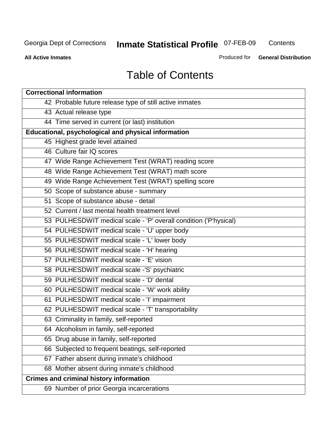**Contents** 

**All Active Inmates**

Produced for **General Distribution**

# Table of Contents

| <b>Correctional information</b>                                  |
|------------------------------------------------------------------|
| 42 Probable future release type of still active inmates          |
| 43 Actual release type                                           |
| 44 Time served in current (or last) institution                  |
| Educational, psychological and physical information              |
| 45 Highest grade level attained                                  |
| 46 Culture fair IQ scores                                        |
| 47 Wide Range Achievement Test (WRAT) reading score              |
| 48 Wide Range Achievement Test (WRAT) math score                 |
| 49 Wide Range Achievement Test (WRAT) spelling score             |
| 50 Scope of substance abuse - summary                            |
| 51 Scope of substance abuse - detail                             |
| 52 Current / last mental health treatment level                  |
| 53 PULHESDWIT medical scale - 'P' overall condition ('P'hysical) |
| 54 PULHESDWIT medical scale - 'U' upper body                     |
| 55 PULHESDWIT medical scale - 'L' lower body                     |
| 56 PULHESDWIT medical scale - 'H' hearing                        |
| 57 PULHESDWIT medical scale - 'E' vision                         |
| 58 PULHESDWIT medical scale -'S' psychiatric                     |
| 59 PULHESDWIT medical scale - 'D' dental                         |
| 60 PULHESDWIT medical scale - 'W' work ability                   |
| 61 PULHESDWIT medical scale - 'I' impairment                     |
| 62 PULHESDWIT medical scale - 'T' transportability               |
| 63 Criminality in family, self-reported                          |
| 64 Alcoholism in family, self-reported                           |
| 65 Drug abuse in family, self-reported                           |
| 66 Subjected to frequent beatings, self-reported                 |
| 67 Father absent during inmate's childhood                       |
| 68 Mother absent during inmate's childhood                       |
| <b>Crimes and criminal history information</b>                   |
| 69 Number of prior Georgia incarcerations                        |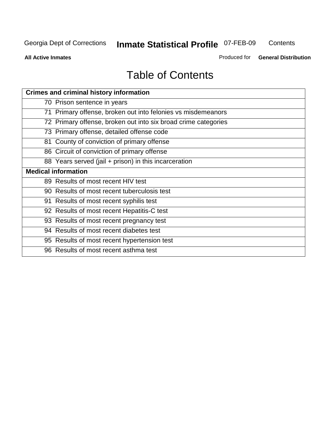**Contents** 

**All Active Inmates**

Produced for **General Distribution**

# Table of Contents

| <b>Crimes and criminal history information</b>                 |
|----------------------------------------------------------------|
| 70 Prison sentence in years                                    |
| 71 Primary offense, broken out into felonies vs misdemeanors   |
| 72 Primary offense, broken out into six broad crime categories |
| 73 Primary offense, detailed offense code                      |
| 81 County of conviction of primary offense                     |
| 86 Circuit of conviction of primary offense                    |
| 88 Years served (jail + prison) in this incarceration          |
| <b>Medical information</b>                                     |
| 89 Results of most recent HIV test                             |
| 90 Results of most recent tuberculosis test                    |
| 91 Results of most recent syphilis test                        |
| 92 Results of most recent Hepatitis-C test                     |
| 93 Results of most recent pregnancy test                       |
| 94 Results of most recent diabetes test                        |
| 95 Results of most recent hypertension test                    |
| 96 Results of most recent asthma test                          |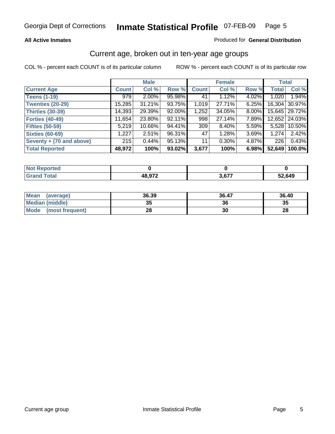#### **All Active Inmates**

#### Produced for **General Distribution**

#### Current age, broken out in ten-year age groups

|                          |              | <b>Male</b> |        |              | <b>Female</b> |          | <b>Total</b> |                 |
|--------------------------|--------------|-------------|--------|--------------|---------------|----------|--------------|-----------------|
| <b>Current Age</b>       | <b>Count</b> | Col %       | Row %  | <b>Count</b> | Col %         | Row %    | <b>Total</b> | Col %           |
| <b>Teens (1-19)</b>      | 979          | $2.00\%$    | 95.98% | 41           | 1.12%         | 4.02%    | 1,020        | 1.94%           |
| <b>Twenties (20-29)</b>  | 15,285       | 31.21%      | 93.75% | 1,019        | 27.71%        | 6.25%    | 16,304       | 30.97%          |
| <b>Thirties (30-39)</b>  | 14,393       | 29.39%      | 92.00% | 1,252        | 34.05%        | $8.00\%$ |              | 15,645   29.72% |
| <b>Forties (40-49)</b>   | 11,654       | 23.80%      | 92.11% | 998          | 27.14%        | 7.89%    | 12,652       | 24.03%          |
| <b>Fifties (50-59)</b>   | 5,219        | $10.66\%$   | 94.41% | 309          | $8.40\%$      | $5.59\%$ | 5,528        | 10.50%          |
| <b>Sixties (60-69)</b>   | 1,227        | 2.51%       | 96.31% | 47           | 1.28%         | 3.69%    | 1,274        | 2.42%           |
| Seventy + (70 and above) | 215          | 0.44%       | 95.13% | 11           | $0.30\%$      | 4.87%    | 226          | 0.43%           |
| <b>Total Reported</b>    | 48,972       | 100%        | 93.02% | 3,677        | 100%          | 6.98%    | 52,649       | 100.0%          |

| rtea<br>NOT<br>. |               |              |        |
|------------------|---------------|--------------|--------|
|                  | <b>AR 072</b> | <b>2 C77</b> | 52,649 |

| <b>Mean</b><br>(average) | 36.39 | 36.47 | 36.40 |
|--------------------------|-------|-------|-------|
| Median (middle)          | 35    | 36    | 35    |
| Mode<br>(most frequent)  | 28    | 30    | 28    |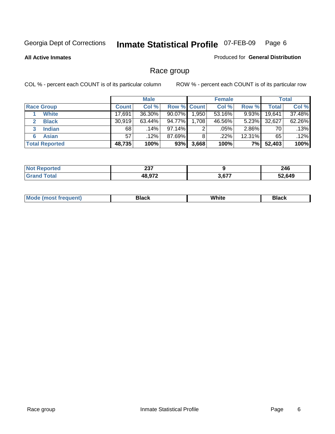**All Active Inmates**

#### Produced for **General Distribution**

### Race group

|                       |              | <b>Male</b> |                    |       | <b>Female</b> |          |        | <b>Total</b> |
|-----------------------|--------------|-------------|--------------------|-------|---------------|----------|--------|--------------|
| <b>Race Group</b>     | <b>Count</b> | Col %       | <b>Row % Count</b> |       | Col %         | Row %    | Total  | Col %        |
| <b>White</b>          | 17,691       | 36.30%      | 90.07%             | .950  | $53.16\%$     | 9.93%    | 19,641 | 37.48%       |
| <b>Black</b>          | 30,919       | 63.44%      | 94.77%             | .708  | 46.56%        | $5.23\%$ | 32,627 | 62.26%       |
| <b>Indian</b>         | 68           | .14%        | 97.14%             | 2     | .05%          | 2.86%    | 70     | .13%         |
| <b>Asian</b><br>6     | 57           | .12%        | 87.69%             | 8     | .22%          | 12.31%   | 65     | .12%         |
| <b>Total Reported</b> | 48,735       | 100%        | 93%                | 3,668 | 100%          | 7%       | 52,403 | 100%         |

| reo   | <b>007</b><br>201 |               | 246    |
|-------|-------------------|---------------|--------|
| ັດfa⊫ | 48,972            | רדם מ<br>ა.o/ | 52,649 |

| $\cdots$ |  | M | . | <b>Whit</b> | Piach |
|----------|--|---|---|-------------|-------|
|----------|--|---|---|-------------|-------|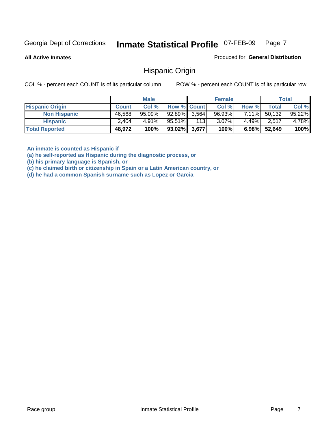**All Active Inmates**

Produced for **General Distribution**

#### Hispanic Origin

COL % - percent each COUNT is of its particular column ROW % - percent each COUNT is of its particular row

|                        |              | <b>Male</b> |                    |     | <b>Female</b> |          |        | <b>Total</b> |
|------------------------|--------------|-------------|--------------------|-----|---------------|----------|--------|--------------|
| <b>Hispanic Origin</b> | <b>Count</b> | Col %       | <b>Row % Count</b> |     | Col %         | Row %    | Total  | Col %        |
| <b>Non Hispanic</b>    | 46,568       | $95.09\%$   | $92.89\%$ 3,564    |     | $96.93\%$     | $7.11\%$ | 50,132 | 95.22%       |
| <b>Hispanic</b>        | 2,404        | $4.91\%$    | 95.51%             | 113 | $3.07\%$      | $4.49\%$ | 2,517  | 4.78%        |
| <b>Total Reported</b>  | 48,972       | 100%        | $93.02\%$ 3,677    |     | 100%          | $6.98\%$ | 52,649 | 100%         |

**An inmate is counted as Hispanic if** 

**(a) he self-reported as Hispanic during the diagnostic process, or** 

**(b) his primary language is Spanish, or** 

**(c) he claimed birth or citizenship in Spain or a Latin American country, or** 

**(d) he had a common Spanish surname such as Lopez or Garcia**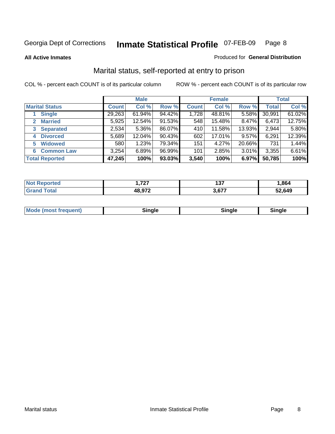**All Active Inmates**

#### Produced for **General Distribution**

### Marital status, self-reported at entry to prison

|                                  |              | <b>Male</b> |        |              | <b>Female</b> |          |              | <b>Total</b> |
|----------------------------------|--------------|-------------|--------|--------------|---------------|----------|--------------|--------------|
| <b>Marital Status</b>            | <b>Count</b> | Col %       | Row %  | <b>Count</b> | Col %         | Row %    | <b>Total</b> | Col %        |
| <b>Single</b>                    | 29,263       | $61.94\%$   | 94.42% | 1,728        | 48.81%        | $5.58\%$ | 30,991       | 61.02%       |
| <b>Married</b><br>$\mathbf{2}^-$ | 5,925        | 12.54%      | 91.53% | 548          | 15.48%        | 8.47%    | 6,473        | 12.75%       |
| <b>Separated</b><br>3            | 2,534        | $5.36\%$    | 86.07% | 410          | 11.58%        | 13.93%   | 2,944        | 5.80%        |
| <b>Divorced</b><br>4             | 5,689        | 12.04%      | 90.43% | 602          | 17.01%        | 9.57%    | 6,291        | 12.39%       |
| <b>Widowed</b><br>5              | 580          | 1.23%       | 79.34% | 151          | 4.27%         | 20.66%   | 731          | 1.44%        |
| <b>Common Law</b><br>6.          | 3,254        | 6.89%       | 96.99% | 101          | 2.85%         | 3.01%    | 3,355        | 6.61%        |
| <b>Total Reported</b>            | 47,245       | 100%        | 93.03% | 3,540        | 100%          | 6.97%    | 50,785       | 100%         |

| フヘフ<br>. | ---<br>1 J I | .864   |
|----------|--------------|--------|
| רמ סו    | .27          | 52.649 |

|  | Mode (most f<br>freauent) | `ınale |  | `inale |
|--|---------------------------|--------|--|--------|
|--|---------------------------|--------|--|--------|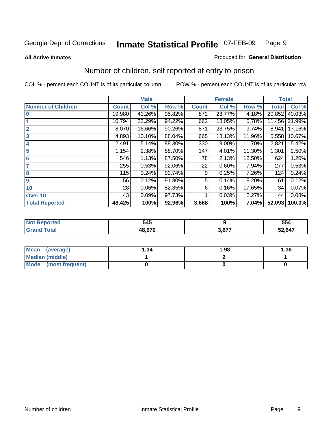**All Active Inmates**

#### Produced for **General Distribution**

### Number of children, self reported at entry to prison

|                           |              | <b>Male</b> |        |              | <b>Female</b> |        | <b>Total</b> |        |
|---------------------------|--------------|-------------|--------|--------------|---------------|--------|--------------|--------|
| <b>Number of Children</b> | <b>Count</b> | Col %       | Row %  | <b>Count</b> | Col %         | Row %  | <b>Total</b> | Col %  |
| $\bf{0}$                  | 19,980       | 41.26%      | 95.82% | 872          | 23.77%        | 4.18%  | 20,852       | 40.03% |
|                           | 10,794       | 22.29%      | 94.22% | 662          | 18.05%        | 5.78%  | 11,456       | 21.99% |
| $\overline{2}$            | 8,070        | 16.66%      | 90.26% | 871          | 23.75%        | 9.74%  | 8,941        | 17.16% |
| 3                         | 4,893        | 10.10%      | 88.04% | 665          | 18.13%        | 11.96% | 5,558        | 10.67% |
| 4                         | 2,491        | 5.14%       | 88.30% | 330          | 9.00%         | 11.70% | 2,821        | 5.42%  |
| 5                         | 1,154        | 2.38%       | 88.70% | 147          | 4.01%         | 11.30% | 1,301        | 2.50%  |
| $6\phantom{a}$            | 546          | 1.13%       | 87.50% | 78           | 2.13%         | 12.50% | 624          | 1.20%  |
| 7                         | 255          | 0.53%       | 92.06% | 22           | 0.60%         | 7.94%  | 277          | 0.53%  |
| 8                         | 115          | 0.24%       | 92.74% | 9            | 0.25%         | 7.26%  | 124          | 0.24%  |
| 9                         | 56           | 0.12%       | 91.80% | 5            | 0.14%         | 8.20%  | 61           | 0.12%  |
| 10                        | 28           | 0.06%       | 82.35% | 6            | 0.16%         | 17.65% | 34           | 0.07%  |
| Over 10                   | 43           | 0.09%       | 97.73% |              | 0.03%         | 2.27%  | 44           | 0.08%  |
| <b>Total Reported</b>     | 48,425       | 100%        | 92.96% | 3,668        | 100%          | 7.04%  | 52,093       | 100.0% |

| . | 545    |        | 554    |
|---|--------|--------|--------|
|   | הדה הו | $\sim$ | 52,647 |

| <b>Mean</b><br>(average) | ∣.34 | 1.98 | .38 |
|--------------------------|------|------|-----|
| <b>Median (middle)</b>   |      |      |     |
| Mode<br>(most frequent)  |      |      |     |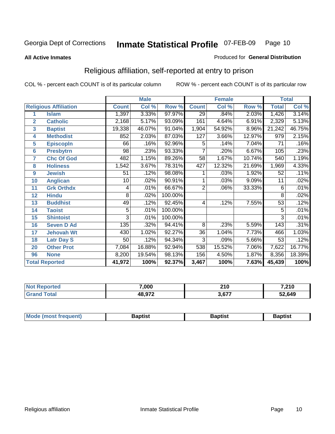#### **All Active Inmates**

#### Produced for **General Distribution**

### Religious affiliation, self-reported at entry to prison

|                  |                              |              | <b>Male</b>               |         | <b>Female</b>    |        |        | <b>Total</b>    |        |
|------------------|------------------------------|--------------|---------------------------|---------|------------------|--------|--------|-----------------|--------|
|                  | <b>Religious Affiliation</b> | <b>Count</b> | $\overline{\text{Col}}$ % | Row %   | <b>Count</b>     | Col %  | Row %  | <b>Total</b>    | Col %  |
| 1                | <b>Islam</b>                 | 1,397        | 3.33%                     | 97.97%  | $\overline{29}$  | .84%   | 2.03%  | 1,426           | 3.14%  |
| $\overline{2}$   | <b>Catholic</b>              | 2,168        | 5.17%                     | 93.09%  | 161              | 4.64%  | 6.91%  | 2,329           | 5.13%  |
| 3                | <b>Baptist</b>               | 19,338       | 46.07%                    | 91.04%  | 1,904            | 54.92% | 8.96%  | 21,242          | 46.75% |
| 4                | <b>Methodist</b>             | 852          | 2.03%                     | 87.03%  | 127              | 3.66%  | 12.97% | 979             | 2.15%  |
| 5                | <b>EpiscopIn</b>             | 66           | .16%                      | 92.96%  | $\overline{5}$   | .14%   | 7.04%  | $\overline{71}$ | .16%   |
| 6                | <b>Presbytrn</b>             | 98           | .23%                      | 93.33%  | 7                | .20%   | 6.67%  | 105             | .23%   |
| 7                | <b>Chc Of God</b>            | 482          | 1.15%                     | 89.26%  | 58               | 1.67%  | 10.74% | 540             | 1.19%  |
| 8                | <b>Holiness</b>              | 1,542        | 3.67%                     | 78.31%  | $\overline{427}$ | 12.32% | 21.69% | 1,969           | 4.33%  |
| $\boldsymbol{9}$ | <b>Jewish</b>                | 51           | .12%                      | 98.08%  | 1                | .03%   | 1.92%  | 52              | .11%   |
| 10               | <b>Anglican</b>              | 10           | .02%                      | 90.91%  |                  | .03%   | 9.09%  | 11              | .02%   |
| 11               | <b>Grk Orthdx</b>            | 4            | .01%                      | 66.67%  | $\overline{2}$   | .06%   | 33.33% | 6               | .01%   |
| 12               | <b>Hindu</b>                 | 8            | .02%                      | 100.00% |                  |        |        | 8               | .02%   |
| 13               | <b>Buddhist</b>              | 49           | .12%                      | 92.45%  | 4                | .12%   | 7.55%  | $\overline{53}$ | .12%   |
| 14               | <b>Taoist</b>                | 5            | .01%                      | 100.00% |                  |        |        | 5               | .01%   |
| 15               | <b>Shintoist</b>             | 3            | .01%                      | 100.00% |                  |        |        | 3               | .01%   |
| 16               | <b>Seven D Ad</b>            | 135          | .32%                      | 94.41%  | 8                | .23%   | 5.59%  | 143             | .31%   |
| 17               | <b>Jehovah Wt</b>            | 430          | 1.02%                     | 92.27%  | 36               | 1.04%  | 7.73%  | 466             | 1.03%  |
| 18               | <b>Latr Day S</b>            | 50           | .12%                      | 94.34%  | $\overline{3}$   | .09%   | 5.66%  | 53              | .12%   |
| 20               | <b>Other Prot</b>            | 7,084        | 16.88%                    | 92.94%  | 538              | 15.52% | 7.06%  | 7,622           | 16.77% |
| 96               | <b>None</b>                  | 8,200        | 19.54%                    | 98.13%  | 156              | 4.50%  | 1.87%  | 8,356           | 18.39% |
|                  | <b>Total Reported</b>        | 41,972       | 100%                      | 92.37%  | 3,467            | 100%   | 7.63%  | 45,439          | 100%   |

| nacero | 7,000  | <b>040</b><br>2 I V<br>__ | <b>7.210</b><br>טו ∡, י |  |
|--------|--------|---------------------------|-------------------------|--|
|        | 48,972 | 3,677                     | 52,649                  |  |

| <b>Mode</b><br>frequent)<br>umost | 3aptist | 3aptist | <b>Baptist</b> |
|-----------------------------------|---------|---------|----------------|
|                                   |         |         |                |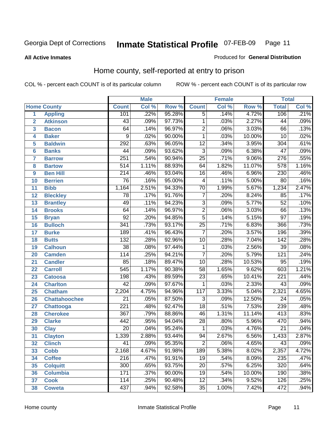**All Active Inmates**

#### Produced for **General Distribution**

### Home county, self-reported at entry to prison

|                 |                      |                  | <b>Male</b> |        |                         | <b>Female</b> |        | <b>Total</b>     |         |  |
|-----------------|----------------------|------------------|-------------|--------|-------------------------|---------------|--------|------------------|---------|--|
|                 | <b>Home County</b>   | <b>Count</b>     | Col %       | Row %  | <b>Count</b>            | Col %         | Row %  | <b>Total</b>     | Col %   |  |
| 1               | <b>Appling</b>       | 101              | .22%        | 95.28% | $\overline{5}$          | .14%          | 4.72%  | 106              | .21%    |  |
| $\overline{2}$  | <b>Atkinson</b>      | 43               | .09%        | 97.73% | $\mathbf 1$             | .03%          | 2.27%  | 44               | .09%    |  |
| 3               | <b>Bacon</b>         | 64               | .14%        | 96.97% | $\overline{2}$          | .06%          | 3.03%  | 66               | .13%    |  |
| 4               | <b>Baker</b>         | 9                | .02%        | 90.00% | $\mathbf 1$             | .03%          | 10.00% | 10               | .02%    |  |
| 5               | <b>Baldwin</b>       | 292              | .63%        | 96.05% | $\overline{12}$         | .34%          | 3.95%  | 304              | .61%    |  |
| $6\phantom{1}6$ | <b>Banks</b>         | 44               | .09%        | 93.62% | $\overline{3}$          | .09%          | 6.38%  | $\overline{47}$  | .09%    |  |
| $\overline{7}$  | <b>Barrow</b>        | 251              | .54%        | 90.94% | $\overline{25}$         | .71%          | 9.06%  | 276              | .55%    |  |
| 8               | <b>Bartow</b>        | $\overline{514}$ | 1.11%       | 88.93% | 64                      | 1.82%         | 11.07% | $\overline{578}$ | 1.16%   |  |
| 9               | <b>Ben Hill</b>      | $\overline{214}$ | .46%        | 93.04% | $\overline{16}$         | .46%          | 6.96%  | 230              | .46%    |  |
| 10              | <b>Berrien</b>       | $\overline{76}$  | .16%        | 95.00% | $\overline{\mathbf{4}}$ | .11%          | 5.00%  | $\overline{80}$  | .16%    |  |
| 11              | <b>Bibb</b>          | 1,164            | 2.51%       | 94.33% | $\overline{70}$         | 1.99%         | 5.67%  | 1,234            | 2.47%   |  |
| 12              | <b>Bleckley</b>      | 78               | .17%        | 91.76% | $\overline{7}$          | .20%          | 8.24%  | 85               | .17%    |  |
| 13              | <b>Brantley</b>      | 49               | .11%        | 94.23% | $\overline{3}$          | .09%          | 5.77%  | $\overline{52}$  | .10%    |  |
| 14              | <b>Brooks</b>        | 64               | .14%        | 96.97% | $\overline{2}$          | .06%          | 3.03%  | 66               | .13%    |  |
| 15              | <b>Bryan</b>         | $\overline{92}$  | .20%        | 94.85% | $\overline{5}$          | .14%          | 5.15%  | $\overline{97}$  | .19%    |  |
| 16              | <b>Bulloch</b>       | $\overline{341}$ | .73%        | 93.17% | $\overline{25}$         | .71%          | 6.83%  | 366              | .73%    |  |
| 17              | <b>Burke</b>         | 189              | .41%        | 96.43% | $\overline{7}$          | .20%          | 3.57%  | 196              | .39%    |  |
| 18              | <b>Butts</b>         | $\overline{132}$ | .28%        | 92.96% | 10                      | .28%          | 7.04%  | $\overline{142}$ | .28%    |  |
| 19              | <b>Calhoun</b>       | $\overline{38}$  | .08%        | 97.44% | $\mathbf{1}$            | .03%          | 2.56%  | $\overline{39}$  | .08%    |  |
| 20              | <b>Camden</b>        | 114              | .25%        | 94.21% | $\overline{7}$          | .20%          | 5.79%  | 121              | .24%    |  |
| 21              | <b>Candler</b>       | $\overline{85}$  | .18%        | 89.47% | $\overline{10}$         | .28%          | 10.53% | $\overline{95}$  | .19%    |  |
| 22              | <b>Carroll</b>       | 545              | 1.17%       | 90.38% | $\overline{58}$         | 1.65%         | 9.62%  | 603              | 1.21%   |  |
| 23              | <b>Catoosa</b>       | 198              | .43%        | 89.59% | $\overline{23}$         | .65%          | 10.41% | $\overline{221}$ | .44%    |  |
| 24              | <b>Charlton</b>      | $\overline{42}$  | .09%        | 97.67% | 1                       | .03%          | 2.33%  | $\overline{43}$  | .09%    |  |
| 25              | <b>Chatham</b>       | 2,204            | 4.75%       | 94.96% | $\overline{117}$        | 3.33%         | 5.04%  | 2,321            | 4.65%   |  |
| 26              | <b>Chattahoochee</b> | $\overline{21}$  | .05%        | 87.50% | 3                       | .09%          | 12.50% | 24               | .05%    |  |
| 27              | <b>Chattooga</b>     | $\overline{221}$ | .48%        | 92.47% | $\overline{18}$         | .51%          | 7.53%  | 239              | .48%    |  |
| 28              | <b>Cherokee</b>      | $\overline{367}$ | .79%        | 88.86% | 46                      | 1.31%         | 11.14% | $\overline{413}$ | .83%    |  |
| 29              | <b>Clarke</b>        | 442              | .95%        | 94.04% | $\overline{28}$         | .80%          | 5.96%  | 470              | .94%    |  |
| 30              | <b>Clay</b>          | $\overline{20}$  | .04%        | 95.24% | $\mathbf 1$             | .03%          | 4.76%  | $\overline{21}$  | .04%    |  |
| $\overline{31}$ | <b>Clayton</b>       | 1,339            | 2.88%       | 93.44% | 94                      | 2.67%         | 6.56%  | 1,433            | 2.87%   |  |
| 32              | <b>Clinch</b>        | 41               | .09%        | 95.35% | 2                       | .06%          | 4.65%  | 43               | $.09\%$ |  |
| 33              | <b>Cobb</b>          | 2,168            | 4.67%       | 91.98% | 189                     | 5.38%         | 8.02%  | 2,357            | 4.72%   |  |
| 34              | <b>Coffee</b>        | 216              | .47%        | 91.91% | 19                      | .54%          | 8.09%  | 235              | .47%    |  |
| 35              | <b>Colquitt</b>      | $\overline{300}$ | .65%        | 93.75% | $\overline{20}$         | .57%          | 6.25%  | 320              | .64%    |  |
| 36              | <b>Columbia</b>      | 171              | .37%        | 90.00% | 19                      | .54%          | 10.00% | 190              | .38%    |  |
| 37              | <b>Cook</b>          | 114              | .25%        | 90.48% | $\overline{12}$         | .34%          | 9.52%  | 126              | .25%    |  |
| 38              | <b>Coweta</b>        | 437              | .94%        | 92.58% | $\overline{35}$         | 1.00%         | 7.42%  | 472              | .94%    |  |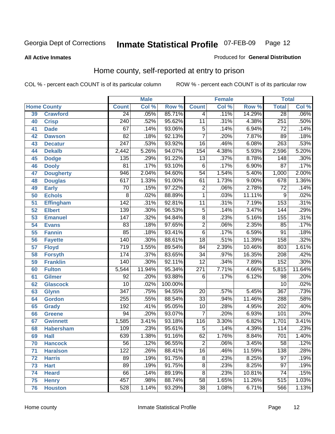**All Active Inmates**

#### Produced for **General Distribution**

### Home county, self-reported at entry to prison

|    |                    |                  | <b>Male</b> |         |                  | <b>Female</b> |        | <b>Total</b>    |        |
|----|--------------------|------------------|-------------|---------|------------------|---------------|--------|-----------------|--------|
|    | <b>Home County</b> | <b>Count</b>     | Col %       | Row %   | <b>Count</b>     | Col %         | Row %  | <b>Total</b>    | Col %  |
| 39 | <b>Crawford</b>    | $\overline{24}$  | .05%        | 85.71%  | 4                | .11%          | 14.29% | $\overline{28}$ | .06%   |
| 40 | <b>Crisp</b>       | $\overline{240}$ | .52%        | 95.62%  | $\overline{11}$  | .31%          | 4.38%  | 251             | .50%   |
| 41 | <b>Dade</b>        | 67               | .14%        | 93.06%  | $\overline{5}$   | .14%          | 6.94%  | 72              | .14%   |
| 42 | <b>Dawson</b>      | $\overline{82}$  | .18%        | 92.13%  | $\overline{7}$   | .20%          | 7.87%  | $\overline{89}$ | .18%   |
| 43 | <b>Decatur</b>     | $\overline{247}$ | .53%        | 93.92%  | $\overline{16}$  | .46%          | 6.08%  | 263             | .53%   |
| 44 | <b>Dekalb</b>      | 2,442            | 5.26%       | 94.07%  | 154              | 4.38%         | 5.93%  | 2,596           | 5.20%  |
| 45 | <b>Dodge</b>       | 135              | .29%        | 91.22%  | $\overline{13}$  | .37%          | 8.78%  | 148             | .30%   |
| 46 | <b>Dooly</b>       | $\overline{81}$  | .17%        | 93.10%  | $\overline{6}$   | .17%          | 6.90%  | $\overline{87}$ | .17%   |
| 47 | <b>Dougherty</b>   | 946              | 2.04%       | 94.60%  | $\overline{54}$  | 1.54%         | 5.40%  | 1,000           | 2.00%  |
| 48 | <b>Douglas</b>     | 617              | 1.33%       | 91.00%  | $\overline{61}$  | 1.73%         | 9.00%  | 678             | 1.36%  |
| 49 | <b>Early</b>       | 70               | .15%        | 97.22%  | $\overline{2}$   | .06%          | 2.78%  | $\overline{72}$ | .14%   |
| 50 | <b>Echols</b>      | 8                | .02%        | 88.89%  | $\overline{1}$   | .03%          | 11.11% | $\overline{9}$  | .02%   |
| 51 | <b>Effingham</b>   | 142              | .31%        | 92.81%  | $\overline{11}$  | .31%          | 7.19%  | 153             | .31%   |
| 52 | <b>Elbert</b>      | 139              | .30%        | 96.53%  | $\overline{5}$   | .14%          | 3.47%  | 144             | .29%   |
| 53 | <b>Emanuel</b>     | 147              | .32%        | 94.84%  | $\overline{8}$   | .23%          | 5.16%  | 155             | .31%   |
| 54 | <b>Evans</b>       | 83               | .18%        | 97.65%  | $\overline{2}$   | .06%          | 2.35%  | 85              | .17%   |
| 55 | <b>Fannin</b>      | 85               | .18%        | 93.41%  | $\overline{6}$   | .17%          | 6.59%  | 91              | .18%   |
| 56 | <b>Fayette</b>     | 140              | .30%        | 88.61%  | $\overline{18}$  | .51%          | 11.39% | 158             | .32%   |
| 57 | <b>Floyd</b>       | $\overline{719}$ | 1.55%       | 89.54%  | $\overline{84}$  | 2.39%         | 10.46% | 803             | 1.61%  |
| 58 | <b>Forsyth</b>     | 174              | .37%        | 83.65%  | $\overline{34}$  | .97%          | 16.35% | 208             | .42%   |
| 59 | <b>Franklin</b>    | 140              | .30%        | 92.11%  | $\overline{12}$  | .34%          | 7.89%  | 152             | .30%   |
| 60 | <b>Fulton</b>      | 5,544            | 11.94%      | 95.34%  | $\overline{271}$ | 7.71%         | 4.66%  | 5,815           | 11.64% |
| 61 | <b>Gilmer</b>      | 92               | .20%        | 93.88%  | 6                | .17%          | 6.12%  | 98              | .20%   |
| 62 | <b>Glascock</b>    | $\overline{10}$  | .02%        | 100.00% |                  |               |        | $\overline{10}$ | .02%   |
| 63 | <b>Glynn</b>       | $\overline{347}$ | .75%        | 94.55%  | 20               | .57%          | 5.45%  | 367             | .73%   |
| 64 | <b>Gordon</b>      | 255              | .55%        | 88.54%  | $\overline{33}$  | .94%          | 11.46% | 288             | .58%   |
| 65 | <b>Grady</b>       | 192              | .41%        | 95.05%  | 10               | .28%          | 4.95%  | 202             | .40%   |
| 66 | <b>Greene</b>      | $\overline{94}$  | .20%        | 93.07%  | $\overline{7}$   | .20%          | 6.93%  | 101             | .20%   |
| 67 | <b>Gwinnett</b>    | 1,585            | 3.41%       | 93.18%  | $\overline{116}$ | 3.30%         | 6.82%  | 1,701           | 3.41%  |
| 68 | <b>Habersham</b>   | 109              | .23%        | 95.61%  | $\overline{5}$   | .14%          | 4.39%  | 114             | .23%   |
| 69 | <b>Hall</b>        | 639              | 1.38%       | 91.16%  | 62               | 1.76%         | 8.84%  | 701             | 1.40%  |
| 70 | <b>Hancock</b>     | $\overline{56}$  | .12%        | 96.55%  | $\overline{2}$   | .06%          | 3.45%  | $\overline{58}$ | .12%   |
| 71 | <b>Haralson</b>    | 122              | .26%        | 88.41%  | $\overline{16}$  | .46%          | 11.59% | 138             | .28%   |
| 72 | <b>Harris</b>      | $\overline{89}$  | .19%        | 91.75%  | $\overline{8}$   | .23%          | 8.25%  | $\overline{97}$ | .19%   |
| 73 | <b>Hart</b>        | 89               | .19%        | 91.75%  | $\overline{8}$   | .23%          | 8.25%  | $\overline{97}$ | .19%   |
| 74 | <b>Heard</b>       | $\overline{66}$  | .14%        | 89.19%  | $\overline{8}$   | .23%          | 10.81% | 74              | .15%   |
| 75 | <b>Henry</b>       | 457              | .98%        | 88.74%  | 58               | 1.65%         | 11.26% | 515             | 1.03%  |
| 76 | <b>Houston</b>     | 528              | 1.14%       | 93.29%  | $\overline{38}$  | 1.08%         | 6.71%  | 566             | 1.13%  |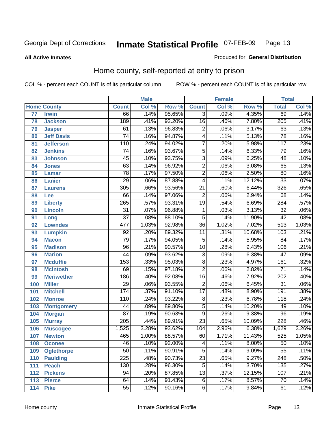**All Active Inmates**

#### Produced for **General Distribution**

### Home county, self-reported at entry to prison

|     |                    |                  | <b>Male</b> |           |                 | <b>Female</b> |          | <b>Total</b>     |       |
|-----|--------------------|------------------|-------------|-----------|-----------------|---------------|----------|------------------|-------|
|     | <b>Home County</b> | <b>Count</b>     | Col %       | Row %     | <b>Count</b>    | Col %         | Row %    | <b>Total</b>     | Col % |
| 77  | <b>Irwin</b>       | 66               | .14%        | 95.65%    | $\overline{3}$  | .09%          | 4.35%    | 69               | .14%  |
| 78  | <b>Jackson</b>     | 189              | .41%        | 92.20%    | $\overline{16}$ | .46%          | 7.80%    | $\overline{205}$ | .41%  |
| 79  | <b>Jasper</b>      | 61               | .13%        | 96.83%    | $\overline{2}$  | .06%          | 3.17%    | 63               | .13%  |
| 80  | <b>Jeff Davis</b>  | $\overline{74}$  | .16%        | 94.87%    | 4               | .11%          | 5.13%    | 78               | .16%  |
| 81  | <b>Jefferson</b>   | 110              | .24%        | 94.02%    | $\overline{7}$  | .20%          | 5.98%    | 117              | .23%  |
| 82  | <b>Jenkins</b>     | $\overline{74}$  | .16%        | 93.67%    | $\overline{5}$  | .14%          | 6.33%    | 79               | .16%  |
| 83  | <b>Johnson</b>     | $\overline{45}$  | .10%        | 93.75%    | $\overline{3}$  | .09%          | 6.25%    | $\overline{48}$  | .10%  |
| 84  | <b>Jones</b>       | 63               | .14%        | 96.92%    | $\overline{2}$  | .06%          | 3.08%    | 65               | .13%  |
| 85  | <b>Lamar</b>       | $\overline{78}$  | .17%        | 97.50%    | $\overline{2}$  | .06%          | 2.50%    | $\overline{80}$  | .16%  |
| 86  | <b>Lanier</b>      | $\overline{29}$  | .06%        | 87.88%    | 4               | .11%          | 12.12%   | $\overline{33}$  | .07%  |
| 87  | <b>Laurens</b>     | 305              | .66%        | 93.56%    | $\overline{21}$ | .60%          | 6.44%    | 326              | .65%  |
| 88  | Lee                | 66               | .14%        | 97.06%    | $\overline{2}$  | .06%          | 2.94%    | 68               | .14%  |
| 89  | <b>Liberty</b>     | $\overline{265}$ | .57%        | 93.31%    | $\overline{19}$ | .54%          | 6.69%    | 284              | .57%  |
| 90  | <b>Lincoln</b>     | $\overline{31}$  | .07%        | 96.88%    | $\mathbf{1}$    | .03%          | 3.13%    | $\overline{32}$  | .06%  |
| 91  | Long               | $\overline{37}$  | .08%        | 88.10%    | $\overline{5}$  | .14%          | 11.90%   | $\overline{42}$  | .08%  |
| 92  | <b>Lowndes</b>     | 477              | 1.03%       | 92.98%    | $\overline{36}$ | 1.02%         | 7.02%    | $\overline{513}$ | 1.03% |
| 93  | <b>Lumpkin</b>     | $\overline{92}$  | .20%        | 89.32%    | $\overline{11}$ | .31%          | 10.68%   | 103              | .21%  |
| 94  | <b>Macon</b>       | 79               | .17%        | 94.05%    | 5               | .14%          | 5.95%    | $\overline{84}$  | .17%  |
| 95  | <b>Madison</b>     | $\overline{96}$  | .21%        | 90.57%    | $\overline{10}$ | .28%          | 9.43%    | 106              | .21%  |
| 96  | <b>Marion</b>      | 44               | .09%        | 93.62%    | $\overline{3}$  | .09%          | 6.38%    | 47               | .09%  |
| 97  | <b>Mcduffie</b>    | 153              | .33%        | 95.03%    | $\overline{8}$  | .23%          | 4.97%    | 161              | .32%  |
| 98  | <b>Mcintosh</b>    | 69               | .15%        | 97.18%    | $\overline{2}$  | .06%          | 2.82%    | $\overline{71}$  | .14%  |
| 99  | <b>Meriwether</b>  | 186              | .40%        | 92.08%    | $\overline{16}$ | .46%          | 7.92%    | 202              | .40%  |
| 100 | <b>Miller</b>      | $\overline{29}$  | .06%        | 93.55%    | $\overline{2}$  | .06%          | 6.45%    | $\overline{31}$  | .06%  |
| 101 | <b>Mitchell</b>    | 174              | .37%        | 91.10%    | $\overline{17}$ | .48%          | 8.90%    | 191              | .38%  |
| 102 | <b>Monroe</b>      | 110              | .24%        | 93.22%    | $\overline{8}$  | .23%          | 6.78%    | 118              | .24%  |
| 103 | <b>Montgomery</b>  | 44               | .09%        | 89.80%    | $\overline{5}$  | .14%          | 10.20%   | 49               | .10%  |
| 104 | <b>Morgan</b>      | $\overline{87}$  | .19%        | 90.63%    | $\overline{9}$  | .26%          | 9.38%    | 96               | .19%  |
| 105 | <b>Murray</b>      | $\overline{205}$ | .44%        | 89.91%    | $\overline{23}$ | .65%          | 10.09%   | 228              | .46%  |
| 106 | <b>Muscogee</b>    | 1,525            | 3.28%       | 93.62%    | 104             | 2.96%         | 6.38%    | 1,629            | 3.26% |
| 107 | <b>Newton</b>      | 465              | 1.00%       | 88.57%    | 60              | 1.71%         | 11.43%   | 525              | 1.05% |
| 108 | <b>Oconee</b>      | 46               | .10%        | $92.00\%$ | 4               | .11%          | $8.00\%$ | 50               | .10%  |
| 109 | <b>Oglethorpe</b>  | $\overline{50}$  | .11%        | 90.91%    | $\overline{5}$  | .14%          | 9.09%    | 55               | .11%  |
| 110 | <b>Paulding</b>    | $\overline{225}$ | .48%        | 90.73%    | $\overline{23}$ | .65%          | 9.27%    | 248              | .50%  |
| 111 | <b>Peach</b>       | 130              | .28%        | 96.30%    | $\overline{5}$  | .14%          | 3.70%    | 135              | .27%  |
| 112 | <b>Pickens</b>     | 94               | .20%        | 87.85%    | $\overline{13}$ | .37%          | 12.15%   | 107              | .21%  |
| 113 | <b>Pierce</b>      | 64               | .14%        | 91.43%    | $\overline{6}$  | .17%          | 8.57%    | 70               | .14%  |
| 114 | <b>Pike</b>        | $\overline{55}$  | .12%        | 90.16%    | $\overline{6}$  | .17%          | 9.84%    | 61               | .12%  |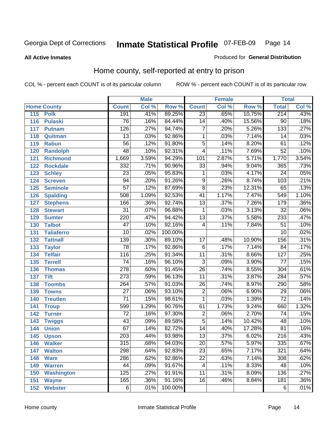**All Active Inmates**

#### Produced for **General Distribution**

### Home county, self-reported at entry to prison

|     |                    |                  | <b>Male</b> |         |                 | <b>Female</b> |        | <b>Total</b>     |                            |
|-----|--------------------|------------------|-------------|---------|-----------------|---------------|--------|------------------|----------------------------|
|     | <b>Home County</b> | <b>Count</b>     | Col %       | Row %   | <b>Count</b>    | Col %         | Row %  | <b>Total</b>     | $\overline{\text{Col }^9}$ |
| 115 | <b>Polk</b>        | 191              | .41%        | 89.25%  | $\overline{23}$ | .65%          | 10.75% | 214              | .43%                       |
| 116 | <b>Pulaski</b>     | $\overline{76}$  | .16%        | 84.44%  | $\overline{14}$ | .40%          | 15.56% | $\overline{90}$  | .18%                       |
| 117 | <b>Putnam</b>      | 126              | .27%        | 94.74%  | $\overline{7}$  | .20%          | 5.26%  | $\overline{133}$ | .27%                       |
| 118 | Quitman            | $\overline{13}$  | .03%        | 92.86%  | $\mathbf{1}$    | .03%          | 7.14%  | 14               | .03%                       |
| 119 | <b>Rabun</b>       | $\overline{56}$  | .12%        | 91.80%  | $\overline{5}$  | .14%          | 8.20%  | 61               | .12%                       |
| 120 | <b>Randolph</b>    | 48               | .10%        | 92.31%  | 4               | .11%          | 7.69%  | $\overline{52}$  | .10%                       |
| 121 | <b>Richmond</b>    | 1,669            | 3.59%       | 94.29%  | 101             | 2.87%         | 5.71%  | 1,770            | 3.54%                      |
| 122 | <b>Rockdale</b>    | 332              | .71%        | 90.96%  | $\overline{33}$ | .94%          | 9.04%  | 365              | .73%                       |
| 123 | <b>Schley</b>      | $\overline{23}$  | .05%        | 95.83%  | 1               | .03%          | 4.17%  | $\overline{24}$  | .05%                       |
| 124 | <b>Screven</b>     | $\overline{94}$  | .20%        | 91.26%  | $\overline{9}$  | .26%          | 8.74%  | 103              | .21%                       |
| 125 | <b>Seminole</b>    | $\overline{57}$  | .12%        | 87.69%  | $\overline{8}$  | .23%          | 12.31% | 65               | .13%                       |
| 126 | <b>Spalding</b>    | 508              | 1.09%       | 92.53%  | $\overline{41}$ | 1.17%         | 7.47%  | 549              | 1.10%                      |
| 127 | <b>Stephens</b>    | 166              | .36%        | 92.74%  | $\overline{13}$ | .37%          | 7.26%  | 179              | .36%                       |
| 128 | <b>Stewart</b>     | $\overline{31}$  | .07%        | 96.88%  | 1               | .03%          | 3.13%  | $\overline{32}$  | .06%                       |
| 129 | <b>Sumter</b>      | 220              | .47%        | 94.42%  | $\overline{13}$ | .37%          | 5.58%  | 233              | .47%                       |
| 130 | <b>Talbot</b>      | $\overline{47}$  | .10%        | 92.16%  | 4               | .11%          | 7.84%  | $\overline{51}$  | .10%                       |
| 131 | <b>Taliaferro</b>  | $\overline{10}$  | .02%        | 100.00% |                 |               |        | $\overline{10}$  | .02%                       |
| 132 | <b>Tattnall</b>    | 139              | .30%        | 89.10%  | $\overline{17}$ | .48%          | 10.90% | 156              | .31%                       |
| 133 | <b>Taylor</b>      | $\overline{78}$  | .17%        | 92.86%  | $\overline{6}$  | .17%          | 7.14%  | $\overline{84}$  | .17%                       |
| 134 | <b>Telfair</b>     | 116              | .25%        | 91.34%  | $\overline{11}$ | .31%          | 8.66%  | 127              | .25%                       |
| 135 | <b>Terrell</b>     | $\overline{74}$  | .16%        | 96.10%  | $\overline{3}$  | .09%          | 3.90%  | 77               | .15%                       |
| 136 | <b>Thomas</b>      | $\overline{278}$ | .60%        | 91.45%  | $\overline{26}$ | .74%          | 8.55%  | 304              | .61%                       |
| 137 | <b>Tift</b>        | $\overline{273}$ | .59%        | 96.13%  | $\overline{11}$ | .31%          | 3.87%  | 284              | .57%                       |
| 138 | <b>Toombs</b>      | 264              | .57%        | 91.03%  | $\overline{26}$ | .74%          | 8.97%  | 290              | .58%                       |
| 139 | <b>Towns</b>       | $\overline{27}$  | .06%        | 93.10%  | $\overline{2}$  | .06%          | 6.90%  | $\overline{29}$  | .06%                       |
| 140 | <b>Treutlen</b>    | $\overline{71}$  | .15%        | 98.61%  | 1               | .03%          | 1.39%  | $\overline{72}$  | .14%                       |
| 141 | <b>Troup</b>       | 599              | 1.29%       | 90.76%  | 61              | 1.73%         | 9.24%  | 660              | 1.32%                      |
| 142 | <b>Turner</b>      | $\overline{72}$  | .16%        | 97.30%  | $\overline{2}$  | .06%          | 2.70%  | $\overline{74}$  | .15%                       |
| 143 | <b>Twiggs</b>      | 43               | .09%        | 89.58%  | 5               | .14%          | 10.42% | 48               | .10%                       |
| 144 | <b>Union</b>       | $\overline{67}$  | .14%        | 82.72%  | $\overline{14}$ | .40%          | 17.28% | $\overline{81}$  | .16%                       |
| 145 | <b>Upson</b>       | $\overline{203}$ | .44%        | 93.98%  | $\overline{13}$ | .37%          | 6.02%  | 216              | .43%                       |
| 146 | <b>Walker</b>      | 315              | .68%        | 94.03%  | 20              | .57%          | 5.97%  | 335              | .67%                       |
| 147 | <b>Walton</b>      | 298              | .64%        | 92.83%  | $\overline{23}$ | .65%          | 7.17%  | 321              | .64%                       |
| 148 | <b>Ware</b>        | 286              | .62%        | 92.86%  | $\overline{22}$ | .63%          | 7.14%  | 308              | .62%                       |
| 149 | <b>Warren</b>      | 44               | .09%        | 91.67%  | 4               | .11%          | 8.33%  | 48               | .10%                       |
| 150 | <b>Washington</b>  | 125              | .27%        | 91.91%  | $\overline{11}$ | .31%          | 8.09%  | 136              | .27%                       |
| 151 | <b>Wayne</b>       | 165              | .36%        | 91.16%  | $\overline{16}$ | .46%          | 8.84%  | 181              | .36%                       |
| 152 | <b>Webster</b>     | $\overline{6}$   | .01%        | 100.00% |                 |               |        | 6                | .01%                       |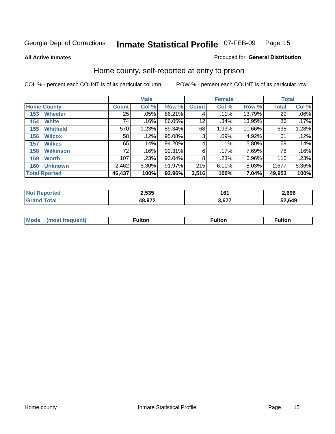**All Active Inmates**

#### Produced for **General Distribution**

### Home county, self-reported at entry to prison

|                    |                      | <b>Male</b>     |       |        |              | <b>Female</b> | <b>Total</b> |        |         |
|--------------------|----------------------|-----------------|-------|--------|--------------|---------------|--------------|--------|---------|
| <b>Home County</b> |                      | <b>Count</b>    | Col % | Row %  | <b>Count</b> | Col %         | Row %        | Total  | Col %   |
| 153                | <b>Wheeler</b>       | $\overline{25}$ | .05%  | 86.21% | 4            | .11%          | 13.79%       | 29     | $.06\%$ |
| 154                | <b>White</b>         | 74              | .16%  | 86.05% | 12           | .34%          | 13.95%       | 86     | .17%    |
| 155                | <b>Whitfield</b>     | 570             | 1.23% | 89.34% | 68           | 1.93%         | 10.66%       | 638    | 1.28%   |
| 156                | <b>Wilcox</b>        | 58              | .12%  | 95.08% | 3            | .09%          | 4.92%        | 61     | .12%    |
| 157                | <b>Wilkes</b>        | 65              | .14%  | 94.20% | 4            | .11%          | 5.80%        | 69     | .14%    |
| 158                | <b>Wilkinson</b>     | 72              | .16%  | 92.31% | 6            | .17%          | 7.69%        | 78     | .16%    |
| 159                | <b>Worth</b>         | 107             | .23%  | 93.04% | 8            | .23%          | $6.96\%$     | 115    | .23%    |
| 160                | <b>Unknown</b>       | 2,462           | 5.30% | 91.97% | 215          | 6.11%         | 8.03%        | 2,677  | 5.36%   |
|                    | <b>Total Rported</b> | 46,437          | 100%  | 92.96% | 3,516        | 100%          | 7.04%        | 49,953 | 100%    |

| N<br>тео | 2,535  | 161    | 2,696 |
|----------|--------|--------|-------|
|          | 48.972 | $\sim$ | .649  |

| <b>Mode</b> | ---<br>.tor | <b>ulton</b> | . |
|-------------|-------------|--------------|---|
|             |             |              |   |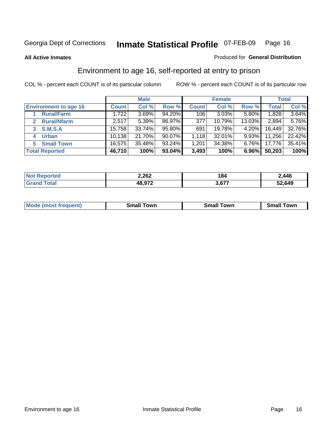#### **All Active Inmates**

#### Produced for **General Distribution**

### Environment to age 16, self-reported at entry to prison

|                                      | <b>Male</b>  |        | <b>Female</b> |              |        | <b>Total</b> |        |        |
|--------------------------------------|--------------|--------|---------------|--------------|--------|--------------|--------|--------|
| <b>Environment to age 16</b>         | <b>Count</b> | Col %  | Row %         | <b>Count</b> | Col %  | Row %        | Total  | Col %  |
| <b>Rural/Farm</b>                    | 1,722        | 3.69%  | 94.20%        | 106          | 3.03%  | 5.80%        | 1,828  | 3.64%  |
| <b>Rural/Nfarm</b><br>$\overline{2}$ | 2,517        | 5.39%  | 86.97%        | 377          | 10.79% | 13.03%       | 2,894  | 5.76%  |
| 3 S.M.S.A                            | 15,758       | 33.74% | 95.80%        | 691          | 19.78% | 4.20%        | 16,449 | 32.76% |
| <b>Urban</b>                         | 10,138       | 21.70% | 90.07%        | 1,118        | 32.01% | $9.93\%$     | 11,256 | 22.42% |
| <b>Small Town</b><br>5               | 16,575       | 35.48% | 93.24%        | 1,201        | 34.38% | $6.76\%$     | 17,776 | 35.41% |
| <b>Total Reported</b>                | 46,710       | 100%   | 93.04%        | 3,493        | 100%   | 6.96%        | 50,203 | 100%   |

| Reported<br><b>Not</b> | 2,262  | 184   | 2,446  |
|------------------------|--------|-------|--------|
| ™otal<br>Grand         | 48,972 | 3,677 | 52,649 |

| Mο<br>went | .owr | owr<br>Smal. | owr |
|------------|------|--------------|-----|
|            |      |              |     |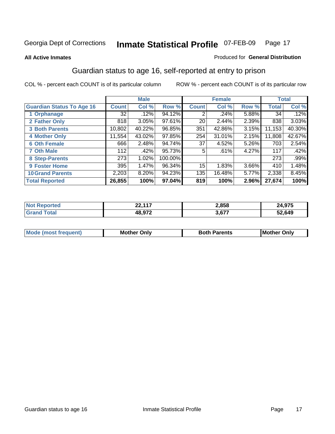#### **All Active Inmates**

#### Produced for **General Distribution**

### Guardian status to age 16, self-reported at entry to prison

|                                  |              | <b>Male</b> |         |                 | <b>Female</b> |          |        | <b>Total</b> |
|----------------------------------|--------------|-------------|---------|-----------------|---------------|----------|--------|--------------|
| <b>Guardian Status To Age 16</b> | <b>Count</b> | Col %       | Row %   | <b>Count</b>    | Col %         | Row %    | Total  | Col %        |
| 1 Orphanage                      | 32           | .12%        | 94.12%  | 2               | .24%          | 5.88%    | 34     | .12%         |
| 2 Father Only                    | 818          | 3.05%       | 97.61%  | 20 <sub>1</sub> | 2.44%         | 2.39%    | 838    | 3.03%        |
| <b>3 Both Parents</b>            | 10,802       | 40.22%      | 96.85%  | 351             | 42.86%        | 3.15%    | 11,153 | 40.30%       |
| <b>4 Mother Only</b>             | 11,554       | 43.02%      | 97.85%  | 254             | 31.01%        | 2.15%    | 11,808 | 42.67%       |
| <b>6 Oth Female</b>              | 666          | 2.48%       | 94.74%  | 37              | 4.52%         | 5.26%    | 703    | 2.54%        |
| <b>7 Oth Male</b>                | 112          | .42%        | 95.73%  | 5               | .61%          | 4.27%    | 117    | .42%         |
| 8 Step-Parents                   | 273          | 1.02%       | 100.00% |                 |               |          | 273    | .99%         |
| 9 Foster Home                    | 395          | 1.47%       | 96.34%  | 15              | 1.83%         | $3.66\%$ | 410    | 1.48%        |
| <b>10 Grand Parents</b>          | 2,203        | 8.20%       | 94.23%  | 135             | 16.48%        | 5.77%    | 2,338  | 8.45%        |
| <b>Total Reported</b>            | 26,855       | 100%        | 97.04%  | 819             | 100%          | 2.96%    | 27,674 | 100%         |

| rted<br>N | ss 447 | 2,858 | 07E    |
|-----------|--------|-------|--------|
| ้วtaเ     | 48 Q72 | 3,677 | 52,649 |

| Mode | Dnlv<br>Mot | <b>Roth</b><br>Parents | <b>IMot</b><br>Onlv<br>∵hei |
|------|-------------|------------------------|-----------------------------|
|      |             |                        |                             |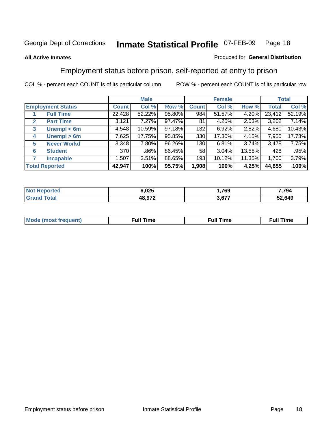#### **All Active Inmates**

#### Produced for **General Distribution**

### Employment status before prison, self-reported at entry to prison

|                                  |              | <b>Male</b> |        |              | <b>Female</b> |        |        | <b>Total</b> |
|----------------------------------|--------------|-------------|--------|--------------|---------------|--------|--------|--------------|
| <b>Employment Status</b>         | <b>Count</b> | Col %       | Row %  | <b>Count</b> | Col %         | Row %  | Total  | Col %        |
| <b>Full Time</b>                 | 22,428       | 52.22%      | 95.80% | 984          | 51.57%        | 4.20%  | 23,412 | 52.19%       |
| <b>Part Time</b><br>$\mathbf{2}$ | 3,121        | 7.27%       | 97.47% | 81           | 4.25%         | 2.53%  | 3,202  | 7.14%        |
| Unempl $<$ 6m<br>3               | 4,548        | 10.59%      | 97.18% | 132          | 6.92%         | 2.82%  | 4,680  | 10.43%       |
| Unempl > 6m<br>4                 | 7,625        | 17.75%      | 95.85% | 330          | 17.30%        | 4.15%  | 7,955  | 17.73%       |
| <b>Never Workd</b><br>5          | 3,348        | 7.80%       | 96.26% | 130          | 6.81%         | 3.74%  | 3,478  | 7.75%        |
| <b>Student</b><br>6              | 370          | .86%        | 86.45% | 58           | $3.04\%$      | 13.55% | 428    | .95%         |
| 7<br><b>Incapable</b>            | 1,507        | 3.51%       | 88.65% | 193          | 10.12%        | 11.35% | 1,700  | 3.79%        |
| <b>Total Reported</b>            | 42,947       | 100%        | 95.75% | 1,908        | 100%          | 4.25%  | 44,855 | 100%         |

| orted | 6.025  | ,769 | 7,794  |
|-------|--------|------|--------|
|       | 10 A7A | 3677 | 52,649 |

| <b>M</b> ດ | the contract of the contract of the contract of the contract of the contract of the contract of the contract of | the contract of the contract of the contract of the contract of the contract of the contract of the contract of | ----<br><b>Full Time</b> |
|------------|-----------------------------------------------------------------------------------------------------------------|-----------------------------------------------------------------------------------------------------------------|--------------------------|
|            |                                                                                                                 |                                                                                                                 |                          |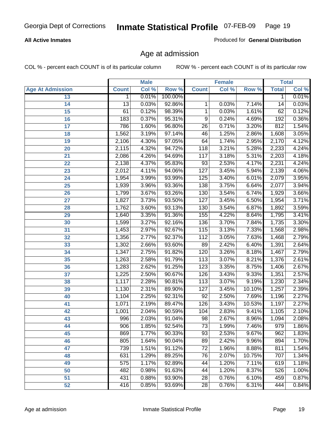#### **All Active Inmates**

Produced for **General Distribution**

### Age at admission

|                         |                 | <b>Male</b> |         |                 | <b>Female</b> |        |              | <b>Total</b> |
|-------------------------|-----------------|-------------|---------|-----------------|---------------|--------|--------------|--------------|
| <b>Age At Admission</b> | <b>Count</b>    | Col %       | Row %   | <b>Count</b>    | Col %         | Row %  | <b>Total</b> | Col %        |
| 13                      | 1               | 0.01%       | 100.00% |                 |               |        | 1            | 0.01%        |
| 14                      | $\overline{13}$ | 0.03%       | 92.86%  | 1               | 0.03%         | 7.14%  | 14           | 0.03%        |
| $\overline{15}$         | 61              | 0.12%       | 98.39%  | 1               | 0.03%         | 1.61%  | 62           | 0.12%        |
| 16                      | 183             | 0.37%       | 95.31%  | 9               | 0.24%         | 4.69%  | 192          | 0.36%        |
| $\overline{17}$         | 786             | 1.60%       | 96.80%  | $\overline{26}$ | 0.71%         | 3.20%  | 812          | 1.54%        |
| 18                      | 1,562           | 3.19%       | 97.14%  | 46              | 1.25%         | 2.86%  | 1,608        | 3.05%        |
| 19                      | 2,106           | 4.30%       | 97.05%  | 64              | 1.74%         | 2.95%  | 2,170        | 4.12%        |
| 20                      | 2,115           | 4.32%       | 94.72%  | 118             | 3.21%         | 5.28%  | 2,233        | 4.24%        |
| 21                      | 2,086           | 4.26%       | 94.69%  | 117             | 3.18%         | 5.31%  | 2,203        | 4.18%        |
| 22                      | 2,138           | 4.37%       | 95.83%  | 93              | 2.53%         | 4.17%  | 2,231        | 4.24%        |
| 23                      | 2,012           | 4.11%       | 94.06%  | 127             | 3.45%         | 5.94%  | 2,139        | 4.06%        |
| 24                      | 1,954           | 3.99%       | 93.99%  | 125             | 3.40%         | 6.01%  | 2,079        | 3.95%        |
| $\overline{25}$         | 1,939           | 3.96%       | 93.36%  | 138             | 3.75%         | 6.64%  | 2,077        | 3.94%        |
| 26                      | 1,799           | 3.67%       | 93.26%  | 130             | 3.54%         | 6.74%  | 1,929        | 3.66%        |
| 27                      | 1,827           | 3.73%       | 93.50%  | 127             | 3.45%         | 6.50%  | 1,954        | 3.71%        |
| 28                      | 1,762           | 3.60%       | 93.13%  | 130             | 3.54%         | 6.87%  | 1,892        | 3.59%        |
| 29                      | 1,640           | 3.35%       | 91.36%  | 155             | 4.22%         | 8.64%  | 1,795        | 3.41%        |
| 30                      | 1,599           | 3.27%       | 92.16%  | 136             | 3.70%         | 7.84%  | 1,735        | 3.30%        |
| 31                      | 1,453           | 2.97%       | 92.67%  | 115             | 3.13%         | 7.33%  | 1,568        | 2.98%        |
| 32                      | 1,356           | 2.77%       | 92.37%  | 112             | 3.05%         | 7.63%  | 1,468        | 2.79%        |
| 33                      | 1,302           | 2.66%       | 93.60%  | 89              | 2.42%         | 6.40%  | 1,391        | 2.64%        |
| 34                      | 1,347           | 2.75%       | 91.82%  | 120             | 3.26%         | 8.18%  | 1,467        | 2.79%        |
| 35                      | 1,263           | 2.58%       | 91.79%  | 113             | 3.07%         | 8.21%  | 1,376        | 2.61%        |
| 36                      | 1,283           | 2.62%       | 91.25%  | 123             | 3.35%         | 8.75%  | 1,406        | 2.67%        |
| 37                      | 1,225           | 2.50%       | 90.67%  | 126             | 3.43%         | 9.33%  | 1,351        | 2.57%        |
| 38                      | 1,117           | 2.28%       | 90.81%  | 113             | 3.07%         | 9.19%  | 1,230        | 2.34%        |
| 39                      | 1,130           | 2.31%       | 89.90%  | 127             | 3.45%         | 10.10% | 1,257        | 2.39%        |
| 40                      | 1,104           | 2.25%       | 92.31%  | 92              | 2.50%         | 7.69%  | 1,196        | 2.27%        |
| 41                      | 1,071           | 2.19%       | 89.47%  | 126             | 3.43%         | 10.53% | 1,197        | 2.27%        |
| 42                      | 1,001           | 2.04%       | 90.59%  | 104             | 2.83%         | 9.41%  | 1,105        | 2.10%        |
| 43                      | 996             | 2.03%       | 91.04%  | $\overline{98}$ | 2.67%         | 8.96%  | 1,094        | 2.08%        |
| 44                      | 906             | 1.85%       | 92.54%  | 73              | 1.99%         | 7.46%  | 979          | 1.86%        |
| 45                      | 869             | 1.77%       | 90.33%  | $\overline{93}$ | 2.53%         | 9.67%  | 962          | 1.83%        |
| 46                      | 805             | 1.64%       | 90.04%  | 89              | 2.42%         | 9.96%  | 894          | 1.70%        |
| 47                      | 739             | 1.51%       | 91.12%  | $\overline{72}$ | 1.96%         | 8.88%  | 811          | 1.54%        |
| 48                      | 631             | 1.29%       | 89.25%  | 76              | 2.07%         | 10.75% | 707          | 1.34%        |
| 49                      | 575             | 1.17%       | 92.89%  | 44              | 1.20%         | 7.11%  | 619          | 1.18%        |
| 50                      | 482             | 0.98%       | 91.63%  | 44              | 1.20%         | 8.37%  | 526          | 1.00%        |
| 51                      | 431             | 0.88%       | 93.90%  | $\overline{28}$ | 0.76%         | 6.10%  | 459          | 0.87%        |
| 52                      | 416             | 0.85%       | 93.69%  | 28              | 0.76%         | 6.31%  | 444          | 0.84%        |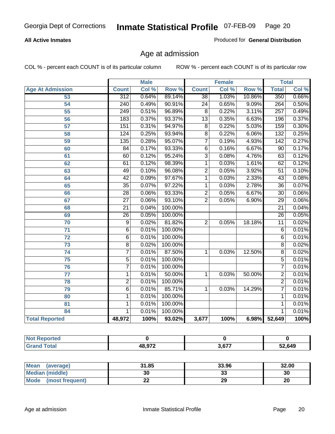#### **All Active Inmates**

Produced for **General Distribution**

### Age at admission

|                         | <b>Male</b>      |       | <b>Female</b> |                 |       | <b>Total</b> |                  |       |
|-------------------------|------------------|-------|---------------|-----------------|-------|--------------|------------------|-------|
| <b>Age At Admission</b> | <b>Count</b>     | Col % | Row %         | <b>Count</b>    | Col % | Row %        | <b>Total</b>     | Col % |
| 53                      | $\overline{312}$ | 0.64% | 89.14%        | $\overline{38}$ | 1.03% | 10.86%       | 350              | 0.66% |
| 54                      | $\overline{240}$ | 0.49% | 90.91%        | $\overline{24}$ | 0.65% | 9.09%        | 264              | 0.50% |
| $\overline{55}$         | $\overline{249}$ | 0.51% | 96.89%        | $\overline{8}$  | 0.22% | 3.11%        | $\overline{257}$ | 0.49% |
| $\overline{56}$         | 183              | 0.37% | 93.37%        | $\overline{13}$ | 0.35% | 6.63%        | 196              | 0.37% |
| $\overline{57}$         | 151              | 0.31% | 94.97%        | $\overline{8}$  | 0.22% | 5.03%        | 159              | 0.30% |
| 58                      | 124              | 0.25% | 93.94%        | $\overline{8}$  | 0.22% | 6.06%        | 132              | 0.25% |
| 59                      | 135              | 0.28% | 95.07%        | 7               | 0.19% | 4.93%        | 142              | 0.27% |
| 60                      | $\overline{84}$  | 0.17% | 93.33%        | $\overline{6}$  | 0.16% | 6.67%        | $\overline{90}$  | 0.17% |
| 61                      | 60               | 0.12% | 95.24%        | $\overline{3}$  | 0.08% | 4.76%        | 63               | 0.12% |
| 62                      | 61               | 0.12% | 98.39%        | $\overline{1}$  | 0.03% | 1.61%        | 62               | 0.12% |
| 63                      | 49               | 0.10% | 96.08%        | $\overline{2}$  | 0.05% | 3.92%        | 51               | 0.10% |
| 64                      | $\overline{42}$  | 0.09% | 97.67%        | $\overline{1}$  | 0.03% | 2.33%        | $\overline{43}$  | 0.08% |
| 65                      | $\overline{35}$  | 0.07% | 97.22%        | 1               | 0.03% | 2.78%        | $\overline{36}$  | 0.07% |
| 66                      | $\overline{28}$  | 0.06% | 93.33%        | $\overline{2}$  | 0.05% | 6.67%        | $\overline{30}$  | 0.06% |
| 67                      | $\overline{27}$  | 0.06% | 93.10%        | $\overline{2}$  | 0.05% | 6.90%        | $\overline{29}$  | 0.06% |
| 68                      | $\overline{21}$  | 0.04% | 100.00%       |                 |       |              | $\overline{21}$  | 0.04% |
| 69                      | 26               | 0.05% | 100.00%       |                 |       |              | $\overline{26}$  | 0.05% |
| 70                      | $\overline{9}$   | 0.02% | 81.82%        | $\overline{2}$  | 0.05% | 18.18%       | $\overline{11}$  | 0.02% |
| 71                      | $\overline{6}$   | 0.01% | 100.00%       |                 |       |              | 6                | 0.01% |
| $\overline{72}$         | $\overline{6}$   | 0.01% | 100.00%       |                 |       |              | $\overline{6}$   | 0.01% |
| $\overline{73}$         | $\overline{8}$   | 0.02% | 100.00%       |                 |       |              | $\overline{8}$   | 0.02% |
| $\overline{74}$         | $\overline{7}$   | 0.01% | 87.50%        | 1               | 0.03% | 12.50%       | $\overline{8}$   | 0.02% |
| $\overline{75}$         | $\overline{5}$   | 0.01% | 100.00%       |                 |       |              | $\overline{5}$   | 0.01% |
| 76                      | $\overline{7}$   | 0.01% | 100.00%       |                 |       |              | 7                | 0.01% |
| 77                      | $\mathbf{1}$     | 0.01% | 50.00%        | 1               | 0.03% | 50.00%       | $\overline{2}$   | 0.01% |
| 78                      | $\overline{2}$   | 0.01% | 100.00%       |                 |       |              | $\overline{2}$   | 0.01% |
| 79                      | $\overline{6}$   | 0.01% | 85.71%        | $\overline{1}$  | 0.03% | 14.29%       | $\overline{7}$   | 0.01% |
| 80                      | $\overline{1}$   | 0.01% | 100.00%       |                 |       |              | 1                | 0.01% |
| $\overline{81}$         | $\mathbf{1}$     | 0.01% | 100.00%       |                 |       |              | 1                | 0.01% |
| 84                      | 1                | 0.01% | 100.00%       |                 |       |              | 1                | 0.01% |
| <b>Total Reported</b>   | 48,972           | 100%  | 93.02%        | 3,677           | 100%  | 6.98%        | 52,649           | 100%  |

| <b>Not Reported</b> |        |       |        |
|---------------------|--------|-------|--------|
| <b>Grand Total</b>  | 48,972 | 3,677 | 52,649 |

| <b>Mean</b><br>(average)       | 31.85 | 33.96   | 32.00 |
|--------------------------------|-------|---------|-------|
| <b>Median (middle)</b>         | 30    | ົ<br>vu | 30    |
| <b>Mode</b><br>(most frequent) | ∸∸    | 29      | 20    |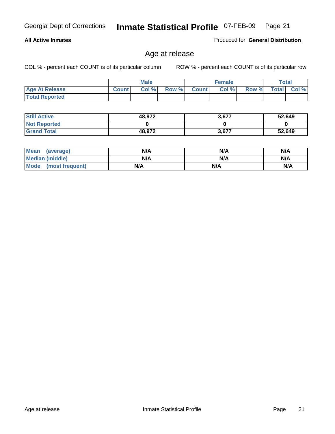#### **All Active Inmates**

Produced for **General Distribution**

### Age at release

|                       | <b>Male</b>  |      |       | <b>Female</b> |       |       | <b>Total</b> |          |
|-----------------------|--------------|------|-------|---------------|-------|-------|--------------|----------|
| <b>Age At Release</b> | <b>Count</b> | Col% | Row % | <b>Count</b>  | Col % | Row % | <b>Total</b> | Col $\%$ |
| <b>Total Reported</b> |              |      |       |               |       |       |              |          |

| <b>Still Active</b> | 48,972 | 3,677 | 52,649 |
|---------------------|--------|-------|--------|
| <b>Not Reported</b> |        |       |        |
| <b>Grand Total</b>  | 48,972 | 3,677 | 52,649 |

| Mean (average)       | N/A | N/A | N/A |
|----------------------|-----|-----|-----|
| Median (middle)      | N/A | N/A | N/A |
| Mode (most frequent) | N/A | N/A | N/A |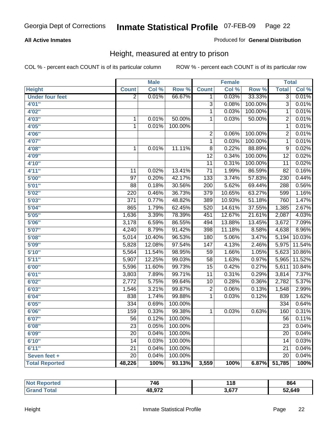#### **All Active Inmates**

#### Produced for **General Distribution**

### Height, measured at entry to prison

|                        |                  | <b>Male</b> |         |                  | <b>Female</b>      |         | <b>Total</b>    |        |
|------------------------|------------------|-------------|---------|------------------|--------------------|---------|-----------------|--------|
| <b>Height</b>          | <b>Count</b>     | Col %       | Row %   | <b>Count</b>     | Col %              | Row %   | <b>Total</b>    | Col %  |
| <b>Under four feet</b> | $\overline{2}$   | 0.01%       | 66.67%  | $\overline{1}$   | 0.03%              | 33.33%  | $\overline{3}$  | 0.01%  |
| 4'01''                 |                  |             |         | $\overline{3}$   | 0.08%              | 100.00% | $\overline{3}$  | 0.01%  |
| 4'02"                  |                  |             |         | 1                | 0.03%              | 100.00% | 1               | 0.01%  |
| 4'03"                  | $\mathbf{1}$     | 0.01%       | 50.00%  | $\mathbf{1}$     | 0.03%              | 50.00%  | $\overline{2}$  | 0.01%  |
| 4'05''                 | $\mathbf 1$      | 0.01%       | 100.00% |                  |                    |         | 1               | 0.01%  |
| 4'06"                  |                  |             |         | $\overline{2}$   | 0.06%              | 100.00% | $\overline{2}$  | 0.01%  |
| 4'07"                  |                  |             |         | 1                | 0.03%              | 100.00% | 1               | 0.01%  |
| 4'08"                  | $\mathbf{1}$     | 0.01%       | 11.11%  | $\overline{8}$   | 0.22%              | 88.89%  | $\overline{9}$  | 0.02%  |
| 4'09"                  |                  |             |         | $\overline{12}$  | 0.34%              | 100.00% | $\overline{12}$ | 0.02%  |
| 4'10"                  |                  |             |         | $\overline{11}$  | 0.31%              | 100.00% | $\overline{11}$ | 0.02%  |
| 4'11''                 | 11               | 0.02%       | 13.41%  | $\overline{71}$  | 1.99%              | 86.59%  | $\overline{82}$ | 0.16%  |
| 5'00''                 | $\overline{97}$  | 0.20%       | 42.17%  | $\overline{133}$ | 3.74%              | 57.83%  | 230             | 0.44%  |
| 5'01''                 | $\overline{88}$  | 0.18%       | 30.56%  | 200              | $\frac{1}{5.62\%}$ | 69.44%  | 288             | 0.56%  |
| 5'02"                  | 220              | 0.46%       | 36.73%  | $\overline{379}$ | 10.65%             | 63.27%  | 599             | 1.16%  |
| 5'03''                 | $\overline{371}$ | 0.77%       | 48.82%  | 389              | 10.93%             | 51.18%  | 760             | 1.47%  |
| 5'04"                  | 865              | 1.79%       | 62.45%  | 520              | 14.61%             | 37.55%  | 1,385           | 2.67%  |
| 5'05''                 | 1,636            | 3.39%       | 78.39%  | 451              | 12.67%             | 21.61%  | 2,087           | 4.03%  |
| 5'06''                 | 3,178            | 6.59%       | 86.55%  | 494              | 13.88%             | 13.45%  | 3,672           | 7.09%  |
| 5'07''                 | 4,240            | 8.79%       | 91.42%  | 398              | 11.18%             | 8.58%   | 4,638           | 8.96%  |
| 5'08''                 | 5,014            | 10.40%      | 96.53%  | 180              | 5.06%              | 3.47%   | 5,194           | 10.03% |
| 5'09''                 | 5,828            | 12.08%      | 97.54%  | 147              | 4.13%              | 2.46%   | 5,975           | 11.54% |
| 5'10''                 | 5,564            | 11.54%      | 98.95%  | $\overline{59}$  | 1.66%              | 1.05%   | 5,623           | 10.86% |
| 5'11''                 | 5,907            | 12.25%      | 99.03%  | $\overline{58}$  | 1.63%              | 0.97%   | 5,965           | 11.52% |
| 6'00''                 | 5,596            | 11.60%      | 99.73%  | $\overline{15}$  | 0.42%              | 0.27%   | 5,611           | 10.84% |
| 6'01''                 | 3,803            | 7.89%       | 99.71%  | $\overline{11}$  | 0.31%              | 0.29%   | 3,814           | 7.37%  |
| 6'02''                 | 2,772            | 5.75%       | 99.64%  | 10               | 0.28%              | 0.36%   | 2,782           | 5.37%  |
| 6'03''                 | 1,546            | 3.21%       | 99.87%  | $\overline{2}$   | 0.06%              | 0.13%   | 1,548           | 2.99%  |
| 6'04''                 | 838              | 1.74%       | 99.88%  | $\mathbf{1}$     | 0.03%              | 0.12%   | 839             | 1.62%  |
| 6'05''                 | $\frac{1}{334}$  | 0.69%       | 100.00% |                  |                    |         | 334             | 0.64%  |
| 6'06''                 | 159              | 0.33%       | 99.38%  | 1                | 0.03%              | 0.63%   | 160             | 0.31%  |
| 6'07''                 | $\overline{56}$  | 0.12%       | 100.00% |                  |                    |         | $\overline{56}$ | 0.11%  |
| 6'08''                 | $\overline{23}$  | 0.05%       | 100.00% |                  |                    |         | 23              | 0.04%  |
| 6'09''                 | 20               | 0.04%       | 100.00% |                  |                    |         | $\overline{20}$ | 0.04%  |
| 6'10''                 | 14               | 0.03%       | 100.00% |                  |                    |         | 14              | 0.03%  |
| 6'11''                 | 21               | 0.04%       | 100.00% |                  |                    |         | 21              | 0.04%  |
| Seven feet +           | $\overline{20}$  | 0.04%       | 100.00% |                  |                    |         | $\overline{20}$ | 0.04%  |
| <b>Total Reported</b>  | 48,226           | 100%        | 93.13%  | 3,559            | 100%               | 6.87%   | 51,785          | 100%   |

| ortea<br>וחשו | 746    | 118           | 864    |
|---------------|--------|---------------|--------|
| <b>otal</b>   | 48,972 | 3677<br>J.VI. | 52.649 |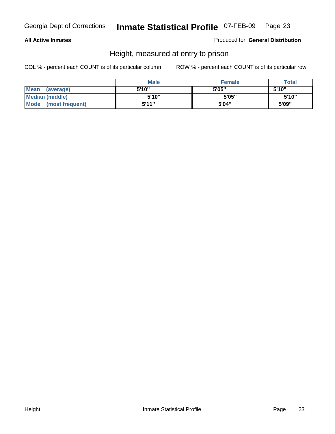#### **All Active Inmates**

Produced for **General Distribution**

### Height, measured at entry to prison

|                        | <b>Male</b> | <b>Female</b> | <b>Total</b> |
|------------------------|-------------|---------------|--------------|
| Mean (average)         | 5'10"       | 5'05"         | 5'10''       |
| <b>Median (middle)</b> | 5'10''      | 5'05"         | 5'10''       |
| Mode (most frequent)   | 5'11"       | 5'04"         | 5'09"        |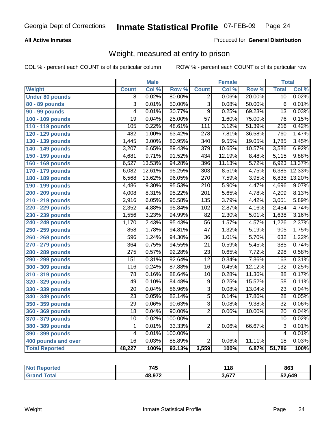#### **All Active Inmates**

#### Produced for **General Distribution**

### Weight, measured at entry to prison

|                        |                           | <b>Male</b> |                  |                  | <b>Female</b> |        | <b>Total</b>     |        |
|------------------------|---------------------------|-------------|------------------|------------------|---------------|--------|------------------|--------|
| <b>Weight</b>          | <b>Count</b>              | Col %       | Row <sup>%</sup> | <b>Count</b>     | Col %         | Row %  | <b>Total</b>     | Col %  |
| <b>Under 80 pounds</b> | $\overline{8}$            | 0.02%       | 80.00%           | $\overline{2}$   | 0.06%         | 20.00% | $\overline{10}$  | 0.02%  |
| 80 - 89 pounds         | $\overline{\overline{3}}$ | 0.01%       | 50.00%           | $\overline{3}$   | 0.08%         | 50.00% | $\overline{6}$   | 0.01%  |
| 90 - 99 pounds         | $\overline{4}$            | 0.01%       | 30.77%           | $\overline{9}$   | 0.25%         | 69.23% | $\overline{13}$  | 0.03%  |
| 100 - 109 pounds       | $\overline{19}$           | 0.04%       | 25.00%           | $\overline{57}$  | 1.60%         | 75.00% | $\overline{76}$  | 0.15%  |
| 110 - 119 pounds       | 105                       | 0.22%       | 48.61%           | 111              | 3.12%         | 51.39% | $\overline{216}$ | 0.42%  |
| 120 - 129 pounds       | 482                       | 1.00%       | 63.42%           | $\overline{278}$ | 7.81%         | 36.58% | 760              | 1.47%  |
| 130 - 139 pounds       | 1,445                     | 3.00%       | 80.95%           | $\overline{340}$ | 9.55%         | 19.05% | 1,785            | 3.45%  |
| 140 - 149 pounds       | 3,207                     | 6.65%       | 89.43%           | $\overline{379}$ | 10.65%        | 10.57% | 3,586            | 6.92%  |
| 150 - 159 pounds       | 4,681                     | 9.71%       | 91.52%           | 434              | 12.19%        | 8.48%  | 5,115            | 9.88%  |
| 160 - 169 pounds       | 6,527                     | 13.53%      | 94.28%           | 396              | 11.13%        | 5.72%  | 6,923            | 13.37% |
| 170 - 179 pounds       | 6,082                     | 12.61%      | 95.25%           | $\overline{303}$ | 8.51%         | 4.75%  | 6,385            | 12.33% |
| 180 - 189 pounds       | 6,568                     | 13.62%      | 96.05%           | 270              | 7.59%         | 3.95%  | 6,838            | 13.20% |
| 190 - 199 pounds       | 4,486                     | 9.30%       | 95.53%           | $\overline{210}$ | 5.90%         | 4.47%  | 4,696            | 9.07%  |
| 200 - 209 pounds       | 4,008                     | 8.31%       | 95.22%           | $\overline{201}$ | 5.65%         | 4.78%  | 4,209            | 8.13%  |
| 210 - 219 pounds       | 2,916                     | 6.05%       | 95.58%           | 135              | 3.79%         | 4.42%  | 3,051            | 5.89%  |
| 220 - 229 pounds       | 2,352                     | 4.88%       | 95.84%           | 102              | 2.87%         | 4.16%  | 2,454            | 4.74%  |
| 230 - 239 pounds       | 1,556                     | 3.23%       | 94.99%           | $\overline{82}$  | 2.30%         | 5.01%  | 1,638            | 3.16%  |
| 240 - 249 pounds       | 1,170                     | 2.43%       | 95.43%           | $\overline{56}$  | 1.57%         | 4.57%  | 1,226            | 2.37%  |
| 250 - 259 pounds       | 858                       | 1.78%       | 94.81%           | $\overline{47}$  | 1.32%         | 5.19%  | 905              | 1.75%  |
| 260 - 269 pounds       | 596                       | 1.24%       | 94.30%           | $\overline{36}$  | 1.01%         | 5.70%  | 632              | 1.22%  |
| 270 - 279 pounds       | 364                       | 0.75%       | 94.55%           | $\overline{21}$  | 0.59%         | 5.45%  | 385              | 0.74%  |
| 280 - 289 pounds       | $\overline{275}$          | 0.57%       | 92.28%           | $\overline{23}$  | 0.65%         | 7.72%  | 298              | 0.58%  |
| 290 - 299 pounds       | 151                       | 0.31%       | 92.64%           | $\overline{12}$  | 0.34%         | 7.36%  | 163              | 0.31%  |
| 300 - 309 pounds       | $\overline{116}$          | 0.24%       | 87.88%           | $\overline{16}$  | 0.45%         | 12.12% | 132              | 0.25%  |
| 310 - 319 pounds       | $\overline{78}$           | 0.16%       | 88.64%           | $\overline{10}$  | 0.28%         | 11.36% | $\overline{88}$  | 0.17%  |
| 320 - 329 pounds       | 49                        | 0.10%       | 84.48%           | $\overline{9}$   | 0.25%         | 15.52% | $\overline{58}$  | 0.11%  |
| 330 - 339 pounds       | $\overline{20}$           | 0.04%       | 86.96%           | $\overline{3}$   | 0.08%         | 13.04% | $\overline{23}$  | 0.04%  |
| 340 - 349 pounds       | $\overline{23}$           | 0.05%       | 82.14%           | $\overline{5}$   | 0.14%         | 17.86% | $\overline{28}$  | 0.05%  |
| 350 - 359 pounds       | $\overline{29}$           | 0.06%       | 90.63%           | $\overline{3}$   | 0.08%         | 9.38%  | $\overline{32}$  | 0.06%  |
| 360 - 369 pounds       | 18                        | 0.04%       | 90.00%           | $\overline{2}$   | 0.06%         | 10.00% | 20               | 0.04%  |
| 370 - 379 pounds       | 10                        | 0.02%       | 100.00%          |                  |               |        | 10               | 0.02%  |
| 380 - 389 pounds       | $\mathbf 1$               | 0.01%       | 33.33%           | $\overline{2}$   | 0.06%         | 66.67% | $\overline{3}$   | 0.01%  |
| 390 - 399 pounds       | $\overline{4}$            | 0.01%       | 100.00%          |                  |               |        | $\overline{4}$   | 0.01%  |
| 400 pounds and over    | $\overline{16}$           | 0.03%       | 88.89%           | $\overline{2}$   | 0.06%         | 11.11% | $\overline{18}$  | 0.03%  |
| <b>Total Reported</b>  | 48,227                    | 100%        | 93.13%           | 3,559            | 100%          | 6.87%  | 51,786           | 100%   |

| keported<br>NO. | 745    | 4 4 C | 863    |
|-----------------|--------|-------|--------|
| ota.            | 48,972 | ヘラフ   | 52,649 |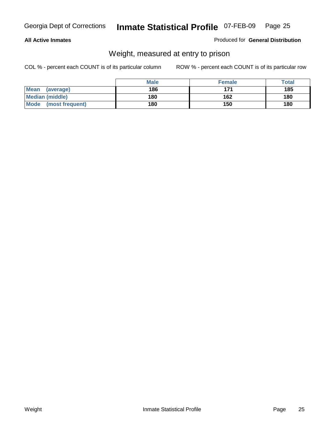#### **All Active Inmates**

#### Produced for **General Distribution**

### Weight, measured at entry to prison

|                                | <b>Male</b> | <b>Female</b> | Total |
|--------------------------------|-------------|---------------|-------|
| <b>Mean</b><br>(average)       | 186         | 171           | 185   |
| <b>Median (middle)</b>         | 180         | 162           | 180   |
| <b>Mode</b><br>(most frequent) | 180         | 150           | 180   |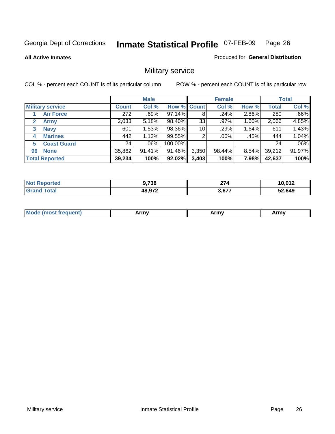**All Active Inmates**

#### Produced for **General Distribution**

### Military service

|                         |              | <b>Male</b> |             |       | <b>Female</b> |          |              | <b>Total</b> |
|-------------------------|--------------|-------------|-------------|-------|---------------|----------|--------------|--------------|
| <b>Military service</b> | <b>Count</b> | Col %       | Row % Count |       | Col %         | Row %    | <b>Total</b> | Col %        |
| <b>Air Force</b>        | 272          | .69%        | 97.14%      | 8     | .24%          | 2.86%    | 280          | .66%         |
| <b>Army</b>             | 2,033        | 5.18%       | 98.40%      | 33    | .97%          | 1.60%    | 2,066        | 4.85%        |
| <b>Navy</b><br>3        | 601          | 1.53%       | 98.36%      | 10    | .29%          | 1.64%    | 611          | 1.43%        |
| <b>Marines</b><br>4     | 442          | 1.13%       | 99.55%      | ົ     | $.06\%$       | .45%     | 444          | 1.04%        |
| <b>Coast Guard</b><br>5 | 24           | $.06\%$     | 100.00%     |       |               |          | 24           | .06%         |
| <b>None</b><br>96       | 35,862       | 91.41%      | 91.46%      | 3,350 | 98.44%        | $8.54\%$ | 39,212       | 91.97%       |
| <b>Total Reported</b>   | 39,234       | 100%        | 92.02%      | 3,403 | 100%          | 7.98%    | 42,637       | 100%         |

| N      | 700<br>70 ا | ~~<br>41 T     | 10,012 |
|--------|-------------|----------------|--------|
| $\sim$ | 48,972      | 2.677<br>ו ס.כ | 52,649 |

|  | <b>Mode</b><br>reauent)<br>.ost if | Army | Army | Army |
|--|------------------------------------|------|------|------|
|--|------------------------------------|------|------|------|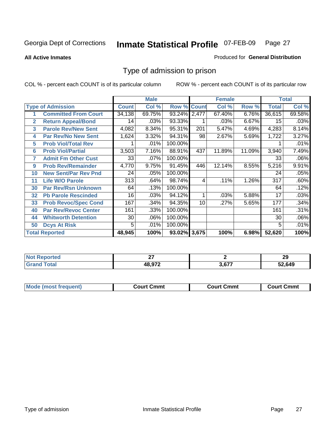**All Active Inmates**

#### Produced for **General Distribution**

### Type of admission to prison

|                |                             |              | <b>Male</b> |              |              | <b>Female</b> |        |              | <b>Total</b> |
|----------------|-----------------------------|--------------|-------------|--------------|--------------|---------------|--------|--------------|--------------|
|                | <b>Type of Admission</b>    | <b>Count</b> | Col %       | Row %        | <b>Count</b> | Col %         | Row %  | <b>Total</b> | Col %        |
| 1              | <b>Committed From Court</b> | 34,138       | 69.75%      | 93.24% 2,477 |              | 67.40%        | 6.76%  | 36,615       | 69.58%       |
| $\overline{2}$ | <b>Return Appeal/Bond</b>   | 14           | .03%        | 93.33%       |              | .03%          | 6.67%  | 15           | .03%         |
| 3              | <b>Parole Rev/New Sent</b>  | 4,082        | 8.34%       | 95.31%       | 201          | 5.47%         | 4.69%  | 4,283        | 8.14%        |
| 4              | <b>Par Rev/No New Sent</b>  | 1,624        | 3.32%       | 94.31%       | 98           | 2.67%         | 5.69%  | 1,722        | 3.27%        |
| 5              | <b>Prob Viol/Total Rev</b>  |              | .01%        | 100.00%      |              |               |        |              | .01%         |
| 6              | <b>Prob Viol/Partial</b>    | 3,503        | 7.16%       | 88.91%       | 437          | 11.89%        | 11.09% | 3,940        | 7.49%        |
| 7              | <b>Admit Fm Other Cust</b>  | 33           | .07%        | 100.00%      |              |               |        | 33           | .06%         |
| 9              | <b>Prob Rev/Remainder</b>   | 4,770        | 9.75%       | 91.45%       | 446          | 12.14%        | 8.55%  | 5,216        | 9.91%        |
| 10             | <b>New Sent/Par Rev Pnd</b> | 24           | .05%        | 100.00%      |              |               |        | 24           | .05%         |
| 11             | <b>Life W/O Parole</b>      | 313          | .64%        | 98.74%       | 4            | .11%          | 1.26%  | 317          | .60%         |
| 30             | <b>Par Rev/Rsn Unknown</b>  | 64           | .13%        | 100.00%      |              |               |        | 64           | .12%         |
| 32             | <b>Pb Parole Rescinded</b>  | 16           | .03%        | 94.12%       | 1            | .03%          | 5.88%  | 17           | .03%         |
| 33             | <b>Prob Revoc/Spec Cond</b> | 167          | .34%        | 94.35%       | 10           | .27%          | 5.65%  | 177          | .34%         |
| 40             | <b>Par Rev/Revoc Center</b> | 161          | .33%        | 100.00%      |              |               |        | 161          | .31%         |
| 44             | <b>Whitworth Detention</b>  | 30           | .06%        | 100.00%      |              |               |        | 30           | .06%         |
| 50             | <b>Dcys At Risk</b>         | 5            | .01%        | 100.00%      |              |               |        | 5            | .01%         |
|                | <b>Total Reported</b>       | 48,945       | 100%        | 93.02% 3,675 |              | 100%          | 6.98%  | 52,620       | 100%         |

| Reported<br><b>NOT</b> | $\sim$<br>.  |        | ה ה<br>29 |
|------------------------|--------------|--------|-----------|
| ั้วta.<br>_____        | $\sim$<br>__ | $\sim$ | .649      |

| Mo<br>Cmmt<br>Cmmt<br>Court Cmmt<br>:nurt<br>∵∩urt เ<br>most trea |  |  |
|-------------------------------------------------------------------|--|--|
|                                                                   |  |  |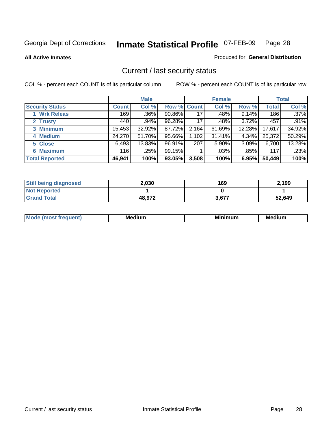**All Active Inmates**

#### Produced for **General Distribution**

### Current / last security status

|                        |         | <b>Male</b> |                    |       | <b>Female</b> |        |              | <b>Total</b> |
|------------------------|---------|-------------|--------------------|-------|---------------|--------|--------------|--------------|
| <b>Security Status</b> | Count l | Col %       | <b>Row % Count</b> |       | Col %         | Row %  | <b>Total</b> | Col %        |
| 1 Wrk Releas           | 169     | $.36\%$     | 90.86%             | 17    | .48%          | 9.14%  | 186          | $.37\%$      |
| 2 Trusty               | 440     | .94%        | 96.28%             | 17    | .48%          | 3.72%  | 457          | .91%         |
| 3 Minimum              | 15,453  | 32.92%      | 87.72%             | 2,164 | 61.69%        | 12.28% | 17,617       | 34.92%       |
| 4 Medium               | 24,270  | 51.70%      | 95.66%             | 1,102 | 31.41%        | 4.34%  | 25,372       | 50.29%       |
| 5 Close                | 6,493   | 13.83%      | 96.91%             | 207   | 5.90%         | 3.09%  | 6,700        | 13.28%       |
| <b>6 Maximum</b>       | 116     | .25%        | 99.15%             |       | $.03\%$       | .85%   | 117          | .23%         |
| <b>Total Reported</b>  | 46,941  | 100%        | 93.05%             | 3,508 | 100%          | 6.95%  | 50,449       | 100%         |

| <b>Still being diagnosed</b> | 2,030  | 169   | 2,199  |
|------------------------------|--------|-------|--------|
| <b>Not Reported</b>          |        |       |        |
| <b>Grand Total</b>           | 48.972 | 3,677 | 52,649 |

| M.<br>.<br>--<br>M.<br><b>ALL 1999</b><br>----<br>w. |  |  |
|------------------------------------------------------|--|--|
|                                                      |  |  |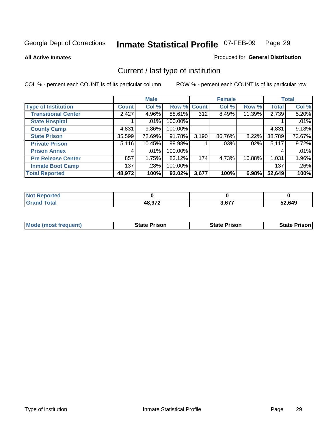**All Active Inmates**

#### Produced for **General Distribution**

### Current / last type of institution

|                            |              | <b>Male</b> |         |                  | <b>Female</b> |        |              | <b>Total</b> |
|----------------------------|--------------|-------------|---------|------------------|---------------|--------|--------------|--------------|
| <b>Type of Institution</b> | <b>Count</b> | Col %       | Row %   | <b>Count</b>     | Col %         | Row %  | <b>Total</b> | Col %        |
| <b>Transitional Center</b> | 2,427        | 4.96%       | 88.61%  | $\overline{312}$ | 8.49%         | 11.39% | 2,739        | 5.20%        |
| <b>State Hospital</b>      |              | $.01\%$     | 100.00% |                  |               |        |              | .01%         |
| <b>County Camp</b>         | 4,831        | $9.86\%$    | 100.00% |                  |               |        | 4,831        | 9.18%        |
| <b>State Prison</b>        | 35,599       | 72.69%      | 91.78%  | 3,190            | 86.76%        | 8.22%  | 38,789       | 73.67%       |
| <b>Private Prison</b>      | 5,116        | 10.45%      | 99.98%  |                  | .03%          | .02%   | 5,117        | 9.72%        |
| <b>Prison Annex</b>        | 4            | .01%        | 100.00% |                  |               |        | 4            | .01%         |
| <b>Pre Release Center</b>  | 857          | 1.75%       | 83.12%  | 174              | 4.73%         | 16.88% | 1,031        | 1.96%        |
| <b>Inmate Boot Camp</b>    | 137          | .28%        | 100.00% |                  |               |        | 137          | .26%         |
| <b>Total Reported</b>      | 48,972       | 100%        | 93.02%  | 3,677            | 100%          | 6.98%  | 52,649       | 100%         |

| <b>Not</b><br>Reported |        |       |        |
|------------------------|--------|-------|--------|
| <b>Grand Total</b>     | 48,972 | 3.677 | 52,649 |

| <b>Mode (most frequent)</b> | State Prison | <b>State Prison</b> | <b>State Prison I</b> |
|-----------------------------|--------------|---------------------|-----------------------|
|                             |              |                     |                       |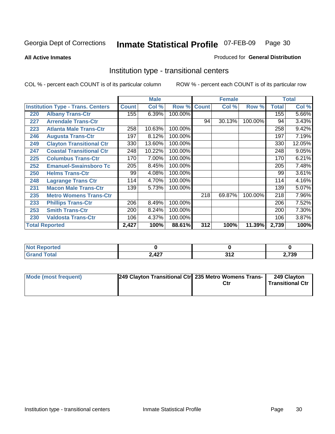**All Active Inmates**

#### Produced for **General Distribution**

### Institution type - transitional centers

|     |                                          |              | <b>Male</b> |         |              | <b>Female</b> |         |       | <b>Total</b> |
|-----|------------------------------------------|--------------|-------------|---------|--------------|---------------|---------|-------|--------------|
|     | <b>Institution Type - Trans. Centers</b> | <b>Count</b> | Col %       | Row %   | <b>Count</b> | Col %         | Row %   | Total | Col %        |
| 220 | <b>Albany Trans-Ctr</b>                  | 155          | 6.39%       | 100.00% |              |               |         | 155   | 5.66%        |
| 227 | <b>Arrendale Trans-Ctr</b>               |              |             |         | 94           | 30.13%        | 100.00% | 94    | 3.43%        |
| 223 | <b>Atlanta Male Trans-Ctr</b>            | 258          | 10.63%      | 100.00% |              |               |         | 258   | 9.42%        |
| 246 | <b>Augusta Trans-Ctr</b>                 | 197          | 8.12%       | 100.00% |              |               |         | 197   | 7.19%        |
| 249 | <b>Clayton Transitional Ctr</b>          | 330          | 13.60%      | 100.00% |              |               |         | 330   | 12.05%       |
| 247 | <b>Coastal Transitional Ctr</b>          | 248          | 10.22%      | 100.00% |              |               |         | 248   | 9.05%        |
| 225 | <b>Columbus Trans-Ctr</b>                | 170          | 7.00%       | 100.00% |              |               |         | 170   | 6.21%        |
| 252 | <b>Emanuel-Swainsboro Tc</b>             | 205          | 8.45%       | 100.00% |              |               |         | 205   | 7.48%        |
| 250 | <b>Helms Trans-Ctr</b>                   | 99           | 4.08%       | 100.00% |              |               |         | 99    | 3.61%        |
| 248 | <b>Lagrange Trans Ctr</b>                | 114          | 4.70%       | 100.00% |              |               |         | 114   | 4.16%        |
| 231 | <b>Macon Male Trans-Ctr</b>              | 139          | 5.73%       | 100.00% |              |               |         | 139   | 5.07%        |
| 235 | <b>Metro Womens Trans-Ctr</b>            |              |             |         | 218          | 69.87%        | 100.00% | 218   | 7.96%        |
| 233 | <b>Phillips Trans-Ctr</b>                | 206          | 8.49%       | 100.00% |              |               |         | 206   | 7.52%        |
| 253 | <b>Smith Trans-Ctr</b>                   | 200          | 8.24%       | 100.00% |              |               |         | 200   | 7.30%        |
| 230 | <b>Valdosta Trans-Ctr</b>                | 106          | 4.37%       | 100.00% |              |               |         | 106   | 3.87%        |
|     | <b>Total Reported</b>                    | 2,427        | 100%        | 88.61%  | 312          | 100%          | 11.39%  | 2,739 | 100%         |

| <b>N</b><br>ntea |       |                        |     |
|------------------|-------|------------------------|-----|
|                  | 2,427 | , , ,<br>$\sim$ $\sim$ | 739 |

| <b>Mode (most frequent)</b> | 249 Clayton Transitional Ctrl 235 Metro Womens Trans- | Ctr | 249 Clayton<br><b>Transitional Ctr</b> |
|-----------------------------|-------------------------------------------------------|-----|----------------------------------------|
|                             |                                                       |     |                                        |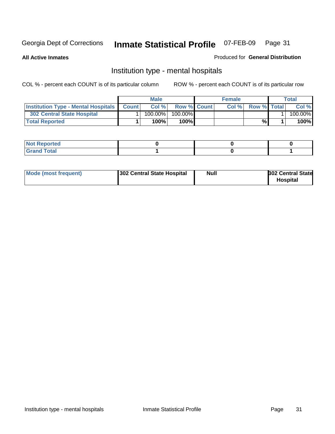**All Active Inmates**

#### Produced for **General Distribution**

### Institution type - mental hospitals

|                                                  | Male       |                    | <b>Female</b> |                    | Total   |
|--------------------------------------------------|------------|--------------------|---------------|--------------------|---------|
| <b>Institution Type - Mental Hospitals Count</b> | Col %      | <b>Row % Count</b> | Col%          | <b>Row % Total</b> | Col %   |
| 302 Central State Hospital                       | $100.00\%$ | 100.00%            |               |                    | 100.00% |
| <b>Total Reported</b>                            | 100%       | 100%I              |               | %                  | 100%    |

| Not Reported |  |  |
|--------------|--|--|
| <b>otal</b>  |  |  |

| Mode (most frequent)<br>302 Central State Hospital | Null | <b>302 Central State</b><br><b>Hospital</b> |
|----------------------------------------------------|------|---------------------------------------------|
|----------------------------------------------------|------|---------------------------------------------|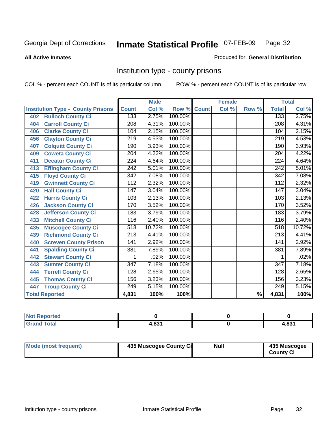#### **All Active Inmates**

#### Produced for **General Distribution**

### Institution type - county prisons

|                                          |                  | <b>Male</b> |         |              | <b>Female</b> |                          |                  | <b>Total</b>               |
|------------------------------------------|------------------|-------------|---------|--------------|---------------|--------------------------|------------------|----------------------------|
| <b>Institution Type - County Prisons</b> | <b>Count</b>     | Col %       | Row %   | <b>Count</b> | Col %         | Row %                    | <b>Total</b>     | $\overline{\text{Col }^9}$ |
| <b>Bulloch County Ci</b><br>402          | 133              | 2.75%       | 100.00% |              |               |                          | 133              | 2.75%                      |
| <b>Carroll County Ci</b><br>404          | $\overline{208}$ | 4.31%       | 100.00% |              |               |                          | $\overline{208}$ | 4.31%                      |
| <b>Clarke County Ci</b><br>406           | 104              | 2.15%       | 100.00% |              |               |                          | 104              | 2.15%                      |
| <b>Clayton County Ci</b><br>456          | 219              | 4.53%       | 100.00% |              |               |                          | 219              | 4.53%                      |
| <b>Colquitt County Ci</b><br>407         | 190              | 3.93%       | 100.00% |              |               |                          | 190              | 3.93%                      |
| <b>Coweta County Ci</b><br>409           | $\overline{204}$ | 4.22%       | 100.00% |              |               |                          | $\overline{204}$ | 4.22%                      |
| <b>Decatur County Ci</b><br>411          | $\overline{2}24$ | 4.64%       | 100.00% |              |               |                          | 224              | 4.64%                      |
| <b>Effingham County Ci</b><br>413        | 242              | 5.01%       | 100.00% |              |               |                          | 242              | 5.01%                      |
| <b>Floyd County Ci</b><br>415            | $\overline{342}$ | 7.08%       | 100.00% |              |               |                          | $\overline{342}$ | 7.08%                      |
| <b>Gwinnett County Ci</b><br>419         | $\overline{112}$ | 2.32%       | 100.00% |              |               |                          | $\overline{112}$ | 2.32%                      |
| <b>Hall County Ci</b><br>420             | $\overline{147}$ | 3.04%       | 100.00% |              |               |                          | $\overline{147}$ | 3.04%                      |
| <b>Harris County Ci</b><br>422           | 103              | 2.13%       | 100.00% |              |               |                          | 103              | 2.13%                      |
| <b>Jackson County Ci</b><br>426          | 170              | 3.52%       | 100.00% |              |               |                          | 170              | 3.52%                      |
| <b>Jefferson County Ci</b><br>428        | 183              | 3.79%       | 100.00% |              |               |                          | 183              | 3.79%                      |
| <b>Mitchell County Ci</b><br>433         | 116              | 2.40%       | 100.00% |              |               |                          | 116              | 2.40%                      |
| <b>Muscogee County Ci</b><br>435         | 518              | 10.72%      | 100.00% |              |               |                          | 518              | 10.72%                     |
| <b>Richmond County Ci</b><br>439         | $\overline{213}$ | 4.41%       | 100.00% |              |               |                          | $\overline{213}$ | 4.41%                      |
| <b>Screven County Prison</b><br>440      | $\overline{141}$ | 2.92%       | 100.00% |              |               |                          | 141              | 2.92%                      |
| <b>Spalding County Ci</b><br>441         | 381              | 7.89%       | 100.00% |              |               |                          | 381              | 7.89%                      |
| <b>Stewart County Ci</b><br>442          | 1                | .02%        | 100.00% |              |               |                          | 1                | .02%                       |
| <b>Sumter County Ci</b><br>443           | $\overline{347}$ | 7.18%       | 100.00% |              |               |                          | $\overline{347}$ | 7.18%                      |
| <b>Terrell County Ci</b><br>444          | 128              | 2.65%       | 100.00% |              |               |                          | 128              | 2.65%                      |
| <b>Thomas County Ci</b><br>445           | 156              | 3.23%       | 100.00% |              |               |                          | 156              | 3.23%                      |
| <b>Troup County Ci</b><br>447            | 249              | 5.15%       | 100.00% |              |               |                          | 249              | 5.15%                      |
| <b>Total Reported</b>                    | 4,831            | 100%        | 100%    |              |               | $\overline{\frac{9}{6}}$ | 4,831            | 100%                       |

| τeα                                                                   |       |     |
|-----------------------------------------------------------------------|-------|-----|
| $n \leftrightarrow n$<br>$\sim$<br>$\sim$ $\sim$ $\sim$ $\sim$ $\sim$ | ג החו | 024 |

| Mode (most frequent) | 435 Muscogee County Ci | <b>Null</b> | 435 Muscogee     |
|----------------------|------------------------|-------------|------------------|
|                      |                        |             | <b>County Ci</b> |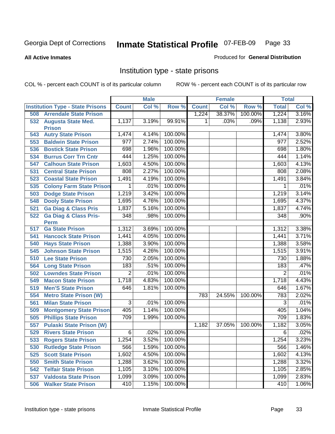**All Active Inmates**

#### Produced for **General Distribution**

### Institution type - state prisons

|     |                                            |                  | <b>Male</b> |               |              | <b>Female</b> |         | <b>Total</b>   |       |
|-----|--------------------------------------------|------------------|-------------|---------------|--------------|---------------|---------|----------------|-------|
|     | <b>Institution Type - State Prisons</b>    | <b>Count</b>     | Col %       | Row %         | <b>Count</b> | Col %         | Row %   | <b>Total</b>   | Col % |
| 508 | <b>Arrendale State Prison</b>              |                  |             |               | 1,224        | 38.37%        | 100.00% | 1,224          | 3.16% |
| 532 | <b>Augusta State Med.</b><br><b>Prison</b> | 1,137            | 3.19%       | 99.91%        | 1            | .03%          | .09%    | 1,138          | 2.93% |
| 543 | <b>Autry State Prison</b>                  | 1,474            | 4.14%       | 100.00%       |              |               |         | 1,474          | 3.80% |
| 553 | <b>Baldwin State Prison</b>                | $\overline{977}$ | 2.74%       | 100.00%       |              |               |         | 977            | 2.52% |
| 536 | <b>Bostick State Prison</b>                | 698              | 1.96%       | 100.00%       |              |               |         | 698            | 1.80% |
| 534 | <b>Burrus Corr Trn Cntr</b>                | 444              | 1.25%       | 100.00%       |              |               |         | 444            | 1.14% |
| 547 | <b>Calhoun State Prison</b>                | 1,603            | 4.50%       | 100.00%       |              |               |         | 1,603          | 4.13% |
| 531 | <b>Central State Prison</b>                | 808              | 2.27%       | 100.00%       |              |               |         | 808            | 2.08% |
| 523 | <b>Coastal State Prison</b>                | 1,491            | 4.19%       | 100.00%       |              |               |         | 1,491          | 3.84% |
| 535 | <b>Colony Farm State Prison</b>            | 1                | .01%        | 100.00%       |              |               |         | 1              | .01%  |
| 503 | <b>Dodge State Prison</b>                  | 1,219            | 3.42%       | 100.00%       |              |               |         | 1,219          | 3.14% |
| 548 | <b>Dooly State Prison</b>                  | 1,695            | 4.76%       | 100.00%       |              |               |         | 1,695          | 4.37% |
| 521 | <b>Ga Diag &amp; Class Pris</b>            | 1,837            | 5.16%       | 100.00%       |              |               |         | 1,837          | 4.74% |
| 522 | Ga Diag & Class Pris-                      | 348              | .98%        | 100.00%       |              |               |         | 348            | .90%  |
|     | <b>Perm</b>                                |                  |             |               |              |               |         |                |       |
| 517 | <b>Ga State Prison</b>                     | 1,312            | 3.69%       | 100.00%       |              |               |         | 1,312          | 3.38% |
| 541 | <b>Hancock State Prison</b>                | 1,441            | 4.05%       | 100.00%       |              |               |         | 1,441          | 3.71% |
| 540 | <b>Hays State Prison</b>                   | 1,388            | 3.90%       | 100.00%       |              |               |         | 1,388          | 3.58% |
| 545 | <b>Johnson State Prison</b>                | 1,515            | 4.26%       | 100.00%       |              |               |         | 1,515          | 3.91% |
| 510 | <b>Lee State Prison</b>                    | 730              | 2.05%       | 100.00%       |              |               |         | 730            | 1.88% |
| 564 | <b>Long State Prison</b>                   | 183              | .51%        | 100.00%       |              |               |         | 183            | .47%  |
| 502 | <b>Lowndes State Prison</b>                | $\overline{2}$   | .01%        | 100.00%       |              |               |         | $\overline{2}$ | .01%  |
| 549 | <b>Macon State Prison</b>                  | 1,718            | 4.83%       | 100.00%       |              |               |         | 1,718          | 4.43% |
| 519 | <b>Men'S State Prison</b>                  | 646              | 1.81%       | 100.00%       |              |               |         | 646            | 1.67% |
| 554 | <b>Metro State Prison (W)</b>              |                  |             |               | 783          | 24.55%        | 100.00% | 783            | 2.02% |
| 561 | <b>Milan State Prison</b>                  | $\overline{3}$   | .01%        | 100.00%       |              |               |         | $\overline{3}$ | .01%  |
| 509 | <b>Montgomery State Prison</b>             | 405              | 1.14%       | 100.00%       |              |               |         | 405            | 1.04% |
| 505 | <b>Phillips State Prison</b>               | 709              | 1.99%       | 100.00%       |              |               |         | 709            | 1.83% |
| 557 | <b>Pulaski State Prison (W)</b>            |                  |             |               | 1,182        | 37.05%        | 100.00% | 1,182          | 3.05% |
| 529 | <b>Rivers State Prison</b>                 | 6                | .02%        | 100.00%       |              |               |         | 6              | .02%  |
|     | 533 Rogers State Prison                    | 1,254            | 3.52%       | 100.00%       |              |               |         | 1,254          | 3.23% |
|     | 530 Rutledge State Prison                  | 566              |             | 1.59% 100.00% |              |               |         | 566            | 1.46% |
| 525 | <b>Scott State Prison</b>                  | 1,602            | 4.50%       | 100.00%       |              |               |         | 1,602          | 4.13% |
| 550 | <b>Smith State Prison</b>                  | 1,288            | 3.62%       | 100.00%       |              |               |         | 1,288          | 3.32% |
| 542 | <b>Telfair State Prison</b>                | 1,105            | 3.10%       | 100.00%       |              |               |         | 1,105          | 2.85% |
|     | <b>537 Valdosta State Prison</b>           | 1,099            | 3.09%       | 100.00%       |              |               |         | 1,099          | 2.83% |
| 506 | <b>Walker State Prison</b>                 | 410              | 1.15%       | 100.00%       |              |               |         | 410            | 1.06% |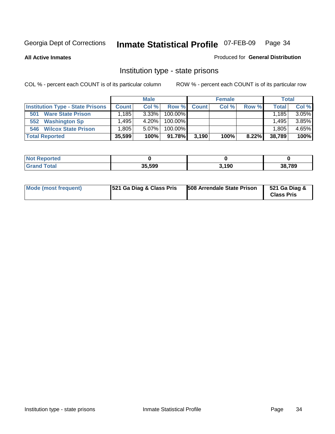**All Active Inmates**

#### Produced for **General Distribution**

### Institution type - state prisons

|                                         |              | <b>Male</b> |            |              | <b>Female</b> |       |              | <b>Total</b> |
|-----------------------------------------|--------------|-------------|------------|--------------|---------------|-------|--------------|--------------|
| <b>Institution Type - State Prisons</b> | <b>Count</b> | Col %       | Row %      | <b>Count</b> | Col %         | Row % | <b>Total</b> | Col %        |
| <b>Ware State Prison</b><br>501         | .185         | $3.33\%$    | $100.00\%$ |              |               |       | 1.185        | 3.05%        |
| 552<br><b>Washington Sp</b>             | .495         | 4.20%       | $100.00\%$ |              |               |       | 1.495        | 3.85%        |
| <b>Wilcox State Prison</b><br>546       | .805         | $5.07\%$    | $100.00\%$ |              |               |       | 1.805        | 4.65%        |
| <b>Total Reported</b>                   | 35,599       | 100%        | 91.78%     | 3,190        | 100%          | 8.22% | 38,789       | 100%         |

| keported<br>NOT |        |       |        |
|-----------------|--------|-------|--------|
| <b>Total</b>    | 35.599 | 3,190 | 38,789 |

| Mode (most frequent) | 521 Ga Diag & Class Pris | 508 Arrendale State Prison | 521 Ga Diag &<br><b>Class Pris</b> |
|----------------------|--------------------------|----------------------------|------------------------------------|
|----------------------|--------------------------|----------------------------|------------------------------------|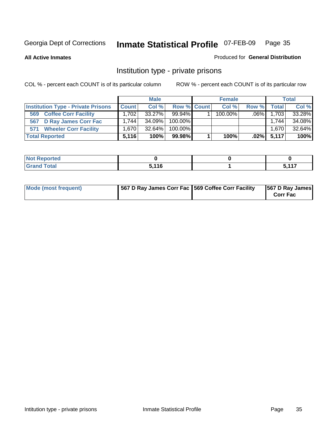**All Active Inmates**

#### Produced for **General Distribution**

### Institution type - private prisons

|                                           |              | <b>Male</b> |             | <b>Female</b> |         |              | <b>Total</b> |
|-------------------------------------------|--------------|-------------|-------------|---------------|---------|--------------|--------------|
| <b>Institution Type - Private Prisons</b> | <b>Count</b> | Col %       | Row % Count | Col %         | Row %   | <b>Total</b> | Col %        |
| <b>Coffee Corr Facility</b><br>569        | 1.702        | $33.27\%$   | $99.94\%$   | $100.00\%$    | $.06\%$ | 1,703        | 33.28%       |
| <b>D Ray James Corr Fac</b><br>567        | 1.744        | 34.09%      | $100.00\%$  |               |         | 1.744        | 34.08%       |
| <b>Wheeler Corr Facility</b><br>571       | 1.670        | $32.64\%$   | $100.00\%$  |               |         | 1,670        | 32.64%       |
| <b>Total Reported</b>                     | 5.116        | 100%        | 99.98%      | 100%          | $.02\%$ | 5,117        | 100%         |

| Reported<br>NOT                             |       |                  |
|---------------------------------------------|-------|------------------|
| <b>Total</b><br>$\mathbf{v}$ . $\mathbf{u}$ | 5,116 | $\overline{447}$ |

| <b>Mode (most frequent)</b> | 567 D Ray James Corr Fac 569 Coffee Corr Facility |  | 567 D Ray James<br><b>Corr Fac</b> |
|-----------------------------|---------------------------------------------------|--|------------------------------------|
|-----------------------------|---------------------------------------------------|--|------------------------------------|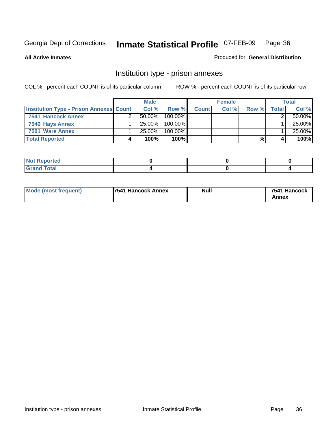**All Active Inmates**

#### Produced for **General Distribution**

### Institution type - prison annexes

|                                                | <b>Male</b> |            |              | <b>Female</b> |       |       | <b>Total</b> |
|------------------------------------------------|-------------|------------|--------------|---------------|-------|-------|--------------|
| <b>Institution Type - Prison Annexes Count</b> | Col %       | Row %      | <b>Count</b> | Col %         | Row % | Total | Col %        |
| 7541 Hancock Annex                             | $50.00\%$   | $100.00\%$ |              |               |       |       | 50.00%       |
| 7540 Hays Annex                                | $25.00\%$   | $100.00\%$ |              |               |       |       | 25.00%       |
| 7501 Ware Annex                                | $25.00\%$   | $100.00\%$ |              |               |       |       | 25.00%       |
| <b>Total Reported</b>                          | 100%        | 100%       |              |               | %     |       | 100%         |

| .cu  |  |  |
|------|--|--|
| ____ |  |  |

| Mode (most frequent) | <b>7541 Hancock Annex</b> | <b>Null</b> | 7541 Hancock<br>Annex |
|----------------------|---------------------------|-------------|-----------------------|
|----------------------|---------------------------|-------------|-----------------------|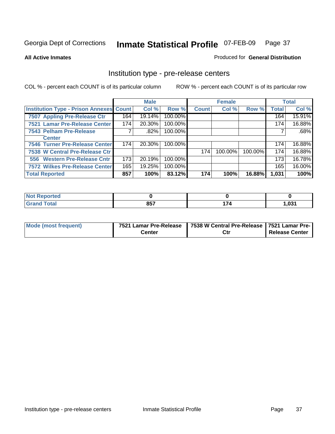### **All Active Inmates**

### Produced for **General Distribution**

# Institution type - pre-release centers

|                                                |     | <b>Male</b> |         |              | <b>Female</b> |         |              | <b>Total</b> |
|------------------------------------------------|-----|-------------|---------|--------------|---------------|---------|--------------|--------------|
| <b>Institution Type - Prison Annexes Count</b> |     | Col %       | Row %   | <b>Count</b> | Col %         | Row %   | <b>Total</b> | Col %        |
| 7507 Appling Pre-Release Ctr                   | 164 | 19.14%      | 100.00% |              |               |         | 164          | 15.91%       |
| 7521 Lamar Pre-Release Center                  | 174 | 20.30%      | 100.00% |              |               |         | 174          | 16.88%       |
| 7543 Pelham Pre-Release                        |     | $.82\%$     | 100.00% |              |               |         |              | .68%         |
| <b>Center</b>                                  |     |             |         |              |               |         |              |              |
| 7546 Turner Pre-Release Center                 | 174 | 20.30%      | 100.00% |              |               |         | 174          | 16.88%       |
| 7538 W Central Pre-Release Ctr                 |     |             |         | 174          | 100.00%       | 100.00% | 174          | 16.88%       |
| 556 Western Pre-Release Cntr                   | 173 | 20.19%      | 100.00% |              |               |         | 173          | 16.78%       |
| <b>7572 Wilkes Pre-Release Center</b>          | 165 | 19.25%      | 100.00% |              |               |         | 165          | 16.00%       |
| <b>Total Reported</b>                          | 857 | 100%        | 83.12%  | 174          | 100%          | 16.88%  | 1,031        | 100%         |

| Reported                     |     |    |       |
|------------------------------|-----|----|-------|
| <b>Total</b><br><b>Grand</b> | 857 | 74 | 1,031 |

| Mode (most frequent) | 7521 Lamar Pre-Release | 7538 W Central Pre-Release 7521 Lamar Pre- |                |
|----------------------|------------------------|--------------------------------------------|----------------|
|                      | Center                 | Ctr                                        | Release Center |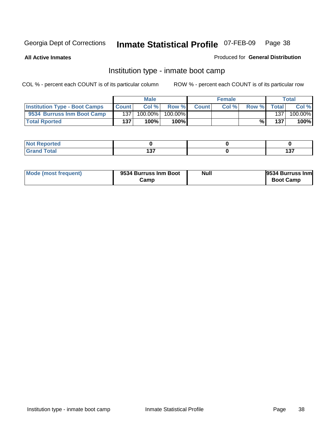**All Active Inmates**

## Produced for **General Distribution**

# Institution type - inmate boot camp

|                                      |              | <b>Male</b> |            |              | <b>Female</b> |       |       | Total   |
|--------------------------------------|--------------|-------------|------------|--------------|---------------|-------|-------|---------|
| <b>Institution Type - Boot Camps</b> | <b>Count</b> | Col %       | Row %      | <b>Count</b> | Col%          | Row % | Total | Col %   |
| 9534 Burruss Inm Boot Camp           | 137          | 100.00%     | $100.00\%$ |              |               |       | 137   | 100.00% |
| <b>Total Rported</b>                 | 137          | 100%        | 100%       |              |               | %     | 137   | 100%    |

| Reported                        |             |                   |
|---------------------------------|-------------|-------------------|
| <b>otal</b><br><b>C</b> re<br>_ | ៱៝<br>1 J I | 107<br>w<br>$  -$ |

| Mode (most frequent) | 9534 Burruss Inm Boot | Null | 9534 Burruss Inm |
|----------------------|-----------------------|------|------------------|
|                      | Camp                  |      | <b>Boot Camp</b> |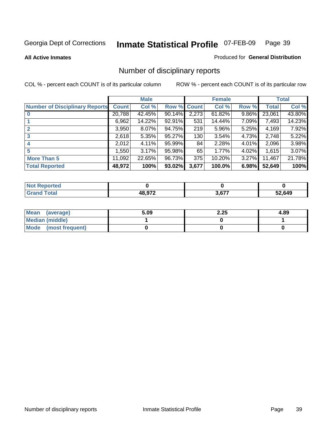**All Active Inmates**

### Produced for **General Distribution**

# Number of disciplinary reports

|                                       |              | <b>Male</b> |        |              | <b>Female</b> |          |              | <b>Total</b> |
|---------------------------------------|--------------|-------------|--------|--------------|---------------|----------|--------------|--------------|
| <b>Number of Disciplinary Reports</b> | <b>Count</b> | Col %       | Row %  | <b>Count</b> | Col %         | Row %    | <b>Total</b> | Col %        |
|                                       | 20,788       | 42.45%      | 90.14% | 2,273        | 61.82%        | $9.86\%$ | 23,061       | 43.80%       |
|                                       | 6,962        | 14.22%      | 92.91% | 531          | 14.44%        | 7.09%    | 7,493        | 14.23%       |
| $\mathbf{2}$                          | 3,950        | 8.07%       | 94.75% | 219          | 5.96%         | 5.25%    | 4,169        | 7.92%        |
| 3                                     | 2,618        | 5.35%       | 95.27% | 130          | 3.54%         | 4.73%    | 2,748        | 5.22%        |
|                                       | 2,012        | $4.11\%$    | 95.99% | 84           | 2.28%         | 4.01%    | 2,096        | 3.98%        |
| 5                                     | .550         | 3.17%       | 95.98% | 65           | 1.77%         | 4.02%    | 1,615        | 3.07%        |
| <b>More Than 5</b>                    | 11,092       | 22.65%      | 96.73% | 375          | 10.20%        | $3.27\%$ | 11,467       | 21.78%       |
| <b>Total Reported</b>                 | 48,972       | 100%        | 93.02% | 3,677        | 100.0%        | 6.98%    | 52,649       | 100%         |

| .<br>N                                   |               |             |        |
|------------------------------------------|---------------|-------------|--------|
| $\mathcal{L}$ of $\mathcal{L}$<br>______ | <b>18 Q72</b> | <b>0077</b> | 52.649 |

| Mean (average)       | 5.09 | 2.25 | 4.89 |
|----------------------|------|------|------|
| Median (middle)      |      |      |      |
| Mode (most frequent) |      |      |      |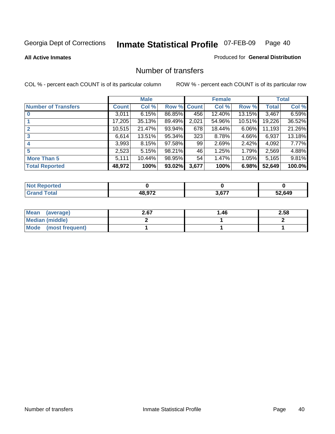### **All Active Inmates**

## Produced for **General Distribution**

# Number of transfers

|                            |         | <b>Male</b> |        |              | <b>Female</b> |           |              | <b>Total</b> |
|----------------------------|---------|-------------|--------|--------------|---------------|-----------|--------------|--------------|
| <b>Number of Transfers</b> | Count l | Col %       | Row %  | <b>Count</b> | Col %         | Row %     | <b>Total</b> | Col %        |
|                            | 3,011   | 6.15%       | 86.85% | 456          | 12.40%        | 13.15%    | 3,467        | 6.59%        |
|                            | 17,205  | 35.13%      | 89.49% | 2,021        | 54.96%        | $10.51\%$ | 19,226       | 36.52%       |
|                            | 10,515  | 21.47%      | 93.94% | 678          | 18.44%        | $6.06\%$  | 11,193       | 21.26%       |
| 3                          | 6,614   | 13.51%      | 95.34% | 323          | 8.78%         | 4.66%     | 6,937        | 13.18%       |
|                            | 3,993   | 8.15%       | 97.58% | 99           | 2.69%         | 2.42%     | 4,092        | 7.77%        |
| 5                          | 2,523   | 5.15%       | 98.21% | 46           | 1.25%         | 1.79%     | 2,569        | 4.88%        |
| <b>More Than 5</b>         | 5,111   | $10.44\%$   | 98.95% | 54           | 1.47%         | $1.05\%$  | 5,165        | 9.81%        |
| <b>Total Reported</b>      | 48,972  | 100%        | 93.02% | 3,677        | 100%          | 6.98%     | 52,649       | 100.0%       |

| N         |        |     |      |
|-----------|--------|-----|------|
| $\sim$ 10 | 10.072 | c77 | .649 |
| ______    |        |     | --   |

| Mean (average)       | 2.67 | 46. ا | 2.58 |
|----------------------|------|-------|------|
| Median (middle)      |      |       |      |
| Mode (most frequent) |      |       |      |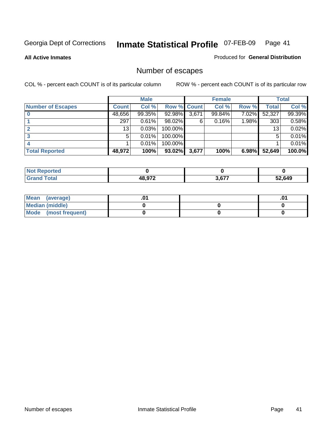**All Active Inmates**

## Produced for **General Distribution**

# Number of escapes

|                          |         | <b>Male</b> |             |       | <b>Female</b> |          |              | <b>Total</b> |
|--------------------------|---------|-------------|-------------|-------|---------------|----------|--------------|--------------|
| <b>Number of Escapes</b> | Count l | Col %       | Row % Count |       | Col %         | Row %    | <b>Total</b> | Col %        |
|                          | 48,656  | 99.35%      | 92.98%      | 3,671 | 99.84%        | $7.02\%$ | 52,327       | 99.39%       |
|                          | 297     | 0.61%       | 98.02%      | 6     | 0.16%         | $1.98\%$ | 303          | 0.58%        |
|                          | 13      | 0.03%       | $100.00\%$  |       |               |          | 13           | 0.02%        |
|                          | 5.      | 0.01%       | 100.00%     |       |               |          | 5            | 0.01%        |
|                          |         | 0.01%       | 100.00%     |       |               |          |              | 0.01%        |
| <b>Total Reported</b>    | 48,972  | 100%        | 93.02%      | 3,677 | 100%          | 6.98%    | 52,649       | 100.0%       |

| тес |                 |               |        |
|-----|-----------------|---------------|--------|
|     | הדה הו<br>- - - | 2.677<br>$ -$ | 52.649 |

| <b>Mean</b><br>(average) |  | .0 |
|--------------------------|--|----|
| Median (middle)          |  |    |
| Mode (most frequent)     |  |    |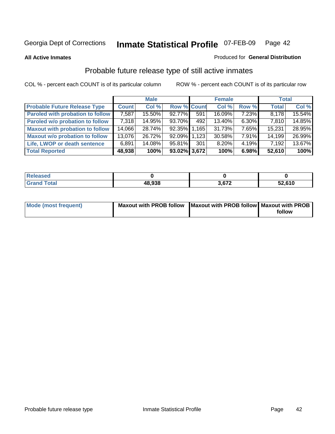**All Active Inmates**

## Produced for **General Distribution**

# Probable future release type of still active inmates

|                                         |              | <b>Male</b> |                    |     | <b>Female</b> |          | <b>Total</b> |        |
|-----------------------------------------|--------------|-------------|--------------------|-----|---------------|----------|--------------|--------|
| <b>Probable Future Release Type</b>     | <b>Count</b> | Col %       | <b>Row % Count</b> |     | Col %         | Row %    | <b>Total</b> | Col %  |
| <b>Paroled with probation to follow</b> | 7,587        | 15.50%      | 92.77%             | 591 | 16.09%        | 7.23%    | 8,178        | 15.54% |
| Paroled w/o probation to follow         | 7,318        | 14.95%      | 93.70%             | 492 | 13.40%        | 6.30%    | 7,810        | 14.85% |
| <b>Maxout with probation to follow</b>  | 14,066       | 28.74%      | 92.35% 1.165       |     | 31.73%        | 7.65%    | 15,231       | 28.95% |
| <b>Maxout w/o probation to follow</b>   | 13,076       | 26.72%      | 92.09% 1.123       |     | 30.58%        | $7.91\%$ | 14,199       | 26.99% |
| Life, LWOP or death sentence            | 6,891        | 14.08%      | 95.81%             | 301 | 8.20%         | $4.19\%$ | 7,192        | 13.67% |
| <b>Total Reported</b>                   | 48,938       | 100%        | 93.02% 3,672       |     | 100%          | 6.98%    | 52,610       | 100%   |

| Released                  |        |       |        |
|---------------------------|--------|-------|--------|
| Total<br>Gra <sup>r</sup> | 48,938 | 2.672 | 52,610 |

| Mode (most frequent) | Maxout with PROB follow   Maxout with PROB follow   Maxout with PROB |        |
|----------------------|----------------------------------------------------------------------|--------|
|                      |                                                                      | follow |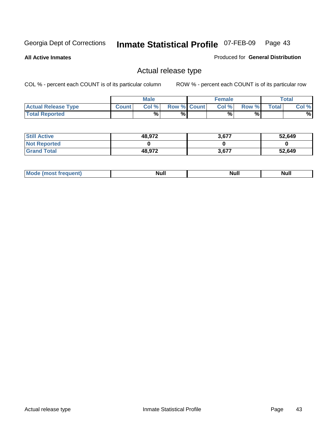**All Active Inmates**

Produced for **General Distribution**

# Actual release type

|                            |              | <b>Male</b> |                    | <b>Female</b> |       |       | Total |
|----------------------------|--------------|-------------|--------------------|---------------|-------|-------|-------|
| <b>Actual Release Type</b> | <b>Count</b> | Col %       | <b>Row % Count</b> | Col %         | Row % | Total | Col % |
| <b>Total Reported</b>      |              | $\%$        | %                  | %             | %     |       | %     |

| <b>Still Active</b> | 48,972 | 3,677 | 52,649 |
|---------------------|--------|-------|--------|
| <b>Not Reported</b> |        |       |        |
| <b>Grand Total</b>  | 48,972 | 3,677 | 52,649 |

| M | <b>TWIL</b> | TVUIL |
|---|-------------|-------|
|   |             |       |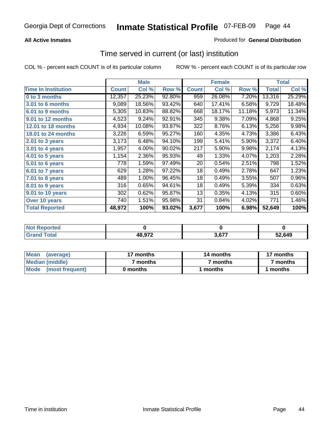## **All Active Inmates**

## Produced for **General Distribution**

# Time served in current (or last) institution

|                            |              | <b>Male</b> |        |              | <b>Female</b> |        |        | <b>Total</b> |
|----------------------------|--------------|-------------|--------|--------------|---------------|--------|--------|--------------|
| <b>Time In Institution</b> | <b>Count</b> | Col %       | Row %  | <b>Count</b> | Col %         | Row %  | Total  | Col %        |
| 0 to 3 months              | 12,357       | 25.23%      | 92.80% | 959          | 26.08%        | 7.20%  | 13,316 | 25.29%       |
| 3.01 to 6 months           | 9,089        | 18.56%      | 93.42% | 640          | 17.41%        | 6.58%  | 9,729  | 18.48%       |
| 6.01 to 9 months           | 5,305        | 10.83%      | 88.82% | 668          | 18.17%        | 11.18% | 5,973  | 11.34%       |
| 9.01 to 12 months          | 4,523        | 9.24%       | 92.91% | 345          | 9.38%         | 7.09%  | 4,868  | 9.25%        |
| 12.01 to 18 months         | 4,934        | 10.08%      | 93.87% | 322          | 8.76%         | 6.13%  | 5,256  | 9.98%        |
| <b>18.01 to 24 months</b>  | 3,226        | 6.59%       | 95.27% | 160          | 4.35%         | 4.73%  | 3,386  | 6.43%        |
| 2.01 to 3 years            | 3,173        | 6.48%       | 94.10% | 199          | 5.41%         | 5.90%  | 3,372  | 6.40%        |
| 3.01 to 4 years            | 1,957        | 4.00%       | 90.02% | 217          | 5.90%         | 9.98%  | 2,174  | 4.13%        |
| 4.01 to 5 years            | 1,154        | 2.36%       | 95.93% | 49           | 1.33%         | 4.07%  | 1,203  | 2.28%        |
| 5.01 to 6 years            | 778          | 1.59%       | 97.49% | 20           | 0.54%         | 2.51%  | 798    | 1.52%        |
| 6.01 to 7 years            | 629          | 1.28%       | 97.22% | 18           | 0.49%         | 2.78%  | 647    | 1.23%        |
| 7.01 to 8 years            | 489          | 1.00%       | 96.45% | 18           | 0.49%         | 3.55%  | 507    | 0.96%        |
| 8.01 to 9 years            | 316          | 0.65%       | 94.61% | 18           | 0.49%         | 5.39%  | 334    | 0.63%        |
| 9.01 to 10 years           | 302          | 0.62%       | 95.87% | 13           | 0.35%         | 4.13%  | 315    | 0.60%        |
| Over 10 years              | 740          | 1.51%       | 95.98% | 31           | 0.84%         | 4.02%  | 771    | 1.46%        |
| <b>Total Reported</b>      | 48,972       | 100%        | 93.02% | 3,677        | 100%          | 6.98%  | 52,649 | 100%         |

| nrted<br>N |              |     |      |
|------------|--------------|-----|------|
| _____      | 48.972<br>__ | c77 | .649 |

| <b>Mean</b><br>(average) | 17 months | 14 months | 17 months |  |
|--------------------------|-----------|-----------|-----------|--|
| Median (middle)          | ' months  | 7 months  | 7 months  |  |
| Mode<br>(most frequent)  | 0 months  | months    | months    |  |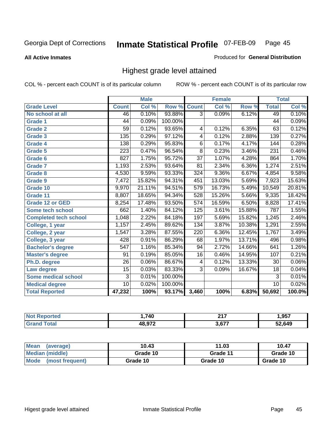**All Active Inmates**

### Produced for **General Distribution**

# Highest grade level attained

|                              |                  | <b>Male</b> |         |                  | <b>Female</b> |          |                 | <b>Total</b> |
|------------------------------|------------------|-------------|---------|------------------|---------------|----------|-----------------|--------------|
| <b>Grade Level</b>           | <b>Count</b>     | Col %       | Row %   | <b>Count</b>     | Col %         | Row %    | <b>Total</b>    | Col %        |
| No school at all             | 46               | 0.10%       | 93.88%  | $\overline{3}$   | 0.09%         | 6.12%    | 49              | 0.10%        |
| <b>Grade 1</b>               | 44               | 0.09%       | 100.00% |                  |               |          | $\overline{44}$ | 0.09%        |
| <b>Grade 2</b>               | $\overline{59}$  | 0.12%       | 93.65%  | 4                | 0.12%         | 6.35%    | 63              | 0.12%        |
| <b>Grade 3</b>               | 135              | 0.29%       | 97.12%  | 4                | 0.12%         | 2.88%    | 139             | 0.27%        |
| <b>Grade 4</b>               | 138              | 0.29%       | 95.83%  | $\overline{6}$   | 0.17%         | 4.17%    | 144             | 0.28%        |
| Grade 5                      | $\overline{223}$ | 0.47%       | 96.54%  | $\overline{8}$   | 0.23%         | 3.46%    | 231             | 0.46%        |
| Grade 6                      | $\overline{827}$ | 1.75%       | 95.72%  | $\overline{37}$  | 1.07%         | 4.28%    | 864             | 1.70%        |
| <b>Grade 7</b>               | 1,193            | 2.53%       | 93.64%  | $\overline{81}$  | 2.34%         | $6.36\%$ | 1,274           | 2.51%        |
| <b>Grade 8</b>               | 4,530            | 9.59%       | 93.33%  | 324              | 9.36%         | 6.67%    | 4,854           | 9.58%        |
| Grade 9                      | 7,472            | 15.82%      | 94.31%  | 451              | 13.03%        | 5.69%    | 7,923           | 15.63%       |
| Grade 10                     | 9,970            | 21.11%      | 94.51%  | 579              | 16.73%        | 5.49%    | 10,549          | 20.81%       |
| Grade 11                     | 8,807            | 18.65%      | 94.34%  | 528              | 15.26%        | 5.66%    | 9,335           | 18.42%       |
| <b>Grade 12 or GED</b>       | 8,254            | 17.48%      | 93.50%  | $\overline{574}$ | 16.59%        | 6.50%    | 8,828           | 17.41%       |
| <b>Some tech school</b>      | 662              | 1.40%       | 84.12%  | 125              | 3.61%         | 15.88%   | 787             | 1.55%        |
| <b>Completed tech school</b> | 1,048            | 2.22%       | 84.18%  | 197              | 5.69%         | 15.82%   | 1,245           | 2.46%        |
| College, 1 year              | 1,157            | 2.45%       | 89.62%  | 134              | 3.87%         | 10.38%   | 1,291           | 2.55%        |
| College, 2 year              | 1,547            | 3.28%       | 87.55%  | 220              | 6.36%         | 12.45%   | 1,767           | 3.49%        |
| College, 3 year              | 428              | 0.91%       | 86.29%  | 68               | 1.97%         | 13.71%   | 496             | 0.98%        |
| <b>Bachelor's degree</b>     | 547              | 1.16%       | 85.34%  | 94               | 2.72%         | 14.66%   | 641             | 1.26%        |
| <b>Master's degree</b>       | 91               | 0.19%       | 85.05%  | 16               | 0.46%         | 14.95%   | 107             | 0.21%        |
| Ph.D. degree                 | $\overline{26}$  | 0.06%       | 86.67%  | 4                | 0.12%         | 13.33%   | 30              | 0.06%        |
| Law degree                   | $\overline{15}$  | 0.03%       | 83.33%  | $\overline{3}$   | 0.09%         | 16.67%   | $\overline{18}$ | 0.04%        |
| <b>Some medical school</b>   | $\overline{3}$   | 0.01%       | 100.00% |                  |               |          | 3               | 0.01%        |
| <b>Medical degree</b>        | $\overline{10}$  | 0.02%       | 100.00% |                  |               |          | 10              | 0.02%        |
| <b>Total Reported</b>        | 47,232           | 100%        | 93.17%  | 3,460            | 100%          | 6.83%    | 50,692          | 100.0%       |

| .740   | 247<br>--   | 957.،  |
|--------|-------------|--------|
| 10 N72 | <b>1 ב־</b> | 52.649 |

| <b>Mean</b><br>(average) | 10.43    | 11.03    | 10.47    |
|--------------------------|----------|----------|----------|
| Median (middle)          | Grade 10 | Grade 11 | Grade 10 |
| Mode<br>(most frequent)  | Grade 10 | Grade 10 | Grade 10 |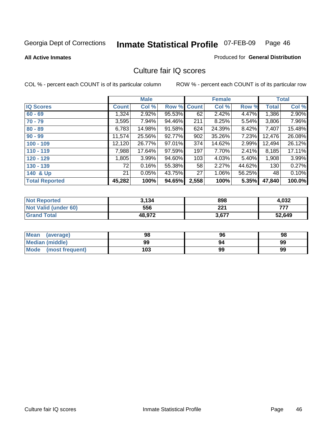**All Active Inmates**

### Produced for **General Distribution**

# Culture fair IQ scores

|                       |              | <b>Male</b> |        |              | <b>Female</b> |        |              | <b>Total</b> |
|-----------------------|--------------|-------------|--------|--------------|---------------|--------|--------------|--------------|
| <b>IQ Scores</b>      | <b>Count</b> | Col %       | Row %  | <b>Count</b> | Col %         | Row %  | <b>Total</b> | Col %        |
| $60 - 69$             | 1,324        | 2.92%       | 95.53% | 62           | 2.42%         | 4.47%  | 1,386        | 2.90%        |
| $70 - 79$             | 3,595        | 7.94%       | 94.46% | 211          | 8.25%         | 5.54%  | 3,806        | 7.96%        |
| $80 - 89$             | 6,783        | 14.98%      | 91.58% | 624          | 24.39%        | 8.42%  | 7,407        | 15.48%       |
| $90 - 99$             | 11,574       | 25.56%      | 92.77% | 902          | 35.26%        | 7.23%  | 12,476       | 26.08%       |
| $100 - 109$           | 12,120       | 26.77%      | 97.01% | 374          | 14.62%        | 2.99%  | 12,494       | 26.12%       |
| $110 - 119$           | 7,988        | 17.64%      | 97.59% | 197          | 7.70%         | 2.41%  | 8,185        | 17.11%       |
| $120 - 129$           | 1,805        | 3.99%       | 94.60% | 103          | 4.03%         | 5.40%  | 1,908        | 3.99%        |
| $130 - 139$           | 72           | 0.16%       | 55.38% | 58           | 2.27%         | 44.62% | 130          | 0.27%        |
| 140 & Up              | 21           | 0.05%       | 43.75% | 27           | 1.06%         | 56.25% | 48           | 0.10%        |
| <b>Total Reported</b> | 45,282       | 100%        | 94.65% | 2,558        | 100%          | 5.35%  | 47,840       | 100.0%       |

| <b>Not Reported</b>  | 3.134  | 898   | 4,032  |
|----------------------|--------|-------|--------|
| Not Valid (under 60) | 556    | 221   | フフフ    |
| <b>Grand Total</b>   | 48,972 | 3,677 | 52,649 |

| <b>Mean</b><br>(average)       | 98  | 96 | 98 |
|--------------------------------|-----|----|----|
| <b>Median (middle)</b>         | 99  | 94 | 99 |
| <b>Mode</b><br>(most frequent) | 103 | 99 | 99 |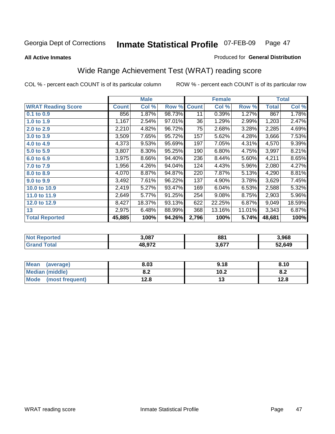#### **All Active Inmates**

## Produced for **General Distribution**

# Wide Range Achievement Test (WRAT) reading score

|                           |              | <b>Male</b> |        |              | <b>Female</b> |        |              | <b>Total</b> |
|---------------------------|--------------|-------------|--------|--------------|---------------|--------|--------------|--------------|
| <b>WRAT Reading Score</b> | <b>Count</b> | Col %       | Row %  | <b>Count</b> | Col %         | Row %  | <b>Total</b> | Col %        |
| $0.1$ to $0.9$            | 856          | 1.87%       | 98.73% | 11           | 0.39%         | 1.27%  | 867          | 1.78%        |
| 1.0 to 1.9                | 1,167        | 2.54%       | 97.01% | 36           | 1.29%         | 2.99%  | 1,203        | 2.47%        |
| 2.0 to 2.9                | 2,210        | 4.82%       | 96.72% | 75           | 2.68%         | 3.28%  | 2,285        | 4.69%        |
| 3.0 to 3.9                | 3,509        | 7.65%       | 95.72% | 157          | 5.62%         | 4.28%  | 3,666        | 7.53%        |
| 4.0 to 4.9                | 4,373        | 9.53%       | 95.69% | 197          | 7.05%         | 4.31%  | 4,570        | 9.39%        |
| 5.0 to 5.9                | 3,807        | 8.30%       | 95.25% | 190          | 6.80%         | 4.75%  | 3,997        | 8.21%        |
| 6.0 to 6.9                | 3,975        | 8.66%       | 94.40% | 236          | 8.44%         | 5.60%  | 4,211        | 8.65%        |
| 7.0 to 7.9                | 1,956        | 4.26%       | 94.04% | 124          | 4.43%         | 5.96%  | 2,080        | 4.27%        |
| 8.0 to 8.9                | 4,070        | 8.87%       | 94.87% | 220          | 7.87%         | 5.13%  | 4,290        | 8.81%        |
| 9.0 to 9.9                | 3,492        | 7.61%       | 96.22% | 137          | 4.90%         | 3.78%  | 3,629        | 7.45%        |
| 10.0 to 10.9              | 2,419        | 5.27%       | 93.47% | 169          | 6.04%         | 6.53%  | 2,588        | 5.32%        |
| 11.0 to 11.9              | 2,649        | 5.77%       | 91.25% | 254          | 9.08%         | 8.75%  | 2,903        | 5.96%        |
| 12.0 to 12.9              | 8,427        | 18.37%      | 93.13% | 622          | 22.25%        | 6.87%  | 9,049        | 18.59%       |
| 13                        | 2,975        | 6.48%       | 88.99% | 368          | 13.16%        | 11.01% | 3,343        | 6.87%        |
| <b>Total Reported</b>     | 45,885       | 100%        | 94.26% | 2,796        | 100%          | 5.74%  | 48,681       | 100%         |

| n er | 3,087  | 881   | 3.968  |
|------|--------|-------|--------|
|      | ירה הו | 3,677 | 52.649 |

| <b>Mean</b><br>(average)       | 8.03       | 9.18 | 8.10       |
|--------------------------------|------------|------|------------|
| <b>Median (middle)</b>         | ה ה<br>o.z | 10.2 | о о<br>O.A |
| <b>Mode</b><br>(most frequent) | ه.ء        | טו   | 12.8       |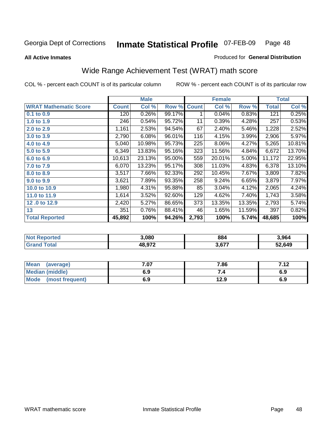**All Active Inmates**

### Produced for **General Distribution**

# Wide Range Achievement Test (WRAT) math score

|                              |              | <b>Male</b> |        |              | <b>Female</b> |        |              | <b>Total</b> |
|------------------------------|--------------|-------------|--------|--------------|---------------|--------|--------------|--------------|
| <b>WRAT Mathematic Score</b> | <b>Count</b> | Col %       | Row %  | <b>Count</b> | Col %         | Row %  | <b>Total</b> | Col %        |
| 0.1 to 0.9                   | 120          | 0.26%       | 99.17% | 1            | 0.04%         | 0.83%  | 121          | 0.25%        |
| 1.0 to 1.9                   | 246          | 0.54%       | 95.72% | 11           | 0.39%         | 4.28%  | 257          | 0.53%        |
| 2.0 to 2.9                   | 1,161        | 2.53%       | 94.54% | 67           | 2.40%         | 5.46%  | 1,228        | 2.52%        |
| 3.0 to 3.9                   | 2,790        | 6.08%       | 96.01% | 116          | 4.15%         | 3.99%  | 2,906        | 5.97%        |
| 4.0 to 4.9                   | 5,040        | 10.98%      | 95.73% | 225          | 8.06%         | 4.27%  | 5,265        | 10.81%       |
| 5.0 to 5.9                   | 6,349        | 13.83%      | 95.16% | 323          | 11.56%        | 4.84%  | 6,672        | 13.70%       |
| 6.0 to 6.9                   | 10,613       | 23.13%      | 95.00% | 559          | 20.01%        | 5.00%  | 11,172       | 22.95%       |
| 7.0 to 7.9                   | 6,070        | 13.23%      | 95.17% | 308          | 11.03%        | 4.83%  | 6,378        | 13.10%       |
| 8.0 to 8.9                   | 3,517        | 7.66%       | 92.33% | 292          | 10.45%        | 7.67%  | 3,809        | 7.82%        |
| 9.0 to 9.9                   | 3,621        | 7.89%       | 93.35% | 258          | 9.24%         | 6.65%  | 3,879        | 7.97%        |
| 10.0 to 10.9                 | 1,980        | 4.31%       | 95.88% | 85           | 3.04%         | 4.12%  | 2,065        | 4.24%        |
| 11.0 to 11.9                 | 1,614        | 3.52%       | 92.60% | 129          | 4.62%         | 7.40%  | 1,743        | 3.58%        |
| 12.0 to 12.9                 | 2,420        | 5.27%       | 86.65% | 373          | 13.35%        | 13.35% | 2,793        | 5.74%        |
| 13                           | 351          | 0.76%       | 88.41% | 46           | 1.65%         | 11.59% | 397          | 0.82%        |
| <b>Total Reported</b>        | 45,892       | 100%        | 94.26% | 2,793        | 100%          | 5.74%  | 48,685       | 100%         |

| <b>Reported</b><br><b>NO</b> | 3.080  | 884      | 3,964  |
|------------------------------|--------|----------|--------|
| <b>otal</b>                  | פרח סו | 677<br>. | 52,649 |

| <b>Mean</b><br>(average) | - 07<br>.ט | 7.86 | 712<br>I . I 4 |
|--------------------------|------------|------|----------------|
| Median (middle)          | 6.9        | ۰.,  | 6.9            |
| Mode<br>(most frequent)  | 6.9        | 12.9 | 6.9            |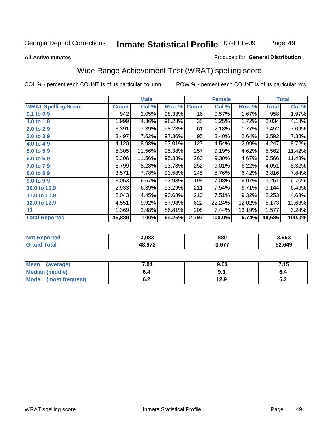### **All Active Inmates**

## Produced for **General Distribution**

# Wide Range Achievement Test (WRAT) spelling score

|                            |              | <b>Male</b> |        |              | <b>Female</b> |        |              | <b>Total</b> |
|----------------------------|--------------|-------------|--------|--------------|---------------|--------|--------------|--------------|
| <b>WRAT Spelling Score</b> | <b>Count</b> | Col %       | Row %  | <b>Count</b> | Col %         | Row %  | <b>Total</b> | Col %        |
| $0.1$ to $0.9$             | 942          | 2.05%       | 98.33% | 16           | 0.57%         | 1.67%  | 958          | 1.97%        |
| 1.0 to 1.9                 | 1,999        | 4.36%       | 98.28% | 35           | 1.25%         | 1.72%  | 2,034        | 4.18%        |
| 2.0 to 2.9                 | 3,391        | 7.39%       | 98.23% | 61           | 2.18%         | 1.77%  | 3,452        | 7.09%        |
| 3.0 to 3.9                 | 3,497        | 7.62%       | 97.36% | 95           | 3.40%         | 2.64%  | 3,592        | 7.38%        |
| 4.0 to 4.9                 | 4,120        | 8.98%       | 97.01% | 127          | 4.54%         | 2.99%  | 4,247        | 8.72%        |
| 5.0 to 5.9                 | 5,305        | 11.56%      | 95.38% | 257          | 9.19%         | 4.62%  | 5,562        | 11.42%       |
| 6.0 to 6.9                 | 5,306        | 11.56%      | 95.33% | 260          | 9.30%         | 4.67%  | 5,566        | 11.43%       |
| 7.0 to 7.9                 | 3,799        | 8.28%       | 93.78% | 252          | 9.01%         | 6.22%  | 4,051        | 8.32%        |
| 8.0 to 8.9                 | 3,571        | 7.78%       | 93.58% | 245          | 8.76%         | 6.42%  | 3,816        | 7.84%        |
| 9.0 to 9.9                 | 3,063        | 6.67%       | 93.93% | 198          | 7.08%         | 6.07%  | 3,261        | 6.70%        |
| 10.0 to 10.9               | 2,933        | 6.39%       | 93.29% | 211          | 7.54%         | 6.71%  | 3,144        | 6.46%        |
| 11.0 to 11.9               | 2,043        | 4.45%       | 90.68% | 210          | 7.51%         | 9.32%  | 2,253        | 4.63%        |
| 12.0 to 12.9               | 4,551        | 9.92%       | 87.98% | 622          | 22.24%        | 12.02% | 5,173        | 10.63%       |
| 13                         | 1,369        | 2.98%       | 86.81% | 208          | 7.44%         | 13.19% | 1,577        | 3.24%        |
| <b>Total Reported</b>      | 45,889       | 100%        | 94.26% | 2,797        | 100.0%        | 5.74%  | 48,686       | 100.0%       |

| 3.083  | 880   | 3.963  |
|--------|-------|--------|
| 19 072 | 3,677 | 52,649 |

| Mean<br>(average)              | 7.04 | 9.03 | 7.15 |
|--------------------------------|------|------|------|
| <b>Median (middle)</b>         | 0.4  | 9.3  | v.4  |
| <b>Mode</b><br>(most frequent) | ο.Ζ  | 12.9 | υ.Ζ  |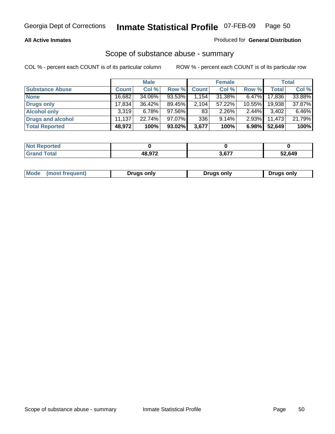## **All Active Inmates**

## Produced for **General Distribution**

## Scope of substance abuse - summary

|                        |              | <b>Male</b> |        |              | <b>Female</b> |           |              | <b>Total</b> |
|------------------------|--------------|-------------|--------|--------------|---------------|-----------|--------------|--------------|
| <b>Substance Abuse</b> | <b>Count</b> | Col %       | Row %  | <b>Count</b> | Col %         | Row %     | <b>Total</b> | Col %        |
| <b>None</b>            | 16,682       | 34.06%      | 93.53% | 1,154        | 31.38%        | $6.47\%$  | 17,836       | 33.88%       |
| <b>Drugs only</b>      | 17.834       | $36.42\%$   | 89.45% | 2,104        | 57.22%        | $10.55\%$ | 19,938       | 37.87%       |
| <b>Alcohol only</b>    | 3.319        | $6.78\%$    | 97.56% | 83           | $2.26\%$      | $2.44\%$  | 3,402        | 6.46%        |
| Drugs and alcohol      | 11,137       | 22.74%      | 97.07% | 336          | 9.14%         | $2.93\%$  | 11,473       | 21.79%       |
| <b>Total Reported</b>  | 48,972       | 100%        | 93.02% | 3,677        | 100%          | 6.98%     | 52,649       | 100%         |

| <b>Not</b><br><b>Reported</b> |        |     |        |
|-------------------------------|--------|-----|--------|
| `otal<br><b>Granu</b>         | הדה הו | c77 | 12,649 |

|  | Mode<br>(most frequent) | Drugs only | Drugs only | Drugs only |
|--|-------------------------|------------|------------|------------|
|--|-------------------------|------------|------------|------------|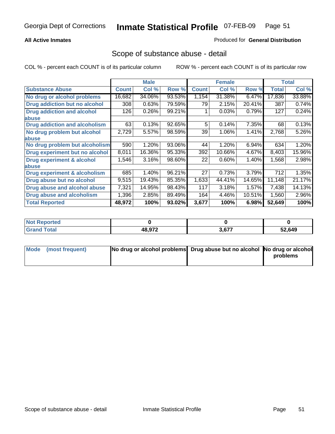## **All Active Inmates**

## Produced for **General Distribution**

# Scope of substance abuse - detail

|                                      |              | <b>Male</b> |        |              | <b>Female</b> |        |              | <b>Total</b> |
|--------------------------------------|--------------|-------------|--------|--------------|---------------|--------|--------------|--------------|
| <b>Substance Abuse</b>               | <b>Count</b> | Col %       | Row %  | <b>Count</b> | Col %         | Row %  | <b>Total</b> | Col %        |
| No drug or alcohol problems          | 16,682       | 34.06%      | 93.53% | 1,154        | 31.38%        | 6.47%  | 17,836       | 33.88%       |
| Drug addiction but no alcohol        | 308          | 0.63%       | 79.59% | 79           | 2.15%         | 20.41% | 387          | 0.74%        |
| <b>Drug addiction and alcohol</b>    | 126          | 0.26%       | 99.21% |              | 0.03%         | 0.79%  | 127          | 0.24%        |
| abuse                                |              |             |        |              |               |        |              |              |
| <b>Drug addiction and alcoholism</b> | 63           | 0.13%       | 92.65% | 5            | 0.14%         | 7.35%  | 68           | 0.13%        |
| No drug problem but alcohol          | 2,729        | 5.57%       | 98.59% | 39           | 1.06%         | 1.41%  | 2,768        | 5.26%        |
| abuse                                |              |             |        |              |               |        |              |              |
| No drug problem but alcoholism       | 590          | 1.20%       | 93.06% | 44           | 1.20%         | 6.94%  | 634          | 1.20%        |
| Drug experiment but no alcohol       | 8,011        | 16.36%      | 95.33% | 392          | 10.66%        | 4.67%  | 8,403        | 15.96%       |
| <b>Drug experiment &amp; alcohol</b> | 1,546        | 3.16%       | 98.60% | 22           | 0.60%         | 1.40%  | 1,568        | 2.98%        |
| <b>labuse</b>                        |              |             |        |              |               |        |              |              |
| Drug experiment & alcoholism         | 685          | 1.40%       | 96.21% | 27           | 0.73%         | 3.79%  | 712          | 1.35%        |
| Drug abuse but no alcohol            | 9,515        | 19.43%      | 85.35% | 1,633        | 44.41%        | 14.65% | 11,148       | 21.17%       |
| Drug abuse and alcohol abuse         | 7,321        | 14.95%      | 98.43% | 117          | 3.18%         | 1.57%  | 7,438        | 14.13%       |
| <b>Drug abuse and alcoholism</b>     | 1,396        | 2.85%       | 89.49% | 164          | 4.46%         | 10.51% | 1,560        | 2.96%        |
| <b>Total Reported</b>                | 48,972       | 100%        | 93.02% | 3,677        | 100%          | 6.98%  | 52,649       | 100%         |

| <b>Not Reported</b> |        |       |        |
|---------------------|--------|-------|--------|
| <b>Grand Total</b>  | 48,972 | 3,677 | 52,649 |

| Mode (most frequent) | No drug or alcohol problems Drug abuse but no alcohol No drug or alcohol |          |
|----------------------|--------------------------------------------------------------------------|----------|
|                      |                                                                          | problems |
|                      |                                                                          |          |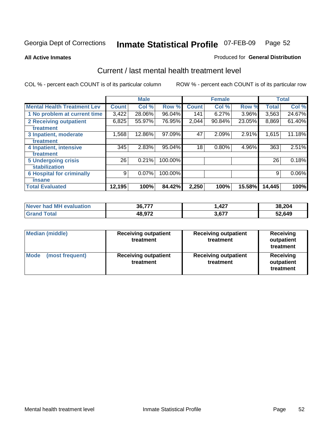### **All Active Inmates**

### Produced for **General Distribution**

# Current / last mental health treatment level

|                                    |              | <b>Male</b> |         |              | <b>Female</b> |          |              | <b>Total</b> |
|------------------------------------|--------------|-------------|---------|--------------|---------------|----------|--------------|--------------|
| <b>Mental Health Treatment Lev</b> | <b>Count</b> | Col %       | Row %   | <b>Count</b> | Col %         | Row %    | <b>Total</b> | Col %        |
| 1 No problem at current time       | 3,422        | 28.06%      | 96.04%  | 141          | 6.27%         | $3.96\%$ | 3,563        | 24.67%       |
| <b>2 Receiving outpatient</b>      | 6,825        | 55.97%      | 76.95%  | 2,044        | 90.84%        | 23.05%   | 8,869        | 61.40%       |
| treatment                          |              |             |         |              |               |          |              |              |
| 3 Inpatient, moderate              | 1,568        | 12.86%      | 97.09%  | 47           | 2.09%         | 2.91%    | 1,615        | 11.18%       |
| treatment                          |              |             |         |              |               |          |              |              |
| 4 Inpatient, intensive             | 345          | 2.83%       | 95.04%  | 18           | 0.80%         | 4.96%    | 363          | 2.51%        |
| treatment                          |              |             |         |              |               |          |              |              |
| <b>5 Undergoing crisis</b>         | 26           | 0.21%       | 100.00% |              |               |          | 26           | 0.18%        |
| stabilization                      |              |             |         |              |               |          |              |              |
| <b>6 Hospital for criminally</b>   | 9            | 0.07%       | 100.00% |              |               |          | 9            | $0.06\%$     |
| insane                             |              |             |         |              |               |          |              |              |
| <b>Total Evaluated</b>             | 12,195       | 100%        | 84.42%  | 2,250        | 100%          | 15.58%   | 14,445       | 100%         |

| Never had MH evaluation | 36,777 | .427  | 38,204 |
|-------------------------|--------|-------|--------|
| $\tau$ otal<br>ˈGrand . | 48,972 | 3,677 | 52,649 |

| Median (middle)         | <b>Receiving outpatient</b><br>treatment | <b>Receiving outpatient</b><br>treatment | <b>Receiving</b><br>outpatient<br>treatment |  |
|-------------------------|------------------------------------------|------------------------------------------|---------------------------------------------|--|
| Mode<br>(most frequent) | <b>Receiving outpatient</b><br>treatment | <b>Receiving outpatient</b><br>treatment | <b>Receiving</b><br>outpatient<br>treatment |  |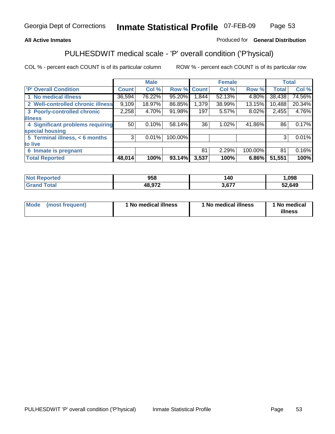## **All Active Inmates**

## Produced for **General Distribution**

# PULHESDWIT medical scale - 'P' overall condition ('P'hysical)

|                                   |         | <b>Male</b> |         |              | <b>Female</b> |         |              | <b>Total</b> |
|-----------------------------------|---------|-------------|---------|--------------|---------------|---------|--------------|--------------|
| <b>P' Overall Condition</b>       | Count l | Col %       | Row %   | <b>Count</b> | Col %         | Row %   | <b>Total</b> | Col %        |
| 1 No medical illness              | 36,594  | 76.22%      | 95.20%  | ا 1.844      | 52.13%        | 4.80%   | 38,438       | 74.56%       |
| 2 Well-controlled chronic illness | 9,109   | 18.97%      | 86.85%  | 1,379        | 38.99%        | 13.15%  | 10,488       | 20.34%       |
| 3 Poorly-controlled chronic       | 2,258   | 4.70%       | 91.98%  | 197          | 5.57%         | 8.02%   | 2,455        | 4.76%        |
| <b>illness</b>                    |         |             |         |              |               |         |              |              |
| 4 Significant problems requiring  | 50      | 0.10%       | 58.14%  | 36           | $1.02\%$      | 41.86%  | 86           | 0.17%        |
| special housing                   |         |             |         |              |               |         |              |              |
| 5 Terminal illness, < 6 months    | 3       | 0.01%       | 100.00% |              |               |         | 3            | 0.01%        |
| to live                           |         |             |         |              |               |         |              |              |
| 6 Inmate is pregnant              |         |             |         | 81           | 2.29%         | 100.00% | 81           | 0.16%        |
| <b>Total Reported</b>             | 48,014  | 100%        | 93.14%  | 3,537        | 100%          | 6.86%   | 51,551       | 100%         |

| rted   | 958    | ה ו    | ,098   |
|--------|--------|--------|--------|
| $\sim$ | 10 072 | $\sim$ | 52,649 |

| <b>Mode</b> | (most frequent) | 1 No medical illness | 1 No medical illness | 1 No medical<br>illness |
|-------------|-----------------|----------------------|----------------------|-------------------------|
|             |                 |                      |                      |                         |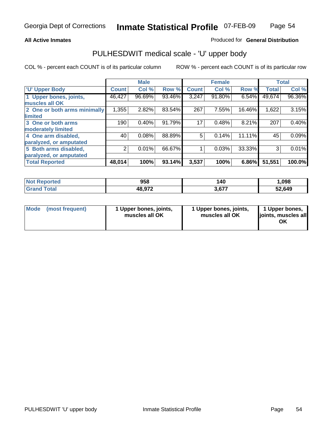## **All Active Inmates**

## Produced for **General Distribution**

# PULHESDWIT medical scale - 'U' upper body

|                              |              | <b>Male</b> |        |              | <b>Female</b> |        |              | <b>Total</b> |
|------------------------------|--------------|-------------|--------|--------------|---------------|--------|--------------|--------------|
| <b>U' Upper Body</b>         | <b>Count</b> | Col %       | Row %  | <b>Count</b> | Col %         | Row %  | <b>Total</b> | Col %        |
| 1 Upper bones, joints,       | 46,427       | 96.69%      | 93.46% | 3,247        | 91.80%        | 6.54%  | 49,674       | 96.36%       |
| muscles all OK               |              |             |        |              |               |        |              |              |
| 2 One or both arms minimally | 1,355        | 2.82%       | 83.54% | 267          | 7.55%         | 16.46% | 1,622        | 3.15%        |
| limited                      |              |             |        |              |               |        |              |              |
| 3 One or both arms           | 190          | 0.40%       | 91.79% | 17           | 0.48%         | 8.21%  | 207          | 0.40%        |
| moderately limited           |              |             |        |              |               |        |              |              |
| 4 One arm disabled,          | 40           | 0.08%       | 88.89% | 5            | 0.14%         | 11.11% | 45           | 0.09%        |
| paralyzed, or amputated      |              |             |        |              |               |        |              |              |
| 5 Both arms disabled,        | 2            | 0.01%       | 66.67% |              | 0.03%         | 33.33% | 3            | 0.01%        |
| paralyzed, or amputated      |              |             |        |              |               |        |              |              |
| <b>Total Reported</b>        | 48,014       | 100%        | 93.14% | 3,537        | 100%          | 6.86%  | 51,551       | 100.0%       |

| <b>Reported</b><br><b>NOT</b> | 958    | 140   | ,098   |
|-------------------------------|--------|-------|--------|
| <sup>-</sup> otal<br>'Grano   | 48,972 | 677,د | 52,649 |

| <b>Mode</b> | (most frequent) | 1 Upper bones, joints,<br>muscles all OK | 1 Upper bones, joints,<br>muscles all OK | 1 Upper bones,<br>joints, muscles all<br>ΟK |
|-------------|-----------------|------------------------------------------|------------------------------------------|---------------------------------------------|
|-------------|-----------------|------------------------------------------|------------------------------------------|---------------------------------------------|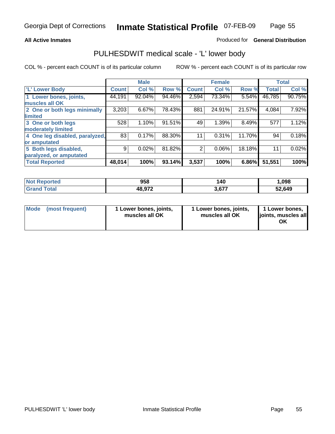## **All Active Inmates**

## Produced for **General Distribution**

# PULHESDWIT medical scale - 'L' lower body

|                                |              | <b>Male</b> |        |                | <b>Female</b> |        |              | <b>Total</b> |
|--------------------------------|--------------|-------------|--------|----------------|---------------|--------|--------------|--------------|
| 'L' Lower Body                 | <b>Count</b> | Col %       | Row %  | <b>Count</b>   | Col %         | Row %  | <b>Total</b> | Col %        |
| 1 Lower bones, joints,         | 44,191       | 92.04%      | 94.46% | 2,594          | 73.34%        | 5.54%  | 46,785       | 90.75%       |
| muscles all OK                 |              |             |        |                |               |        |              |              |
| 2 One or both legs minimally   | 3,203        | 6.67%       | 78.43% | 881            | 24.91%        | 21.57% | 4,084        | 7.92%        |
| limited                        |              |             |        |                |               |        |              |              |
| 3 One or both legs             | 528          | 1.10%       | 91.51% | 49             | 1.39%         | 8.49%  | 577          | 1.12%        |
| moderately limited             |              |             |        |                |               |        |              |              |
| 4 One leg disabled, paralyzed, | 83           | 0.17%       | 88.30% | 11             | 0.31%         | 11.70% | 94           | 0.18%        |
| or amputated                   |              |             |        |                |               |        |              |              |
| 5 Both legs disabled,          | 9            | 0.02%       | 81.82% | $\overline{2}$ | 0.06%         | 18.18% | 11           | 0.02%        |
| paralyzed, or amputated        |              |             |        |                |               |        |              |              |
| <b>Total Reported</b>          | 48,014       | 100%        | 93.14% | 3,537          | 100%          | 6.86%  | 51,551       | 100%         |

| <b>Not Reported</b>   | 958    | 140   | .098   |
|-----------------------|--------|-------|--------|
| Total<br><b>Grand</b> | 48,972 | 3,677 | 52,649 |

|  | Mode (most frequent) | 1 Lower bones, joints,<br>muscles all OK | 1 Lower bones, joints,<br>muscles all OK | 1 Lower bones,<br>joints, muscles all<br>OK |
|--|----------------------|------------------------------------------|------------------------------------------|---------------------------------------------|
|--|----------------------|------------------------------------------|------------------------------------------|---------------------------------------------|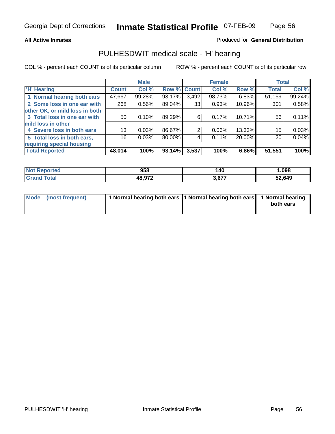## **All Active Inmates**

## Produced for **General Distribution**

# PULHESDWIT medical scale - 'H' hearing

|                                |                 | <b>Male</b> |             |       | <b>Female</b> |        | <b>Total</b> |        |
|--------------------------------|-----------------|-------------|-------------|-------|---------------|--------|--------------|--------|
| <b>H'</b> Hearing              | <b>Count</b>    | Col %       | Row % Count |       | Col %         | Row %  | <b>Total</b> | Col %  |
| 1 Normal hearing both ears     | 47,667          | 99.28%      | 93.17%      | 3,492 | 98.73%        | 6.83%  | 51,159       | 99.24% |
| 2 Some loss in one ear with    | 268             | 0.56%       | 89.04%      | 33    | 0.93%         | 10.96% | 301          | 0.58%  |
| other OK, or mild loss in both |                 |             |             |       |               |        |              |        |
| 3 Total loss in one ear with   | 50              | 0.10%       | 89.29%      | 6     | 0.17%         | 10.71% | 56           | 0.11%  |
| mild loss in other             |                 |             |             |       |               |        |              |        |
| 4 Severe loss in both ears     | 13 <sub>1</sub> | 0.03%       | 86.67%      | 2     | $0.06\%$      | 13.33% | 15           | 0.03%  |
| 5 Total loss in both ears,     | 16              | 0.03%       | 80.00%      | 4     | 0.11%         | 20.00% | 20           | 0.04%  |
| requiring special housing      |                 |             |             |       |               |        |              |        |
| <b>Total Reported</b>          | 48,014          | 100%        | 93.14%      | 3,537 | 100%          | 6.86%  | 51,551       | 100%   |

| rteo | 958    | 40،    | .098   |
|------|--------|--------|--------|
|      | 12 Q72 | $\sim$ | 52,649 |

| Mode (most frequent) | 1 Normal hearing both ears 11 Normal hearing both ears | 1 Normal hearing |
|----------------------|--------------------------------------------------------|------------------|
|                      |                                                        | both ears        |
|                      |                                                        |                  |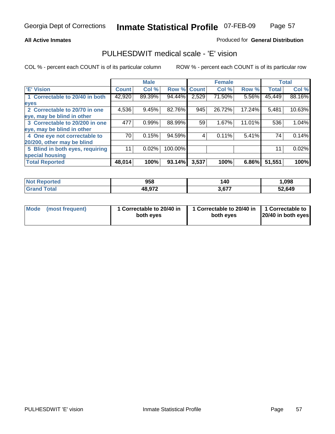## **All Active Inmates**

## Produced for **General Distribution**

# PULHESDWIT medical scale - 'E' vision

|                                 |              | <b>Male</b> |             |       | <b>Female</b> |        |              | <b>Total</b> |
|---------------------------------|--------------|-------------|-------------|-------|---------------|--------|--------------|--------------|
| 'E' Vision                      | <b>Count</b> | Col %       | Row % Count |       | Col %         | Row %  | <b>Total</b> | Col %        |
| 1 Correctable to 20/40 in both  | 42,920       | 89.39%      | 94.44%      | 2,529 | 71.50%        | 5.56%  | 45,449       | 88.16%       |
| eyes                            |              |             |             |       |               |        |              |              |
| 2 Correctable to 20/70 in one   | 4,536        | 9.45%       | 82.76%      | 945   | 26.72%        | 17.24% | 5,481        | 10.63%       |
| eye, may be blind in other      |              |             |             |       |               |        |              |              |
| 3 Correctable to 20/200 in one  | 477          | 0.99%       | 88.99%      | 59    | 1.67%         | 11.01% | 536          | 1.04%        |
| eye, may be blind in other      |              |             |             |       |               |        |              |              |
| 4 One eye not correctable to    | 70           | 0.15%       | 94.59%      | 4     | 0.11%         | 5.41%  | 74           | 0.14%        |
| 20/200, other may be blind      |              |             |             |       |               |        |              |              |
| 5 Blind in both eyes, requiring | 11           | 0.02%       | 100.00%     |       |               |        | 11           | 0.02%        |
| special housing                 |              |             |             |       |               |        |              |              |
| <b>Total Reported</b>           | 48,014       | 100%        | 93.14%      | 3,537 | 100%          | 6.86%  | 51,551       | 100%         |

| <b>Not Reported</b> | 958    | 140            | 098, ا |
|---------------------|--------|----------------|--------|
| ⊺ota                | 48,972 | 2.677<br>3.O L | 52,649 |

|  | Mode (most frequent) | 1 Correctable to 20/40 in<br>both eves | 1 Correctable to 20/40 in   1 Correctable to<br>both eves | 20/40 in both eyes |
|--|----------------------|----------------------------------------|-----------------------------------------------------------|--------------------|
|--|----------------------|----------------------------------------|-----------------------------------------------------------|--------------------|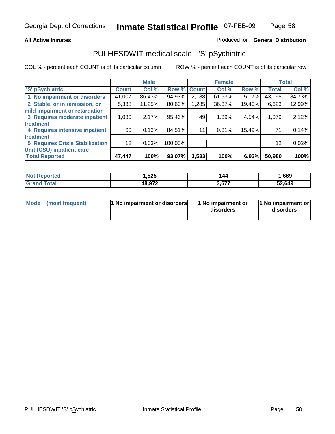## **All Active Inmates**

## Produced for **General Distribution**

# PULHESDWIT medical scale - 'S' pSychiatric

|                                        |              | <b>Male</b> |         |              | <b>Female</b> |        |              | <b>Total</b> |
|----------------------------------------|--------------|-------------|---------|--------------|---------------|--------|--------------|--------------|
| 'S' pSychiatric                        | <b>Count</b> | Col %       | Row %   | <b>Count</b> | Col %         | Row %  | <b>Total</b> | Col %        |
| 1 No impairment or disorders           | 41,007       | 86.43%      | 94.93%  | 2,188        | $61.93\%$     | 5.07%  | 43,195       | 84.73%       |
| 2 Stable, or in remission, or          | 5,338        | 11.25%      | 80.60%  | 1,285        | 36.37%        | 19.40% | 6,623        | 12.99%       |
| mild impairment or retardation         |              |             |         |              |               |        |              |              |
| 3 Requires moderate inpatient          | 1,030        | 2.17%       | 95.46%  | 49           | 1.39%         | 4.54%  | 1,079        | 2.12%        |
| treatment                              |              |             |         |              |               |        |              |              |
| 4 Requires intensive inpatient         | 60           | 0.13%       | 84.51%  | 11           | 0.31%         | 15.49% | 71           | 0.14%        |
| treatment                              |              |             |         |              |               |        |              |              |
| <b>5 Requires Crisis Stabilization</b> | 12           | 0.03%       | 100.00% |              |               |        | 12           | 0.02%        |
| Unit (CSU) inpatient care              |              |             |         |              |               |        |              |              |
| <b>Total Reported</b>                  | 47,447       | 100%        | 93.07%  | 3,533        | 100%          | 6.93%  | 50,980       | 100%l        |

| <b>Not Reported</b> | ,525   | 144   | ,669   |
|---------------------|--------|-------|--------|
| ™otal               | 48,972 | 3,677 | 52,649 |

| Mode (most frequent) | <b>1 No impairment or disorders</b> | 1 No impairment or<br>disorders | 1 No impairment or<br>disorders |
|----------------------|-------------------------------------|---------------------------------|---------------------------------|
|                      |                                     |                                 |                                 |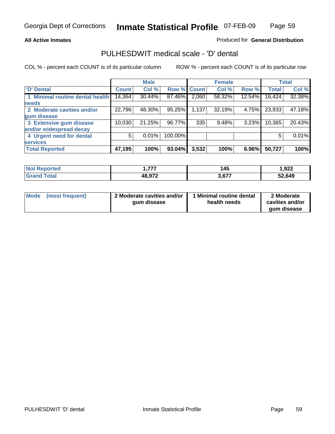## **All Active Inmates**

## Produced for **General Distribution**

# PULHESDWIT medical scale - 'D' dental

|                                 |              | <b>Male</b> |         |             | <b>Female</b> |        |              | <b>Total</b> |
|---------------------------------|--------------|-------------|---------|-------------|---------------|--------|--------------|--------------|
| <b>D' Dental</b>                | <b>Count</b> | Col %       |         | Row % Count | Col %         | Row %  | <b>Total</b> | Col %        |
| 1 Minimal routine dental health | 14,364       | 30.44%      | 87.46%  | 2,060       | 58.32%        | 12.54% | 16,424       | 32.38%       |
| <b>needs</b>                    |              |             |         |             |               |        |              |              |
| 2 Moderate cavities and/or      | 22,796       | 48.30%      | 95.25%  | 1,137       | 32.19%        | 4.75%  | 23,933       | 47.18%       |
| gum disease                     |              |             |         |             |               |        |              |              |
| 3 Extensive gum disease         | 10,030       | 21.25%      | 96.77%  | 335         | 9.48%         | 3.23%  | 10,365       | 20.43%       |
| and/or widespread decay         |              |             |         |             |               |        |              |              |
| 4 Urgent need for dental        | 5            | 0.01%       | 100.00% |             |               |        | 5            | 0.01%        |
| <b>services</b>                 |              |             |         |             |               |        |              |              |
| <b>Total Reported</b>           | 47,195       | 100%        | 93.04%  | 3,532       | 100%          | 6.96%  | 50,727       | 100%         |

| orted       | ----   | 145<br>$\sim$             | 922, ا |
|-------------|--------|---------------------------|--------|
| <b>Tota</b> | 48,972 | 2.C <sub>77</sub><br>3.OT | 52,649 |

| <b>Mode</b><br>(most frequent) | 2 Moderate cavities and/or<br>qum disease | 1 Minimal routine dental<br>health needs | 2 Moderate<br>cavities and/or<br>gum disease |
|--------------------------------|-------------------------------------------|------------------------------------------|----------------------------------------------|
|                                |                                           |                                          |                                              |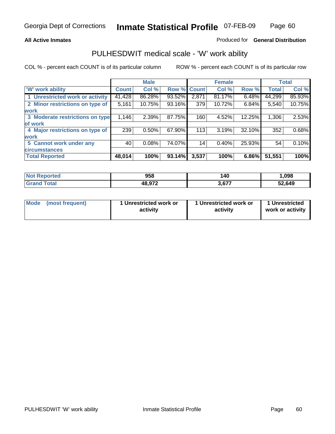## **All Active Inmates**

## Produced for **General Distribution**

# PULHESDWIT medical scale - 'W' work ability

|                                 |              | <b>Male</b> |        |              | <b>Female</b> |        |              | <b>Total</b> |
|---------------------------------|--------------|-------------|--------|--------------|---------------|--------|--------------|--------------|
| <b>W' work ability</b>          | <b>Count</b> | Col %       | Row %  | <b>Count</b> | Col %         | Row %  | <b>Total</b> | Col %        |
| 1 Unrestricted work or activity | 41,428       | 86.28%      | 93.52% | 2,871        | 81.17%        | 6.48%  | 44,299       | 85.93%       |
| 2 Minor restrictions on type of | 5,161        | 10.75%      | 93.16% | 379          | 10.72%        | 6.84%  | 5,540        | 10.75%       |
| <b>work</b>                     |              |             |        |              |               |        |              |              |
| 3 Moderate restrictions on type | 1,146        | 2.39%       | 87.75% | 160          | 4.52%         | 12.25% | 1,306        | 2.53%        |
| of work                         |              |             |        |              |               |        |              |              |
| 4 Major restrictions on type of | 239          | 0.50%       | 67.90% | 113          | 3.19%         | 32.10% | 352          | 0.68%        |
| <b>work</b>                     |              |             |        |              |               |        |              |              |
| 5 Cannot work under any         | 40           | 0.08%       | 74.07% | 14           | 0.40%         | 25.93% | 54           | 0.10%        |
| <b>circumstances</b>            |              |             |        |              |               |        |              |              |
| <b>Total Reported</b>           | 48,014       | 100%        | 93.14% | 3,537        | 100%          | 6.86%  | 51,551       | 100%         |

| <b>Not Reported</b> | 958    | 140   | ,098   |
|---------------------|--------|-------|--------|
| Total<br>' Grand    | 48,972 | 3,677 | 52,649 |

| Mode            | 1 Unrestricted work or | 1 Unrestricted work or | 1 Unrestricted   |
|-----------------|------------------------|------------------------|------------------|
| (most frequent) | activity               | activity               | work or activity |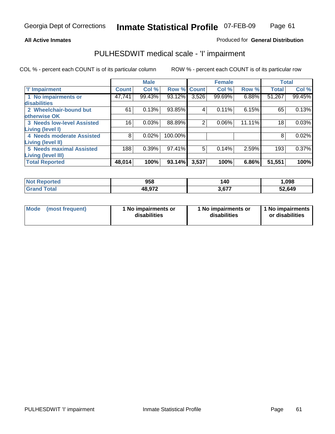## **All Active Inmates**

## Produced for **General Distribution**

# PULHESDWIT medical scale - 'I' impairment

|                                   |              | <b>Male</b> |         |              | <b>Female</b> |        | <b>Total</b> |        |
|-----------------------------------|--------------|-------------|---------|--------------|---------------|--------|--------------|--------|
| <b>T' Impairment</b>              | <b>Count</b> | Col %       | Row %   | <b>Count</b> | Col %         | Row %  | <b>Total</b> | Col %  |
| 1 No impairments or               | 47,741       | 99.43%      | 93.12%  | 3,526        | 99.69%        | 6.88%  | 51,267       | 99.45% |
| disabilities                      |              |             |         |              |               |        |              |        |
| 2 Wheelchair-bound but            | 61           | 0.13%       | 93.85%  | 4            | 0.11%         | 6.15%  | 65           | 0.13%  |
| otherwise OK                      |              |             |         |              |               |        |              |        |
| <b>3 Needs low-level Assisted</b> | 16           | 0.03%       | 88.89%  | 2            | 0.06%         | 11.11% | 18           | 0.03%  |
| Living (level I)                  |              |             |         |              |               |        |              |        |
| 4 Needs moderate Assisted         | 8            | 0.02%       | 100.00% |              |               |        | 8            | 0.02%  |
| Living (level II)                 |              |             |         |              |               |        |              |        |
| <b>5 Needs maximal Assisted</b>   | 188          | 0.39%       | 97.41%  | 5            | 0.14%         | 2.59%  | 193          | 0.37%  |
| Living (level III)                |              |             |         |              |               |        |              |        |
| <b>Total Reported</b>             | 48,014       | 100%        | 93.14%  | 3,537        | 100%          | 6.86%  | 51,551       | 100%   |

| <b>Not</b><br>Reported | 958    | 140   | 1,098  |
|------------------------|--------|-------|--------|
| ⊺otal                  | 48,972 | רדה ו | 52,649 |

| Mode            | 1 No impairments or | 1 No impairments or | 1 No impairments |
|-----------------|---------------------|---------------------|------------------|
| (most frequent) | disabilities        | disabilities        | or disabilities  |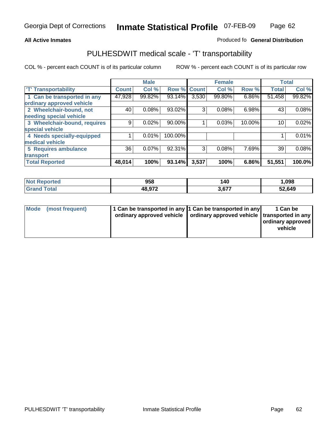#### **Inmate Statistical Profile** 07-FEB-09 Page Page 62

## **All Active Inmates Allowski** Produced fo **General Distribution**

# PULHESDWIT medical scale - 'T' transportability

|                              |              | <b>Male</b> |         |              | <b>Female</b> |          | <b>Total</b> |        |
|------------------------------|--------------|-------------|---------|--------------|---------------|----------|--------------|--------|
| <b>T' Transportability</b>   | <b>Count</b> | Col %       | Row %   | <b>Count</b> | Col %         | Row %    | <b>Total</b> | Col %  |
| 1 Can be transported in any  | 47,928       | 99.82%      | 93.14%  | 3,530        | 99.80%        | 6.86%    | 51,458       | 99.82% |
| ordinary approved vehicle    |              |             |         |              |               |          |              |        |
| 2 Wheelchair-bound, not      | 40           | 0.08%       | 93.02%  | 3            | 0.08%         | 6.98%    | 43           | 0.08%  |
| needing special vehicle      |              |             |         |              |               |          |              |        |
| 3 Wheelchair-bound, requires | 9            | 0.02%       | 90.00%  |              | 0.03%         | 10.00%   | 10           | 0.02%  |
| special vehicle              |              |             |         |              |               |          |              |        |
| 4 Needs specially-equipped   |              | 0.01%       | 100.00% |              |               |          |              | 0.01%  |
| medical vehicle              |              |             |         |              |               |          |              |        |
| <b>5 Requires ambulance</b>  | 36           | 0.07%       | 92.31%  | 3            | 0.08%         | 7.69%    | 39           | 0.08%  |
| transport                    |              |             |         |              |               |          |              |        |
| <b>Total Reported</b>        | 48,014       | 100%        | 93.14%  | 3,537        | 100%          | $6.86\%$ | 51,551       | 100.0% |

| Not l<br>Reported            | 958    | 140  | 1,098  |
|------------------------------|--------|------|--------|
| <b>Total</b><br><b>Grand</b> | 48,972 | 2077 | 52,649 |

| Mode (most frequent) | 1 Can be transported in any 1 Can be transported in any | ordinary approved vehicle   ordinary approved vehicle   transported in any | 1 Can be<br>  ordinary approved  <br>vehicle |
|----------------------|---------------------------------------------------------|----------------------------------------------------------------------------|----------------------------------------------|
|                      |                                                         |                                                                            |                                              |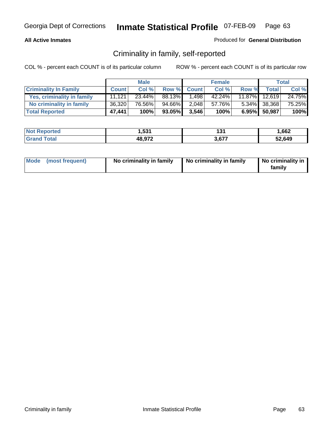## **All Active Inmates**

## Produced for **General Distribution**

# Criminality in family, self-reported

|                              |              | <b>Male</b> |        |              | <b>Female</b> |       |               | <b>Total</b> |
|------------------------------|--------------|-------------|--------|--------------|---------------|-------|---------------|--------------|
| <b>Criminality In Family</b> | <b>Count</b> | Col %       | Row %  | <b>Count</b> | Col %         | Row % | <b>Total</b>  | Col %        |
| Yes, criminality in family   | 11.121       | $23.44\%$   | 88.13% | 1,498        | 42.24%        |       | 11.87% 12,619 | 24.75%       |
| No criminality in family     | 36,320       | 76.56%      | 94.66% | 2,048        | 57.76%        |       | 5.34% 38,368  | 75.25%       |
| <b>Total Reported</b>        | 47,441       | 100%        | 93.05% | 3,546        | 100%          |       | 6.95% 50,987  | 100%         |

| <b>Not Reported</b>     | 1,531  | ۰ο۰<br>1 J I | 662. ا |
|-------------------------|--------|--------------|--------|
| <b>Total</b><br>l Grand | 48,972 | . c77        | 52,649 |

|  | Mode (most frequent) | No criminality in family | No criminality in family | No criminality in<br>family |
|--|----------------------|--------------------------|--------------------------|-----------------------------|
|--|----------------------|--------------------------|--------------------------|-----------------------------|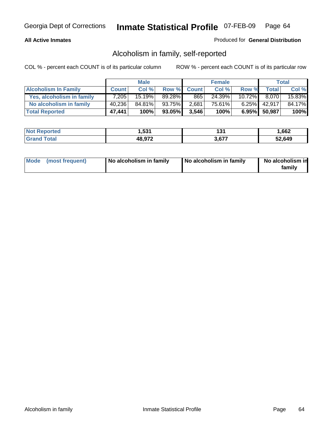## **All Active Inmates**

## Produced for **General Distribution**

# Alcoholism in family, self-reported

|                             |              | <b>Male</b> |        |              | <b>Female</b> |           |              | <b>Total</b> |
|-----------------------------|--------------|-------------|--------|--------------|---------------|-----------|--------------|--------------|
| <b>Alcoholism In Family</b> | <b>Count</b> | Col %       | Row %  | <b>Count</b> | Col %         | Row %     | <b>Total</b> | Col %        |
| Yes, alcoholism in family   | 7.205        | 15.19%      | 89.28% | 865          | 24.39%        | $10.72\%$ | 8.070        | 15.83%       |
| No alcoholism in family     | 40,236       | 84.81%      | 93.75% | 2,681        | 75.61%        | $6.25\%$  | 42.917       | 84.17%       |
| <b>Total Reported</b>       | 47,441       | 100%        | 93.05% | 3,546        | 100%          |           | 6.95% 50,987 | 100%         |

| <b>Not Reported</b>     | 1,531  | ۰ο۰<br>1 J I | 662. ا |
|-------------------------|--------|--------------|--------|
| <b>Total</b><br>l Grand | 48,972 | . c77        | 52,649 |

| Mode (most frequent) | No alcoholism in family | No alcoholism in family | No alcoholism in<br>family |
|----------------------|-------------------------|-------------------------|----------------------------|
|----------------------|-------------------------|-------------------------|----------------------------|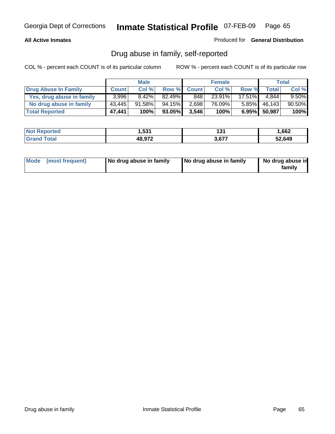## **All Active Inmates**

Produced for **General Distribution**

# Drug abuse in family, self-reported

|                           |              | <b>Male</b> |        |              | <b>Female</b> |           |              | <b>Total</b> |
|---------------------------|--------------|-------------|--------|--------------|---------------|-----------|--------------|--------------|
| Drug Abuse In Family      | <b>Count</b> | Col %       | Row %  | <b>Count</b> | Col %         | Row %     | <b>Total</b> | Col %        |
| Yes, drug abuse in family | 3,996        | 8.42%       | 82.49% | 848          | 23.91%        | $17.51\%$ | 4.844        | $9.50\%$     |
| No drug abuse in family   | 43,445       | 91.58%      | 94.15% | 2,698        | 76.09%        | $5.85\%$  | 46,143       | 90.50%       |
| <b>Total Reported</b>     | 47,441       | 100%        | 93.05% | 3,546        | 100%          |           | 6.95% 50,987 | 100%         |

| <b>Not Reported</b>     | 1,531  | ۰ο۰<br>1 J I | 662. ا |
|-------------------------|--------|--------------|--------|
| <b>Total</b><br>l Grand | 48,972 | . c77        | 52,649 |

|  | Mode (most frequent) | No drug abuse in family | No drug abuse in family | No drug abuse in<br>family |
|--|----------------------|-------------------------|-------------------------|----------------------------|
|--|----------------------|-------------------------|-------------------------|----------------------------|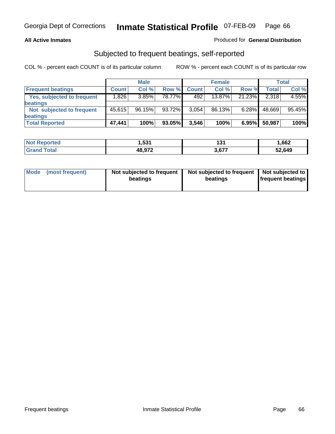## **All Active Inmates**

## Produced for **General Distribution**

# Subjected to frequent beatings, self-reported

|                            |              | <b>Male</b> |        |              | <b>Female</b> |          |              | Total  |
|----------------------------|--------------|-------------|--------|--------------|---------------|----------|--------------|--------|
| <b>Frequent beatings</b>   | <b>Count</b> | Col %       | Row %  | <b>Count</b> | Col%          | Row %    | <b>Total</b> | Col %  |
| Yes, subjected to frequent | ا 826. ا     | $3.85\%$    | 78.77% | 492          | $13.87\%$     | 21.23%   | 2,318        | 4.55%  |
| beatings                   |              |             |        |              |               |          |              |        |
| Not subjected to frequent  | 45.615       | 96.15%      | 93.72% | 3,054        | 86.13%        | $6.28\%$ | 48,669       | 95.45% |
| beatings                   |              |             |        |              |               |          |              |        |
| <b>Total Reported</b>      | 47,441       | 100%        | 93.05% | 3,546        | 100%          | 6.95%    | 50,987       | 100%   |

| orted<br><b>NOT</b> | ,531   | ג פו<br>וטו | 1,662  |
|---------------------|--------|-------------|--------|
| ™otal<br>' Gra      | 48,972 | 2077        | 52,649 |

| <b>Mode</b><br>(most frequent) | Not subjected to frequent<br>beatings | Not subjected to frequent   Not subjected to  <br>beatings | <b>frequent beatings</b> |  |
|--------------------------------|---------------------------------------|------------------------------------------------------------|--------------------------|--|
|                                |                                       |                                                            |                          |  |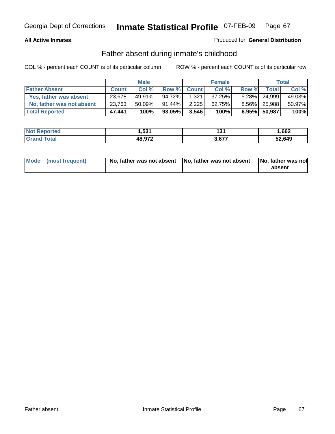## **All Active Inmates**

## Produced for **General Distribution**

# Father absent during inmate's childhood

|                           |              | <b>Male</b> |           |              | <b>Female</b> |       |              | Total  |
|---------------------------|--------------|-------------|-----------|--------------|---------------|-------|--------------|--------|
| <b>Father Absent</b>      | <b>Count</b> | Col %       | Row %     | <b>Count</b> | Col%          | Row % | Total        | Col %  |
| Yes, father was absent    | 23,678       | 49.91%      | 94.72%    | 1,321        | 37.25%        |       | 5.28% 24,999 | 49.03% |
| No, father was not absent | 23,763       | $50.09\%$   | $91.44\%$ | 2,225        | 62.75%        |       | 8.56% 25,988 | 50.97% |
| <b>Total Reported</b>     | 47,441       | 100%        | 93.05%    | 3,546        | 100%          | 6.95% | 50,987       | 100%   |

| <b>Not Reported</b> | .53 <sup>1</sup> | 194<br>וטו | 662. ا |
|---------------------|------------------|------------|--------|
| Grand Total         | 48,972           | $3.67^{-}$ | 52.649 |

| Mode (most frequent) |  | 「No, father was not absent ┃No, father was not absent ┃No, father was not | absent |
|----------------------|--|---------------------------------------------------------------------------|--------|
|----------------------|--|---------------------------------------------------------------------------|--------|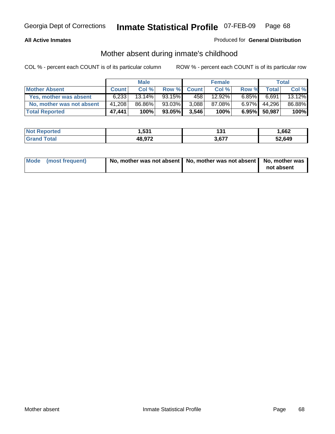## **All Active Inmates**

## Produced for **General Distribution**

# Mother absent during inmate's childhood

|                           |              | <b>Male</b> |           |              | <b>Female</b> |          |              | Total  |
|---------------------------|--------------|-------------|-----------|--------------|---------------|----------|--------------|--------|
| <b>Mother Absent</b>      | <b>Count</b> | Col %       | Row %     | <b>Count</b> | Col %         | Row %    | Total        | Col %  |
| Yes, mother was absent    | 6,233        | $13.14\%$   | 93.15%    | 458          | 12.92%        | $6.85\%$ | 6,691        | 13.12% |
| No, mother was not absent | 41,208       | 86.86%      | $93.03\%$ | 3,088        | 87.08%        | $6.97\%$ | 44,296       | 86.88% |
| <b>Total Reported</b>     | 47,441       | 100%        | 93.05%    | 3,546        | 100%          |          | 6.95% 50,987 | 100%   |

| <b>Not Reported</b> | .53 <sup>1</sup> | 194<br>וטו | 662. ا |
|---------------------|------------------|------------|--------|
| Grand Total         | 48,972           | $3.67^{-}$ | 52.649 |

| Mode (most frequent) | No, mother was not absent   No, mother was not absent   No, mother was | not absent |
|----------------------|------------------------------------------------------------------------|------------|
|----------------------|------------------------------------------------------------------------|------------|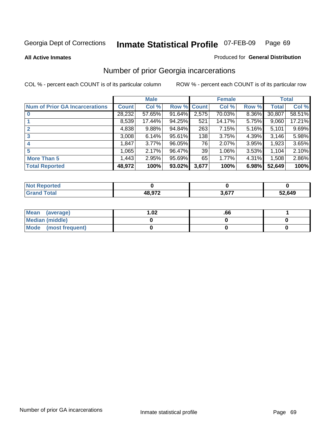**All Active Inmates**

## Produced for **General Distribution**

# Number of prior Georgia incarcerations

|                                       |              | <b>Male</b> |                    |       | <b>Female</b> |       |        | <b>Total</b> |
|---------------------------------------|--------------|-------------|--------------------|-------|---------------|-------|--------|--------------|
| <b>Num of Prior GA Incarcerations</b> | <b>Count</b> | Col %       | <b>Row % Count</b> |       | Col %         | Row % | Total  | Col %        |
| $\bf{0}$                              | 28,232       | 57.65%      | 91.64%             | 2,575 | 70.03%        | 8.36% | 30,807 | 58.51%       |
|                                       | 8,539        | 17.44%      | 94.25%             | 521   | 14.17%        | 5.75% | 9,060  | 17.21%       |
|                                       | 4,838        | 9.88%       | 94.84%             | 263   | 7.15%         | 5.16% | 5,101  | 9.69%        |
| 3                                     | 3,008        | 6.14%       | 95.61%             | 138   | 3.75%         | 4.39% | 3.146  | 5.98%        |
|                                       | 1,847        | 3.77%       | 96.05%             | 76    | 2.07%         | 3.95% | 1,923  | 3.65%        |
| 5                                     | 1,065        | 2.17%       | 96.47%             | 39    | 1.06%         | 3.53% | 1,104  | 2.10%        |
| <b>More Than 5</b>                    | 1,443        | 2.95%       | 95.69%             | 65    | 1.77%         | 4.31% | 1,508  | 2.86%        |
| <b>Total Reported</b>                 | 48,972       | 100%        | 93.02%             | 3,677 | 100%          | 6.98% | 52,649 | 100%         |

| <b>Not</b><br><b>rted</b> |               |       |        |
|---------------------------|---------------|-------|--------|
| <b>c</b> otal             | <b>18.072</b> | 2.677 | 52,649 |

| Mean (average)       | l.O2 | .00 |  |
|----------------------|------|-----|--|
| Median (middle)      |      |     |  |
| Mode (most frequent) |      |     |  |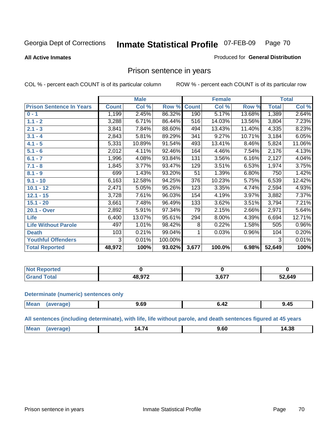#### **All Active Inmates**

### Produced for **General Distribution**

## Prison sentence in years

COL % - percent each COUNT is of its particular column ROW % - percent each COUNT is of its particular row

|                                 |              | <b>Male</b> |         |              | <b>Female</b> |        |                    | <b>Total</b> |
|---------------------------------|--------------|-------------|---------|--------------|---------------|--------|--------------------|--------------|
| <b>Prison Sentence In Years</b> | <b>Count</b> | Col %       | Row %   | <b>Count</b> | Col %         | Row %  | <b>Total</b>       | Col %        |
| $0 - 1$                         | 1,199        | 2.45%       | 86.32%  | 190          | 5.17%         | 13.68% | 1,389              | 2.64%        |
| $1.1 - 2$                       | 3,288        | 6.71%       | 86.44%  | 516          | 14.03%        | 13.56% | 3,804              | 7.23%        |
| $2.1 - 3$                       | 3,841        | 7.84%       | 88.60%  | 494          | 13.43%        | 11.40% | 4,335              | 8.23%        |
| $3.1 - 4$                       | 2,843        | 5.81%       | 89.29%  | 341          | 9.27%         | 10.71% | 3,184              | 6.05%        |
| $4.1 - 5$                       | 5,331        | 10.89%      | 91.54%  | 493          | 13.41%        | 8.46%  | 5,824              | 11.06%       |
| $5.1 - 6$                       | 2,012        | 4.11%       | 92.46%  | 164          | 4.46%         | 7.54%  | 2,176              | 4.13%        |
| $6.1 - 7$                       | 1,996        | 4.08%       | 93.84%  | 131          | 3.56%         | 6.16%  | 2,127              | 4.04%        |
| $7.1 - 8$                       | 1,845        | 3.77%       | 93.47%  | 129          | 3.51%         | 6.53%  | 1,974              | 3.75%        |
| $8.1 - 9$                       | 699          | 1.43%       | 93.20%  | 51           | 1.39%         | 6.80%  | 750                | 1.42%        |
| $9.1 - 10$                      | 6,163        | 12.58%      | 94.25%  | 376          | 10.23%        | 5.75%  | 6,539              | 12.42%       |
| $10.1 - 12$                     | 2,471        | 5.05%       | 95.26%  | 123          | 3.35%         | 4.74%  | $\overline{2,594}$ | 4.93%        |
| $12.1 - 15$                     | 3,728        | 7.61%       | 96.03%  | 154          | 4.19%         | 3.97%  | 3,882              | 7.37%        |
| $15.1 - 20$                     | 3,661        | 7.48%       | 96.49%  | 133          | 3.62%         | 3.51%  | 3,794              | 7.21%        |
| 20.1 - Over                     | 2,892        | 5.91%       | 97.34%  | 79           | 2.15%         | 2.66%  | 2,971              | 5.64%        |
| <b>Life</b>                     | 6,400        | 13.07%      | 95.61%  | 294          | 8.00%         | 4.39%  | 6,694              | 12.71%       |
| <b>Life Without Parole</b>      | 497          | 1.01%       | 98.42%  | 8            | 0.22%         | 1.58%  | 505                | 0.96%        |
| <b>Death</b>                    | 103          | 0.21%       | 99.04%  |              | 0.03%         | 0.96%  | 104                | 0.20%        |
| <b>Youthful Offenders</b>       | 3            | 0.01%       | 100.00% |              |               |        | 3                  | 0.01%        |
| <b>Total Reported</b>           | 48,972       | 100%        | 93.02%  | 3,677        | 100.0%        | 6.98%  | 52,649             | 100%         |

| <b>Not Reported</b> |       |        |        |
|---------------------|-------|--------|--------|
| `otal<br>Gr2r       | 0.072 | $\sim$ | 52,649 |

### **Determinate (numeric) sentences only**

| Mean | vane. | $\overline{ }$<br>$\sim$<br>J.VJ<br>. | 9.45 |
|------|-------|---------------------------------------|------|
|      |       |                                       |      |

**All sentences (including determinate), with life, life without parole, and death sentences figured at 45 years**

| IM. | . .<br>$1 + 1 + 1$ | 4.38<br>ıД<br>___ |
|-----|--------------------|-------------------|
|     |                    |                   |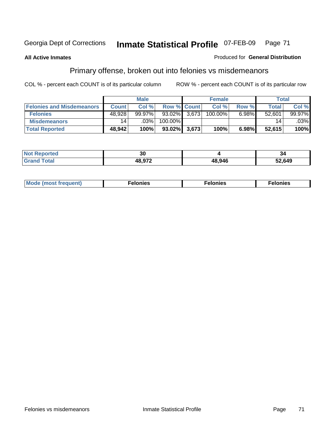**All Active Inmates**

## Produced for **General Distribution**

# Primary offense, broken out into felonies vs misdemeanors

|                                  |              | <b>Male</b> |                    |       | <b>Female</b> |       | Total           |        |
|----------------------------------|--------------|-------------|--------------------|-------|---------------|-------|-----------------|--------|
| <b>Felonies and Misdemeanors</b> | <b>Count</b> | Col%        | <b>Row % Count</b> |       | Col %         | Row % | <b>Total</b>    | Col %  |
| <b>Felonies</b>                  | 48,928       | $99.97\%$   | 93.02%             | 3.673 | 100.00%       | 6.98% | 52,601          | 99.97% |
| <b>Misdemeanors</b>              | 14           | .03%        | 100.00%            |       |               |       | 14 <sub>1</sub> | .03%   |
| <b>Total Reported</b>            | 48,942       | 100%        | 93.02%             | 3,673 | 100%          | 6.98% | 52,615          | 100%   |

| <b>Not Reported</b>   | 30   |       | -34    |
|-----------------------|------|-------|--------|
| <b>⊺otal</b><br>Grani | פר ה | 48946 | 52,649 |

| Mode (most frequent) | elonies | elonies | onies<br>-е к |
|----------------------|---------|---------|---------------|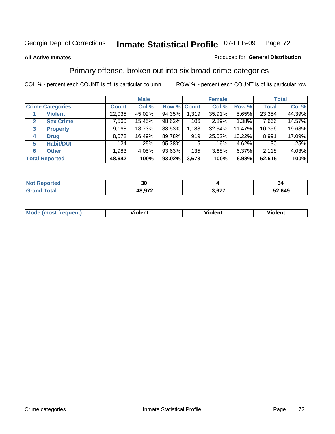## **All Active Inmates**

## Produced for **General Distribution**

# Primary offense, broken out into six broad crime categories

|                                  |              | <b>Male</b> |             |       | <b>Female</b> |        |              | <b>Total</b> |
|----------------------------------|--------------|-------------|-------------|-------|---------------|--------|--------------|--------------|
| <b>Crime Categories</b>          | <b>Count</b> | Col %       | Row % Count |       | Col %         | Row %  | <b>Total</b> | Col %        |
| <b>Violent</b>                   | 22,035       | 45.02%      | 94.35%      | 1,319 | 35.91%        | 5.65%  | 23,354       | 44.39%       |
| <b>Sex Crime</b><br>$\mathbf{2}$ | 7,560        | 15.45%      | 98.62%      | 106   | 2.89%         | 1.38%  | 7,666        | 14.57%       |
| 3<br><b>Property</b>             | 9,168        | 18.73%      | 88.53%      | 1,188 | 32.34%        | 11.47% | 10,356       | 19.68%       |
| <b>Drug</b><br>4                 | 8,072        | 16.49%      | 89.78%      | 919   | 25.02%        | 10.22% | 8,991        | 17.09%       |
| <b>Habit/DUI</b><br>5            | 124          | .25%        | 95.38%      | 6     | .16%          | 4.62%  | 130          | .25%         |
| <b>Other</b><br>6                | 1,983        | 4.05%       | $93.63\%$   | 135   | 3.68%         | 6.37%  | 2,118        | 4.03%        |
| <b>Total Reported</b>            | 48,942       | 100%        | 93.02%      | 3,673 | 100%          | 6.98%  | 52,615       | 100%         |

| $\lceil \cdot \rceil$ orted<br>NO | ົ<br>აυ |               | יט     |
|-----------------------------------|---------|---------------|--------|
| 'otal                             | 48,972  | c77<br>י וטוע | 52,649 |

| M<br>$\sim$ $\sim$ $\sim$ $\sim$ | - --<br>.<br>-------- | .<br>-------- | -------- |
|----------------------------------|-----------------------|---------------|----------|
|                                  |                       |               |          |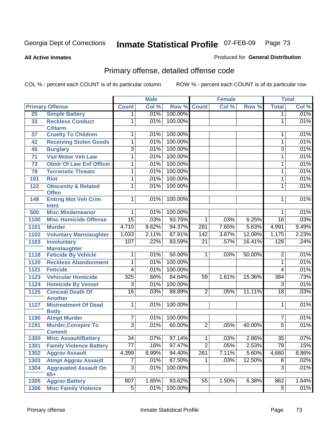**All Active Inmates**

#### Produced for **General Distribution**

# Primary offense, detailed offense code

|                 |                                                |                 | <b>Male</b> |         |                  | <b>Female</b> |        |                 | <b>Total</b> |
|-----------------|------------------------------------------------|-----------------|-------------|---------|------------------|---------------|--------|-----------------|--------------|
|                 | <b>Primary Offense</b>                         | <b>Count</b>    | Col %       | Row %   | <b>Count</b>     | Col %         | Row %  | <b>Total</b>    | Col %        |
| 25              | <b>Simple Battery</b>                          | $\overline{1}$  | .01%        | 100.00% |                  |               |        | 1               | .01%         |
| 33              | <b>Reckless Conduct</b><br><b>C/Harm</b>       | 1               | .01%        | 100.00% |                  |               |        | 1               | .01%         |
| 37              | <b>Cruelty To Children</b>                     | 1               | .01%        | 100.00% |                  |               |        | 1               | .01%         |
| 42              | <b>Receiving Stolen Goods</b>                  | 1               | .01%        | 100.00% |                  |               |        | 1               | .01%         |
| 45              | <b>Burglary</b>                                | $\overline{3}$  | .01%        | 100.00% |                  |               |        | 3               | .01%         |
| $\overline{71}$ | <b>Viol Motor Veh Law</b>                      | 1               | .01%        | 100.00% |                  |               |        | $\mathbf{1}$    | .01%         |
| 73              | <b>Obstr Of Law Enf Officer</b>                | 1               | .01%        | 100.00% |                  |               |        | 1               | .01%         |
| 78              | <b>Terroristic Threats</b>                     | 1               | .01%        | 100.00% |                  |               |        | 1               | .01%         |
| 101             | <b>Riot</b>                                    | 1               | .01%        | 100.00% |                  |               |        | 1               | .01%         |
| 122             | <b>Obscenity &amp; Related</b><br><b>Offen</b> | 1               | .01%        | 100.00% |                  |               |        | 1               | .01%         |
| 149             | <b>Entrng Mot Veh Crim</b><br><b>Intnt</b>     | 1               | .01%        | 100.00% |                  |               |        | 1               | .01%         |
| 500             | <b>Misc Misdemeanor</b>                        | 1               | .01%        | 100.00% |                  |               |        | 1               | .01%         |
| 1100            | <b>Misc Homicide Offense</b>                   | 15              | .03%        | 93.75%  | 1                | .03%          | 6.25%  | $\overline{16}$ | .03%         |
| 1101            | <b>Murder</b>                                  | 4,710           | 9.62%       | 94.37%  | 281              | 7.65%         | 5.63%  | 4,991           | 9.49%        |
| 1102            | <b>Voluntary Manslaughter</b>                  | 1,033           | 2.11%       | 87.91%  | 142              | 3.87%         | 12.09% | 1,175           | 2.23%        |
| 1103            | <b>Involuntary</b><br><b>Manslaughter</b>      | 107             | .22%        | 83.59%  | $\overline{21}$  | .57%          | 16.41% | 128             | .24%         |
| 1118            | <b>Feticide By Vehicle</b>                     | 1               | .01%        | 50.00%  | $\mathbf{1}$     | .03%          | 50.00% | $\overline{2}$  | .01%         |
| 1120            | <b>Reckless Abandonment</b>                    | $\overline{1}$  | .01%        | 100.00% |                  |               |        | $\mathbf{1}$    | .01%         |
| 1121            | <b>Feticide</b>                                | $\overline{4}$  | .01%        | 100.00% |                  |               |        | 4               | .01%         |
| 1123            | <b>Vehicular Homicide</b>                      | 325             | .66%        | 84.64%  | $\overline{59}$  | 1.61%         | 15.36% | 384             | .73%         |
| 1124            | <b>Homicide By Vessel</b>                      | 3               | .01%        | 100.00% |                  |               |        | $\overline{3}$  | .01%         |
| 1125            | <b>Conceal Death Of</b><br><b>Another</b>      | $\overline{16}$ | .03%        | 88.89%  | $\overline{2}$   | .05%          | 11.11% | $\overline{18}$ | .03%         |
| 1127            | <b>Mistreatment Of Dead</b><br><b>Body</b>     | $\overline{1}$  | .01%        | 100.00% |                  |               |        | 1               | .01%         |
| 1190            | <b>Atmpt Murder</b>                            | $\overline{7}$  | .01%        | 100.00% |                  |               |        | 7               | .01%         |
| 1191            | Murder, Conspire To<br><b>Commit</b>           | $\overline{3}$  | .01%        | 60.00%  | $\overline{2}$   | .05%          | 40.00% | $\overline{5}$  | .01%         |
| 1300            | <b>Misc Assault/Battery</b>                    | $\overline{34}$ | .07%        | 97.14%  | 1 <sup>1</sup>   | .03%          | 2.86%  | $\overline{35}$ | .07%         |
| 1301            | <b>Family Violence Battery</b>                 | 77              | .16%        | 97.47%  | $\overline{2}$   | .05%          | 2.53%  | 79              | .15%         |
| 1302            | <b>Aggrav Assault</b>                          | 4,399           | 8.99%       | 94.40%  | $\overline{261}$ | 7.11%         | 5.60%  | 4,660           | 8.86%        |
| 1303            | <b>Atmpt Aggrav Assault</b>                    | $\overline{7}$  | .01%        | 87.50%  | 1                | .03%          | 12.50% | 8               | .02%         |
| 1304            | <b>Aggravated Assault On</b><br>$65+$          | $\overline{3}$  | .01%        | 100.00% |                  |               |        | $\overline{3}$  | .01%         |
| 1305            | <b>Aggrav Battery</b>                          | 807             | 1.65%       | 93.62%  | 55               | 1.50%         | 6.38%  | 862             | 1.64%        |
| 1306            | <b>Misc Family Violence</b>                    | 5 <sup>1</sup>  | .01%        | 100.00% |                  |               |        | 5               | .01%         |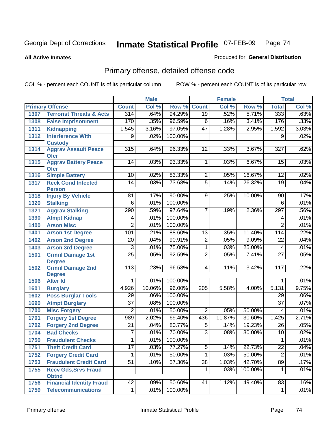#### **All Active Inmates**

#### Produced for **General Distribution**

# Primary offense, detailed offense code

|      |                                            |                 | <b>Male</b> |         |                 | Female |         |                 | <b>Total</b> |
|------|--------------------------------------------|-----------------|-------------|---------|-----------------|--------|---------|-----------------|--------------|
|      | <b>Primary Offense</b>                     | <b>Count</b>    | Col %       | Row %   | <b>Count</b>    | Col %  | Row %   | <b>Total</b>    | Col %        |
| 1307 | <b>Terrorist Threats &amp; Acts</b>        | 314             | .64%        | 94.29%  | 19              | .52%   | 5.71%   | 333             | .63%         |
| 1308 | <b>False Imprisonment</b>                  | 170             | .35%        | 96.59%  | 6               | .16%   | 3.41%   | 176             | .33%         |
| 1311 | <b>Kidnapping</b>                          | 1,545           | 3.16%       | 97.05%  | $\overline{47}$ | 1.28%  | 2.95%   | 1,592           | 3.03%        |
| 1312 | <b>Interference With</b>                   | 9               | .02%        | 100.00% |                 |        |         | $\overline{9}$  | .02%         |
|      | <b>Custody</b>                             |                 |             |         |                 |        |         |                 |              |
| 1314 | <b>Aggrav Assault Peace</b><br><b>Ofcr</b> | 315             | .64%        | 96.33%  | $\overline{12}$ | .33%   | 3.67%   | 327             | .62%         |
| 1315 | <b>Aggrav Battery Peace</b><br><b>Ofcr</b> | 14              | .03%        | 93.33%  | 1               | .03%   | 6.67%   | 15              | .03%         |
| 1316 | <b>Simple Battery</b>                      | 10              | .02%        | 83.33%  | $\overline{2}$  | .05%   | 16.67%  | 12              | .02%         |
| 1317 | <b>Reck Cond Infected</b>                  | $\overline{14}$ | .03%        | 73.68%  | $\overline{5}$  | .14%   | 26.32%  | $\overline{19}$ | .04%         |
|      | <b>Person</b>                              |                 |             |         |                 |        |         |                 |              |
| 1318 | <b>Injury By Vehicle</b>                   | 81              | .17%        | 90.00%  | 9               | .25%   | 10.00%  | 90              | .17%         |
| 1320 | <b>Stalking</b>                            | $\overline{6}$  | .01%        | 100.00% |                 |        |         | $\overline{6}$  | .01%         |
| 1321 | <b>Aggrav Stalking</b>                     | 290             | .59%        | 97.64%  | $\overline{7}$  | .19%   | 2.36%   | 297             | .56%         |
| 1390 | <b>Atmpt Kidnap</b>                        | 4               | .01%        | 100.00% |                 |        |         | 4               | .01%         |
| 1400 | <b>Arson Misc</b>                          | $\overline{2}$  | .01%        | 100.00% |                 |        |         | $\overline{2}$  | .01%         |
| 1401 | <b>Arson 1st Degree</b>                    | 101             | .21%        | 88.60%  | $\overline{13}$ | .35%   | 11.40%  | 114             | .22%         |
| 1402 | <b>Arson 2nd Degree</b>                    | $\overline{20}$ | .04%        | 90.91%  | $\overline{2}$  | .05%   | 9.09%   | 22              | .04%         |
| 1403 | <b>Arson 3rd Degree</b>                    | 3               | .01%        | 75.00%  | $\overline{1}$  | .03%   | 25.00%  | 4               | .01%         |
| 1501 | <b>Crmnl Damage 1st</b>                    | $\overline{25}$ | .05%        | 92.59%  | $\overline{2}$  | .05%   | 7.41%   | $\overline{27}$ | .05%         |
|      | <b>Degree</b>                              |                 |             |         |                 |        |         |                 |              |
| 1502 | <b>Crmnl Damage 2nd</b>                    | 113             | .23%        | 96.58%  | 4               | .11%   | 3.42%   | 117             | .22%         |
| 1506 | <b>Degree</b><br><b>Alter Id</b>           | 1               | .01%        | 100.00% |                 |        |         | 1               | .01%         |
| 1601 | <b>Burglary</b>                            | 4,926           | 10.06%      | 96.00%  | 205             | 5.58%  | 4.00%   | 5,131           | 9.75%        |
| 1602 | <b>Poss Burglar Tools</b>                  | $\overline{29}$ | .06%        | 100.00% |                 |        |         | 29              | .06%         |
| 1690 | <b>Atmpt Burglary</b>                      | $\overline{37}$ | .08%        | 100.00% |                 |        |         | $\overline{37}$ | .07%         |
| 1700 | <b>Misc Forgery</b>                        | $\overline{2}$  | .01%        | 50.00%  | $\overline{2}$  | .05%   | 50.00%  | 4               | .01%         |
| 1701 | <b>Forgery 1st Degree</b>                  | 989             | 2.02%       | 69.40%  | 436             | 11.87% | 30.60%  | 1,425           | 2.71%        |
| 1702 | <b>Forgery 2nd Degree</b>                  | $\overline{21}$ | .04%        | 80.77%  | $\overline{5}$  | .14%   | 19.23%  | $\overline{26}$ | .05%         |
| 1704 | <b>Bad Checks</b>                          | 7               | .01%        | 70.00%  | $\overline{3}$  | .08%   | 30.00%  | $\overline{10}$ | .02%         |
| 1750 | <b>Fraudulent Checks</b>                   | $\overline{1}$  | $.01\%$     | 100.00% |                 |        |         | 1               | .01%         |
| 1751 | <b>Theft Credit Card</b>                   | $\overline{17}$ | .03%        | 77.27%  | $\overline{5}$  | .14%   | 22.73%  | $\overline{22}$ | .04%         |
| 1752 | <b>Forgery Credit Card</b>                 | 1               | .01%        | 50.00%  | $\overline{1}$  | .03%   | 50.00%  | $\overline{2}$  | .01%         |
| 1753 | <b>Fraudulent Credit Card</b>              | $\overline{51}$ | .10%        | 57.30%  | $\overline{38}$ | 1.03%  | 42.70%  | 89              | .17%         |
| 1755 | <b>Recv Gds, Srvs Fraud</b>                |                 |             |         | $\mathbf{1}$    | .03%   | 100.00% | $\mathbf 1$     | .01%         |
|      | <b>Obtnd</b>                               |                 |             |         |                 |        |         |                 |              |
| 1756 | <b>Financial Identity Fraud</b>            | 42              | .09%        | 50.60%  | 41              | 1.12%  | 49.40%  | 83              | .16%         |
| 1759 | <b>Telecommunications</b>                  | $\mathbf{1}$    | .01%        | 100.00% |                 |        |         | $\mathbf{1}$    | .01%         |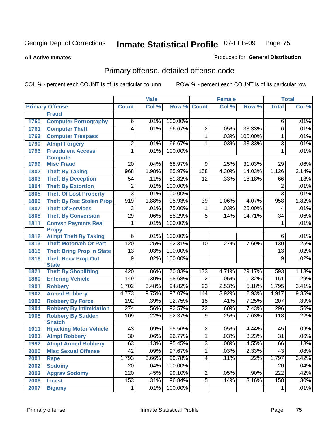**All Active Inmates**

#### Produced for **General Distribution**

# Primary offense, detailed offense code

|      |                                             |                  | <b>Male</b> |         |                 | <b>Female</b> |         |                  | <b>Total</b> |
|------|---------------------------------------------|------------------|-------------|---------|-----------------|---------------|---------|------------------|--------------|
|      | <b>Primary Offense</b>                      | <b>Count</b>     | Col %       | Row %   | <b>Count</b>    | Col %         | Row %   | <b>Total</b>     | CoI%         |
|      | <b>Fraud</b>                                |                  |             |         |                 |               |         |                  |              |
| 1760 | <b>Computer Pornography</b>                 | 6                | .01%        | 100.00% |                 |               |         | 6                | .01%         |
| 1761 | <b>Computer Theft</b>                       | $\overline{4}$   | .01%        | 66.67%  | $\overline{2}$  | .05%          | 33.33%  | $\overline{6}$   | .01%         |
| 1762 | <b>Computer Trespass</b>                    |                  |             |         | $\overline{1}$  | .03%          | 100.00% | 1                | .01%         |
| 1790 | <b>Atmpt Forgery</b>                        | $\overline{2}$   | .01%        | 66.67%  | 1               | .03%          | 33.33%  | $\overline{3}$   | .01%         |
| 1796 | <b>Fraudulent Access</b>                    | 1                | .01%        | 100.00% |                 |               |         | $\mathbf{1}$     | .01%         |
|      | <b>Compute</b>                              |                  |             |         |                 |               |         |                  |              |
| 1799 | <b>Misc Fraud</b>                           | $\overline{20}$  | .04%        | 68.97%  | $\overline{9}$  | .25%          | 31.03%  | 29               | .06%         |
| 1802 | <b>Theft By Taking</b>                      | 968              | 1.98%       | 85.97%  | 158             | 4.30%         | 14.03%  | 1,126            | 2.14%        |
| 1803 | <b>Theft By Deception</b>                   | 54               | .11%        | 81.82%  | $\overline{12}$ | .33%          | 18.18%  | 66               | .13%         |
| 1804 | <b>Theft By Extortion</b>                   | $\overline{2}$   | .01%        | 100.00% |                 |               |         | $\overline{2}$   | .01%         |
| 1805 | <b>Theft Of Lost Property</b>               | $\overline{3}$   | .01%        | 100.00% |                 |               |         | $\overline{3}$   | .01%         |
| 1806 | <b>Theft By Rec Stolen Prop</b>             | 919              | 1.88%       | 95.93%  | 39              | 1.06%         | 4.07%   | 958              | 1.82%        |
| 1807 | <b>Theft Of Services</b>                    | 3                | .01%        | 75.00%  | 1               | .03%          | 25.00%  | 4                | .01%         |
| 1808 | <b>Theft By Conversion</b>                  | $\overline{29}$  | .06%        | 85.29%  | $\overline{5}$  | .14%          | 14.71%  | $\overline{34}$  | .06%         |
| 1811 | <b>Convsn Paymnts Real</b>                  | 1                | .01%        | 100.00% |                 |               |         | 1                | .01%         |
|      | <b>Propy</b>                                |                  |             |         |                 |               |         |                  |              |
| 1812 | <b>Atmpt Theft By Taking</b>                | $\overline{6}$   | .01%        | 100.00% |                 |               |         | $\overline{6}$   | .01%         |
| 1813 | <b>Theft Motorveh Or Part</b>               | 120              | .25%        | 92.31%  | 10              | .27%          | 7.69%   | 130              | .25%         |
| 1815 | <b>Theft Bring Prop In State</b>            | $\overline{13}$  | .03%        | 100.00% |                 |               |         | $\overline{13}$  | .02%         |
| 1816 | <b>Theft Recv Prop Out</b>                  | $\overline{9}$   | .02%        | 100.00% |                 |               |         | $\overline{9}$   | .02%         |
| 1821 | <b>State</b><br><b>Theft By Shoplifting</b> | 420              | .86%        | 70.83%  | 173             | 4.71%         | 29.17%  | 593              | 1.13%        |
| 1880 | <b>Entering Vehicle</b>                     | 149              | .30%        | 98.68%  | $\overline{2}$  | .05%          | 1.32%   | 151              | .29%         |
| 1901 | <b>Robbery</b>                              | 1,702            | 3.48%       | 94.82%  | $\overline{93}$ | 2.53%         | 5.18%   | 1,795            | 3.41%        |
| 1902 | <b>Armed Robbery</b>                        | 4,773            | 9.75%       | 97.07%  | 144             | 3.92%         | 2.93%   | 4,917            | 9.35%        |
| 1903 | <b>Robbery By Force</b>                     | 192              | .39%        | 92.75%  | 15              | .41%          | 7.25%   | 207              | .39%         |
| 1904 | <b>Robbery By Intimidation</b>              | $\overline{274}$ | .56%        | 92.57%  | $\overline{22}$ | .60%          | 7.43%   | 296              | .56%         |
| 1905 | <b>Robbery By Sudden</b>                    | 109              | .22%        | 92.37%  | $\overline{9}$  | .25%          | 7.63%   | 118              | .22%         |
|      | <b>Snatch</b>                               |                  |             |         |                 |               |         |                  |              |
| 1911 | <b>Hijacking Motor Vehicle</b>              | $\overline{43}$  | .09%        | 95.56%  | $\overline{2}$  | .05%          | 4.44%   | 45               | .09%         |
| 1991 | <b>Atmpt Robbery</b>                        | $\overline{30}$  | .06%        | 96.77%  | $\overline{1}$  | .03%          | 3.23%   | $\overline{31}$  | .06%         |
| 1992 | <b>Atmpt Armed Robbery</b>                  | 63               | .13%        | 95.45%  | 3               | .08%          | 4.55%   | 66               | .13%         |
| 2000 | <b>Misc Sexual Offense</b>                  | $\overline{42}$  | .09%        | 97.67%  | $\overline{1}$  | .03%          | 2.33%   | $\overline{43}$  | .08%         |
| 2001 | Rape                                        | 1,793            | 3.66%       | 99.78%  | $\overline{4}$  | .11%          | .22%    | 1,797            | 3.42%        |
| 2002 | <b>Sodomy</b>                               | $\overline{20}$  | .04%        | 100.00% |                 |               |         | 20               | .04%         |
| 2003 | <b>Aggrav Sodomy</b>                        | 220              | .45%        | 99.10%  | $\overline{2}$  | .05%          | $.90\%$ | $\overline{222}$ | .42%         |
| 2006 | <b>Incest</b>                               | 153              | .31%        | 96.84%  | $\overline{5}$  | .14%          | 3.16%   | 158              | .30%         |
| 2007 | <b>Bigamy</b>                               | 1                | .01%        | 100.00% |                 |               |         | 1                | .01%         |
|      |                                             |                  |             |         |                 |               |         |                  |              |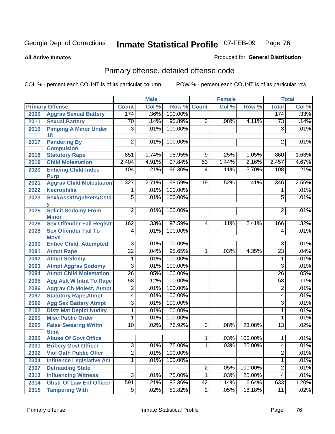#### **All Active Inmates**

### Produced for **General Distribution**

# Primary offense, detailed offense code

|      |                                                  |                 | <b>Male</b> |         |                 | <b>Female</b> |         |                          | <b>Total</b> |
|------|--------------------------------------------------|-----------------|-------------|---------|-----------------|---------------|---------|--------------------------|--------------|
|      | <b>Primary Offense</b>                           | <b>Count</b>    | Col %       | Row %   | <b>Count</b>    | Col %         | Row %   | <b>Total</b>             | Col %        |
| 2009 | <b>Aggrav Sexual Battery</b>                     | 174             | .36%        | 100.00% |                 |               |         | 174                      | .33%         |
| 2011 | <b>Sexual Battery</b>                            | $\overline{70}$ | .14%        | 95.89%  | $\overline{3}$  | .08%          | 4.11%   | 73                       | .14%         |
| 2016 | <b>Pimping A Minor Under</b>                     | $\overline{3}$  | .01%        | 100.00% |                 |               |         | $\overline{3}$           | .01%         |
|      | 18                                               |                 |             |         |                 |               |         |                          |              |
| 2017 | <b>Pandering By</b><br><b>Compulsion</b>         | $\overline{c}$  | .01%        | 100.00% |                 |               |         | $\overline{2}$           | .01%         |
| 2018 | <b>Statutory Rape</b>                            | 851             | 1.74%       | 98.95%  | 9               | .25%          | 1.05%   | 860                      | 1.63%        |
| 2019 | <b>Child Molestation</b>                         | 2,404           | 4.91%       | 97.84%  | 53              | 1.44%         | 2.16%   | 2,457                    | 4.67%        |
| 2020 | <b>Enticing Child-Indec</b>                      | 104             | .21%        | 96.30%  | $\overline{4}$  | .11%          | 3.70%   | 108                      | .21%         |
|      | <b>Purp</b>                                      |                 |             |         |                 |               |         |                          |              |
| 2021 | <b>Aggrav Child Molestation</b>                  | 1,327           | 2.71%       | 98.59%  | $\overline{19}$ | .52%          | 1.41%   | 1,346                    | 2.56%        |
| 2022 | Necrophilia                                      | 1               | .01%        | 100.00% |                 |               |         | 1                        | .01%         |
| 2023 | Sexl/Asslt/Agn/Pers/Cstd                         | $\overline{5}$  | .01%        | 100.00% |                 |               |         | $\overline{5}$           | .01%         |
|      |                                                  |                 |             |         |                 |               |         |                          |              |
| 2025 | <b>Solicit Sodomy From</b>                       | 2               | .01%        | 100.00% |                 |               |         | $\overline{2}$           | .01%         |
| 2026 | <b>Minor</b><br><b>Sex Offender Fail Registr</b> | 162             | .33%        | 97.59%  | $\overline{4}$  | .11%          | 2.41%   | 166                      | .32%         |
| 2028 | <b>Sex Offender Fail To</b>                      | 4               | .01%        | 100.00% |                 |               |         | 4                        | .01%         |
|      | <b>Move</b>                                      |                 |             |         |                 |               |         |                          |              |
| 2090 | <b>Entice Child, Attempted</b>                   | 3               | .01%        | 100.00% |                 |               |         | 3                        | .01%         |
| 2091 | <b>Atmpt Rape</b>                                | $\overline{22}$ | .04%        | 95.65%  | 1               | .03%          | 4.35%   | $\overline{23}$          | .04%         |
| 2092 | <b>Atmpt Sodomy</b>                              | 1               | .01%        | 100.00% |                 |               |         | 1                        | .01%         |
| 2093 | <b>Atmpt Aggrav Sodomy</b>                       | $\overline{3}$  | .01%        | 100.00% |                 |               |         | $\overline{3}$           | .01%         |
| 2094 | <b>Atmpt Child Molestation</b>                   | $\overline{26}$ | .05%        | 100.00% |                 |               |         | $\overline{26}$          | .05%         |
| 2095 | <b>Agg Aslt W Intnt To Rape</b>                  | $\overline{58}$ | .12%        | 100.00% |                 |               |         | $\overline{58}$          | .11%         |
| 2096 | <b>Aggrav Ch Molest, Atmpt</b>                   | $\overline{2}$  | .01%        | 100.00% |                 |               |         | $\overline{2}$           | .01%         |
| 2097 | <b>Statutory Rape, Atmpt</b>                     | 4               | .01%        | 100.00% |                 |               |         | 4                        | .01%         |
| 2099 | <b>Agg Sex Battery Atmpt</b>                     | $\overline{3}$  | .01%        | 100.00% |                 |               |         | $\overline{3}$           | .01%         |
| 2102 | <b>Distr Mat Depict Nudity</b>                   | 1               | .01%        | 100.00% |                 |               |         | 1                        | .01%         |
| 2200 | <b>Misc Public Order</b>                         | 1               | .01%        | 100.00% |                 |               |         | 1                        | .01%         |
| 2205 | <b>False Swearng Writtn</b>                      | $\overline{10}$ | .02%        | 76.92%  | $\overline{3}$  | .08%          | 23.08%  | $\overline{13}$          | .02%         |
|      | <b>Stmt</b>                                      |                 |             |         |                 |               |         |                          |              |
| 2300 | <b>Abuse Of Govt Office</b>                      |                 |             |         | 1 <sup>1</sup>  | .03%          | 100.00% | $\mathbf{1}$             | .01%         |
| 2301 | <b>Bribery Govt Officer</b>                      | $\overline{3}$  | .01%        | 75.00%  | 1 <sup>1</sup>  | .03%          | 25.00%  | $\overline{\mathcal{A}}$ | .01%         |
| 2302 | <b>Viol Oath Public Offcr</b>                    | $\overline{2}$  | .01%        | 100.00% |                 |               |         | $\overline{2}$           | .01%         |
| 2304 | <b>Influence Legislative Act</b>                 | 1               | .01%        | 100.00% |                 |               |         | $\overline{1}$           | .01%         |
| 2307 | <b>Defrauding State</b>                          |                 |             |         | $\overline{2}$  | .05%          | 100.00% | $\overline{2}$           | .01%         |
| 2313 | <b>Influencing Witness</b>                       | 3               | .01%        | 75.00%  | $\overline{1}$  | .03%          | 25.00%  | 4                        | .01%         |
| 2314 | <b>Obstr Of Law Enf Officer</b>                  | 591             | 1.21%       | 93.36%  | 42              | 1.14%         | 6.64%   | 633                      | 1.20%        |
| 2315 | <b>Tampering With</b>                            | 9               | .02%        | 81.82%  | $\overline{2}$  | .05%          | 18.18%  | 11                       | .02%         |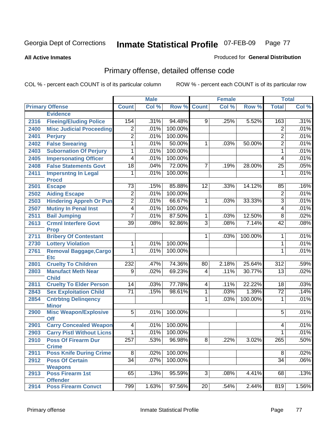**All Active Inmates**

#### Produced for **General Distribution**

# Primary offense, detailed offense code

|      |                                             |                  | <b>Male</b> |         |                | <b>Female</b> |         |                  | <b>Total</b> |
|------|---------------------------------------------|------------------|-------------|---------|----------------|---------------|---------|------------------|--------------|
|      | <b>Primary Offense</b>                      | <b>Count</b>     | Col %       | Row %   | <b>Count</b>   | Col %         | Row %   | <b>Total</b>     | Col %        |
|      | <b>Evidence</b>                             |                  |             |         |                |               |         |                  |              |
| 2316 | <b>Fleeing/Eluding Police</b>               | 154              | .31%        | 94.48%  | 9 <sup>1</sup> | .25%          | 5.52%   | 163              | .31%         |
| 2400 | <b>Misc Judicial Proceeding</b>             | $\overline{2}$   | .01%        | 100.00% |                |               |         | $\overline{2}$   | .01%         |
| 2401 | <b>Perjury</b>                              | $\overline{2}$   | .01%        | 100.00% |                |               |         | $\overline{2}$   | .01%         |
| 2402 | <b>False Swearing</b>                       | 1                | .01%        | 50.00%  | $\mathbf{1}$   | .03%          | 50.00%  | $\overline{2}$   | .01%         |
| 2403 | <b>Subornation Of Perjury</b>               | $\overline{1}$   | .01%        | 100.00% |                |               |         | $\mathbf{1}$     | .01%         |
| 2405 | <b>Impersonating Officer</b>                | $\overline{4}$   | .01%        | 100.00% |                |               |         | 4                | .01%         |
| 2408 | <b>False Statements Govt</b>                | $\overline{18}$  | .04%        | 72.00%  | 7              | .19%          | 28.00%  | 25               | .05%         |
| 2411 | <b>Impersntng In Legal</b><br><b>Procd</b>  | $\overline{1}$   | .01%        | 100.00% |                |               |         | $\mathbf{1}$     | .01%         |
| 2501 | <b>Escape</b>                               | 73               | .15%        | 85.88%  | 12             | .33%          | 14.12%  | 85               | .16%         |
| 2502 | <b>Aiding Escape</b>                        | $\overline{2}$   | .01%        | 100.00% |                |               |         | $\overline{2}$   | .01%         |
| 2503 | <b>Hindering Appreh Or Pun</b>              | $\overline{2}$   | .01%        | 66.67%  | 1              | .03%          | 33.33%  | 3                | .01%         |
| 2507 | <b>Mutiny In Penal Inst</b>                 | $\overline{4}$   | .01%        | 100.00% |                |               |         | 4                | .01%         |
| 2511 | <b>Bail Jumping</b>                         | 7                | .01%        | 87.50%  | $\mathbf{1}$   | .03%          | 12.50%  | 8                | .02%         |
| 2613 | <b>Crmnl Interfere Govt</b><br><b>Prop</b>  | $\overline{39}$  | .08%        | 92.86%  | 3              | .08%          | 7.14%   | $\overline{42}$  | .08%         |
| 2711 | <b>Bribery Of Contestant</b>                |                  |             |         | $\mathbf{1}$   | .03%          | 100.00% | 1                | .01%         |
| 2730 | <b>Lottery Violation</b>                    | 1                | .01%        | 100.00% |                |               |         | 1                | .01%         |
| 2761 | <b>Removal Baggage, Cargo</b><br><b>Etc</b> | 1                | .01%        | 100.00% |                |               |         | 1                | .01%         |
| 2801 | <b>Cruelty To Children</b>                  | 232              | .47%        | 74.36%  | 80             | 2.18%         | 25.64%  | $\overline{312}$ | .59%         |
| 2803 | <b>Manufact Meth Near</b><br><b>Child</b>   | $\overline{9}$   | .02%        | 69.23%  | 4              | .11%          | 30.77%  | $\overline{13}$  | .02%         |
| 2811 | <b>Cruelty To Elder Person</b>              | 14               | .03%        | 77.78%  | 4              | .11%          | 22.22%  | 18               | .03%         |
| 2843 | <b>Sex Exploitation Child</b>               | $\overline{71}$  | .15%        | 98.61%  | 1              | .03%          | 1.39%   | $\overline{72}$  | .14%         |
| 2854 | <b>Cntrbtng Delingency</b><br><b>Minor</b>  |                  |             |         | 1              | .03%          | 100.00% | 1                | .01%         |
| 2900 | <b>Misc Weapon/Explosive</b><br><b>Off</b>  | $\overline{5}$   | .01%        | 100.00% |                |               |         | 5                | .01%         |
| 2901 | <b>Carry Concealed Weapon</b>               | $\overline{4}$   | .01%        | 100.00% |                |               |         | 4                | .01%         |
| 2903 | <b>Carry Pistl Without Licns</b>            | 1                | .01%        | 100.00% |                |               |         | 1                | $.01\%$      |
| 2910 | <b>Poss Of Firearm Dur</b>                  | $\overline{257}$ | .53%        | 96.98%  | $\overline{8}$ | .22%          | 3.02%   | 265              | .50%         |
|      | <b>Crime</b>                                |                  |             |         |                |               |         |                  |              |
| 2911 | <b>Poss Knife During Crime</b>              | $\overline{8}$   | .02%        | 100.00% |                |               |         | 8                | .02%         |
| 2912 | <b>Poss Of Certain</b>                      | 34               | .07%        | 100.00% |                |               |         | $\overline{34}$  | .06%         |
|      | <b>Weapons</b><br><b>Poss Firearm 1st</b>   | 65               | .13%        | 95.59%  | $\overline{3}$ | .08%          | 4.41%   | 68               | .13%         |
| 2913 | <b>Offender</b>                             |                  |             |         |                |               |         |                  |              |
| 2914 | <b>Poss Firearm Convct</b>                  | 799              | 1.63%       | 97.56%  | 20             | .54%          | 2.44%   | 819              | 1.56%        |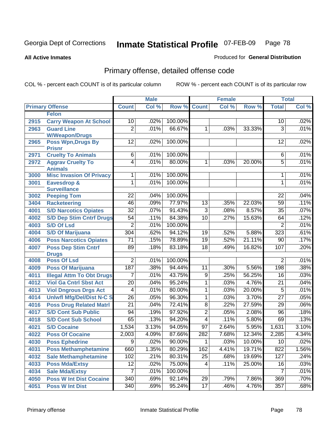**All Active Inmates**

### Produced for **General Distribution**

# Primary offense, detailed offense code

|      |                                            | <b>Male</b>      |       | <b>Female</b> |                 |       | <b>Total</b> |                  |       |
|------|--------------------------------------------|------------------|-------|---------------|-----------------|-------|--------------|------------------|-------|
|      | <b>Primary Offense</b>                     | <b>Count</b>     | Col % | Row %         | <b>Count</b>    | Col % | Row %        | <b>Total</b>     | Col % |
|      | <b>Felon</b>                               |                  |       |               |                 |       |              |                  |       |
| 2915 | <b>Carry Weapon At School</b>              | 10               | .02%  | 100.00%       |                 |       |              | 10               | .02%  |
| 2963 | <b>Guard Line</b>                          | $\overline{2}$   | .01%  | 66.67%        | 1               | .03%  | 33.33%       | 3                | .01%  |
|      | <b>W/Weapon/Drugs</b>                      |                  |       |               |                 |       |              |                  |       |
| 2965 | <b>Poss Wpn, Drugs By</b>                  | $\overline{12}$  | .02%  | 100.00%       |                 |       |              | 12               | .02%  |
|      | <b>Prisnr</b><br><b>Cruelty To Animals</b> | $6\overline{6}$  | .01%  | 100.00%       |                 |       |              | 6                | .01%  |
| 2971 |                                            | $\overline{4}$   | .01%  | 80.00%        | 1               | .03%  | 20.00%       | $\overline{5}$   | .01%  |
| 2972 | <b>Aggrav Cruelty To</b><br><b>Animals</b> |                  |       |               |                 |       |              |                  |       |
| 3000 | <b>Misc Invasion Of Privacy</b>            | 1                | .01%  | 100.00%       |                 |       |              | 1                | .01%  |
| 3001 | Eavesdrop &                                | $\overline{1}$   | .01%  | 100.00%       |                 |       |              | 1                | .01%  |
|      | <b>Surveillance</b>                        |                  |       |               |                 |       |              |                  |       |
| 3002 | <b>Peeping Tom</b>                         | 22               | .04%  | 100.00%       |                 |       |              | 22               | .04%  |
| 3404 | <b>Racketeering</b>                        | 46               | .09%  | 77.97%        | 13              | .35%  | 22.03%       | 59               | .11%  |
| 4001 | <b>S/D Narcotics Opiates</b>               | $\overline{32}$  | .07%  | 91.43%        | $\overline{3}$  | .08%  | 8.57%        | $\overline{35}$  | .07%  |
| 4002 | <b>S/D Dep Stim Cntrf Drugs</b>            | $\overline{54}$  | .11%  | 84.38%        | $\overline{10}$ | .27%  | 15.63%       | 64               | .12%  |
| 4003 | <b>S/D Of Lsd</b>                          | $\overline{2}$   | .01%  | 100.00%       |                 |       |              | $\overline{2}$   | .01%  |
| 4004 | <b>S/D Of Marijuana</b>                    | $\overline{304}$ | .62%  | 94.12%        | 19              | .52%  | 5.88%        | $\overline{323}$ | .61%  |
| 4006 | <b>Poss Narcotics Opiates</b>              | $\overline{71}$  | .15%  | 78.89%        | $\overline{19}$ | .52%  | 21.11%       | 90               | .17%  |
| 4007 | <b>Poss Dep Stim Cntrf</b>                 | 89               | .18%  | 83.18%        | 18              | .49%  | 16.82%       | 107              | .20%  |
|      | <b>Drugs</b>                               |                  |       |               |                 |       |              |                  |       |
| 4008 | <b>Poss Of Lsd</b>                         | $\overline{2}$   | .01%  | 100.00%       |                 |       |              | $\overline{2}$   | .01%  |
| 4009 | <b>Poss Of Marijuana</b>                   | 187              | .38%  | 94.44%        | $\overline{11}$ | .30%  | 5.56%        | 198              | .38%  |
| 4011 | <b>Illegal Attm To Obt Drugs</b>           | 7                | .01%  | 43.75%        | 9               | .25%  | 56.25%       | 16               | .03%  |
| 4012 | <b>Viol Ga Cntrl Sbst Act</b>              | $\overline{20}$  | .04%  | 95.24%        | 1               | .03%  | 4.76%        | $\overline{21}$  | .04%  |
| 4013 | <b>Viol Dngrous Drgs Act</b>               | 4                | .01%  | 80.00%        | 1               | .03%  | 20.00%       | $\overline{5}$   | .01%  |
| 4014 | <b>Uniwfl Mfg/Del/Dist N-C S</b>           | $\overline{26}$  | .05%  | 96.30%        | 1               | .03%  | 3.70%        | $\overline{27}$  | .05%  |
| 4016 | <b>Poss Drug Related Matri</b>             | $\overline{21}$  | .04%  | 72.41%        | 8               | .22%  | 27.59%       | 29               | .06%  |
| 4017 | <b>S/D Cont Sub Public</b>                 | 94               | .19%  | 97.92%        | $\overline{2}$  | .05%  | 2.08%        | 96               | .18%  |
| 4018 | <b>S/D Cont Sub School</b>                 | 65               | .13%  | 94.20%        | $\overline{4}$  | .11%  | 5.80%        | 69               | .13%  |
| 4021 | <b>S/D Cocaine</b>                         | 1,534            | 3.13% | 94.05%        | $\overline{97}$ | 2.64% | 5.95%        | 1,631            | 3.10% |
| 4022 | <b>Poss Of Cocaine</b>                     | 2,003            | 4.09% | 87.66%        | 282             | 7.68% | 12.34%       | 2,285            | 4.34% |
| 4030 | <b>Poss Ephedrine</b>                      | $\overline{9}$   | .02%  | 90.00%        | $\overline{1}$  | .03%  | 10.00%       | 10               | .02%  |
| 4031 | <b>Poss Methamphetamine</b>                | 660              | 1.35% | 80.29%        | 162             | 4.41% | 19.71%       | 822              | 1.56% |
| 4032 | <b>Sale Methamphetamine</b>                | 102              | .21%  | 80.31%        | 25              | .68%  | 19.69%       | 127              | .24%  |
| 4033 | <b>Poss Mda/Extsy</b>                      | 12               | .02%  | 75.00%        | 4               | .11%  | 25.00%       | 16               | .03%  |
| 4034 | <b>Sale Mda/Extsy</b>                      | $\overline{7}$   | .01%  | 100.00%       |                 |       |              | $\overline{7}$   | .01%  |
| 4050 | <b>Poss W Int Dist Cocaine</b>             | 340              | .69%  | 92.14%        | 29              | .79%  | 7.86%        | 369              | .70%  |
| 4051 | <b>Poss W Int Dist</b>                     | $\overline{340}$ | .69%  | 95.24%        | 17              | .46%  | 4.76%        | 357              | .68%  |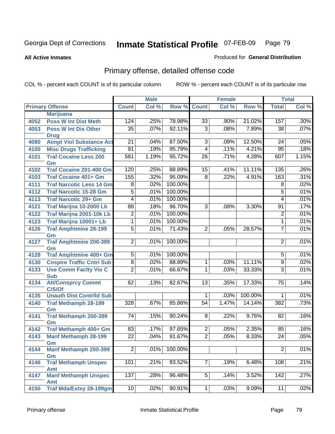**All Active Inmates**

### Produced for **General Distribution**

# Primary offense, detailed offense code

|      |                                            |                  | <b>Male</b> |         |                 | <b>Female</b> |         |                               | <b>Total</b> |
|------|--------------------------------------------|------------------|-------------|---------|-----------------|---------------|---------|-------------------------------|--------------|
|      | <b>Primary Offense</b>                     | <b>Count</b>     | Col %       | Row %   | <b>Count</b>    | Col %         | Row %   | <b>Total</b>                  | Col %        |
|      | <b>Marijuana</b>                           |                  |             |         |                 |               |         |                               |              |
| 4052 | <b>Poss W Int Dist Meth</b>                | 124              | .25%        | 78.98%  | $\overline{33}$ | .90%          | 21.02%  | 157                           | .30%         |
| 4053 | <b>Poss W Int Dis Other</b>                | $\overline{35}$  | .07%        | 92.11%  | $\overline{3}$  | .08%          | 7.89%   | 38                            | .07%         |
|      | <b>Drug</b>                                |                  |             |         |                 |               |         |                               |              |
| 4090 | <b>Atmpt Viol Substance Act</b>            | $\overline{21}$  | .04%        | 87.50%  | $\overline{3}$  | .08%          | 12.50%  | $\overline{24}$               | .05%         |
| 4100 | <b>Misc Drugs Trafficking</b>              | $\overline{91}$  | .19%        | 95.79%  | $\overline{4}$  | .11%          | 4.21%   | 95                            | .18%         |
| 4101 | <b>Traf Cocaine Less 200</b>               | 581              | 1.19%       | 95.72%  | $\overline{26}$ | .71%          | 4.28%   | 607                           | 1.15%        |
|      | Gm                                         |                  |             |         |                 |               |         |                               |              |
| 4102 | <b>Traf Cocaine 201-400 Gm</b>             | 120              | .25%        | 88.89%  | 15              | .41%          | 11.11%  | 135                           | .26%         |
| 4103 | <b>Traf Cocaine 401+ Gm</b>                | 155              | .32%        | 95.09%  | $\overline{8}$  | .22%          | 4.91%   | 163                           | .31%         |
| 4111 | <b>Traf Narcotic Less 14 Gm</b>            | $\overline{8}$   | .02%        | 100.00% |                 |               |         | $\overline{8}$                | .02%         |
| 4112 | <b>Traf Narcotic 15-28 Gm</b>              | $\overline{5}$   | .01%        | 100.00% |                 |               |         | $\overline{5}$                | .01%         |
| 4113 | <b>Traf Narcotic 29+ Gm</b>                | 4                | .01%        | 100.00% |                 |               |         | 4                             | .01%         |
| 4121 | Traf Marijna 10-2000 Lb                    | $\overline{88}$  | .18%        | 96.70%  | $\overline{3}$  | .08%          | 3.30%   | $\overline{91}$               | .17%         |
| 4122 | Traf Marijna 2001-10k Lb                   | $\overline{2}$   | .01%        | 100.00% |                 |               |         | $\overline{2}$                | .01%         |
| 4123 | Traf Marijna 10001+ Lb                     | $\overline{1}$   | .01%        | 100.00% |                 |               |         | 1                             | .01%         |
| 4126 | <b>Traf Amphtmine 28-199</b>               | $\overline{5}$   | .01%        | 71.43%  | $\overline{2}$  | .05%          | 28.57%  | $\overline{7}$                | .01%         |
|      | Gm                                         |                  |             |         |                 |               |         |                               |              |
| 4127 | <b>Traf Amphtmine 200-399</b>              | $\overline{2}$   | .01%        | 100.00% |                 |               |         | $\overline{2}$                | .01%         |
|      | Gm                                         | $\overline{5}$   |             | 100.00% |                 |               |         |                               | .01%         |
| 4128 | Traf Amphtmine 400+ Gm                     | $\overline{8}$   | .01%        | 88.89%  |                 |               | 11.11%  | $\,$ 5 $\,$<br>$\overline{9}$ | .02%         |
| 4130 | <b>Cnspire Traffic Cntrl Sub</b>           |                  | .02%        |         | $\mathbf{1}$    | .03%          |         |                               |              |
| 4133 | <b>Use Comm Facity Vio C</b><br><b>Sub</b> | $\overline{2}$   | .01%        | 66.67%  | $\mathbf{1}$    | .03%          | 33.33%  | 3                             | .01%         |
| 4134 | <b>Att/Consprcy Commt</b>                  | 62               | .13%        | 82.67%  | $\overline{13}$ | .35%          | 17.33%  | $\overline{75}$               | .14%         |
|      | C/S/Of                                     |                  |             |         |                 |               |         |                               |              |
| 4135 | <b>Unauth Dist Contrild Sub</b>            |                  |             |         | $\overline{1}$  | .03%          | 100.00% | 1                             | .01%         |
| 4140 | <b>Traf Methamph 28-199</b>                | $\overline{328}$ | .67%        | 85.86%  | $\overline{54}$ | 1.47%         | 14.14%  | 382                           | .73%         |
|      | Gm                                         |                  |             |         |                 |               |         |                               |              |
| 4141 | <b>Traf Methamph 200-399</b>               | 74               | .15%        | 90.24%  | 8               | .22%          | 9.76%   | 82                            | .16%         |
|      | Gm                                         |                  |             |         |                 |               |         |                               |              |
| 4142 | Traf Methamph 400+ Gm                      | 83               | .17%        | 97.65%  | $\overline{2}$  | .05%          | 2.35%   | 85                            | .16%         |
| 4143 | <b>Manf Methamph 28-199</b>                | $\overline{22}$  | .04%        | 91.67%  | $\overline{2}$  | .05%          | 8.33%   | $\overline{24}$               | .05%         |
|      | Gm                                         | $\overline{2}$   |             |         |                 |               |         |                               |              |
| 4144 | <b>Manf Methamph 200-399</b>               |                  | .01%        | 100.00% |                 |               |         | $\overline{2}$                | .01%         |
| 4146 | Gm<br><b>Traf Methamph Unspec</b>          | 101              | .21%        | 93.52%  | $\overline{7}$  | .19%          | 6.48%   | 108                           | .21%         |
|      | <b>Amt</b>                                 |                  |             |         |                 |               |         |                               |              |
| 4147 | <b>Manf Methamph Unspec</b>                | 137              | .28%        | 96.48%  | $\overline{5}$  | .14%          | 3.52%   | 142                           | .27%         |
|      | Amt                                        |                  |             |         |                 |               |         |                               |              |
| 4150 | <b>Traf Mda/Extsy 28-199gm</b>             | 10               | .02%        | 90.91%  | $\overline{1}$  | .03%          | 9.09%   | $\overline{11}$               | .02%         |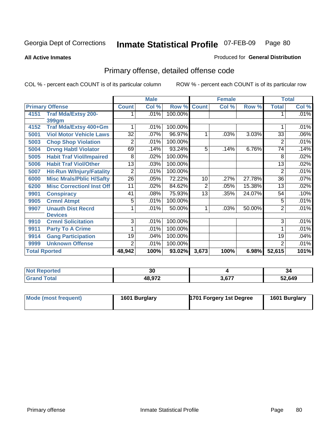**All Active Inmates**

### Produced for **General Distribution**

# Primary offense, detailed offense code

|                      |                                  | <b>Male</b>     |       |         |              | <b>Female</b> |        | <b>Total</b>    |       |
|----------------------|----------------------------------|-----------------|-------|---------|--------------|---------------|--------|-----------------|-------|
|                      | <b>Primary Offense</b>           | <b>Count</b>    | Col % | Row %   | <b>Count</b> | Col %         | Row %  | <b>Total</b>    | Col % |
| 4151                 | <b>Traf Mda/Extsy 200-</b>       |                 | .01%  | 100.00% |              |               |        |                 | .01%  |
|                      | 399gm                            |                 |       |         |              |               |        |                 |       |
| 4152                 | Traf Mda/Extsy 400+Gm            |                 | .01%  | 100.00% |              |               |        |                 | .01%  |
| 5001                 | <b>Viol Motor Vehicle Laws</b>   | $\overline{32}$ | .07%  | 96.97%  | 1            | .03%          | 3.03%  | 33              | .06%  |
| 5003                 | <b>Chop Shop Violation</b>       | 2               | .01%  | 100.00% |              |               |        | $\overline{2}$  | .01%  |
| 5004                 | <b>Drvng Habtl Violator</b>      | 69              | .14%  | 93.24%  | 5            | .14%          | 6.76%  | $\overline{74}$ | .14%  |
| 5005                 | <b>Habit Traf Viol/Impaired</b>  | 8               | .02%  | 100.00% |              |               |        | 8               | .02%  |
| 5006                 | <b>Habit Traf Viol/Other</b>     | 13              | .03%  | 100.00% |              |               |        | 13              | .02%  |
| 5007                 | <b>Hit-Run W/Injury/Fatality</b> | $\overline{2}$  | .01%  | 100.00% |              |               |        | $\overline{2}$  | .01%  |
| 6000                 | <b>Misc Mrals/Pblic H/Safty</b>  | $\overline{26}$ | .05%  | 72.22%  | 10           | .27%          | 27.78% | 36              | .07%  |
| 6200                 | <b>Misc CorrectionI Inst Off</b> | 11              | .02%  | 84.62%  | 2            | .05%          | 15.38% | 13              | .02%  |
| 9901                 | <b>Conspiracy</b>                | 41              | .08%  | 75.93%  | 13           | .35%          | 24.07% | 54              | .10%  |
| 9905                 | <b>Crmnl Atmpt</b>               | 5               | .01%  | 100.00% |              |               |        | 5               | .01%  |
| 9907                 | <b>Unauth Dist Recrd</b>         |                 | .01%  | 50.00%  | 1            | .03%          | 50.00% | 2               | .01%  |
|                      | <b>Devices</b>                   |                 |       |         |              |               |        |                 |       |
| 9910                 | <b>Crmnl Solicitation</b>        | $\overline{3}$  | .01%  | 100.00% |              |               |        | 3               | .01%  |
| 9911                 | <b>Party To A Crime</b>          |                 | .01%  | 100.00% |              |               |        |                 | .01%  |
| 9914                 | <b>Gang Participation</b>        | 19              | .04%  | 100.00% |              |               |        | 19              | .04%  |
| 9999                 | <b>Unknown Offense</b>           | 2               | .01%  | 100.00% |              |               |        | $\overline{2}$  | .01%  |
| <b>Total Rported</b> |                                  | 48,942          | 100%  | 93.02%  | 3,673        | 100%          | 6.98%  | 52,615          | 101%  |

| <b>Not Reported</b> | 30            |       | 34     |
|---------------------|---------------|-------|--------|
| Total<br>' Gran     | <b>48 972</b> | 3,677 | 52,649 |

| Mode (most frequent) | 1601 Burglary | 1701 Forgery 1st Degree | 1601 Burglary |
|----------------------|---------------|-------------------------|---------------|
|                      |               |                         |               |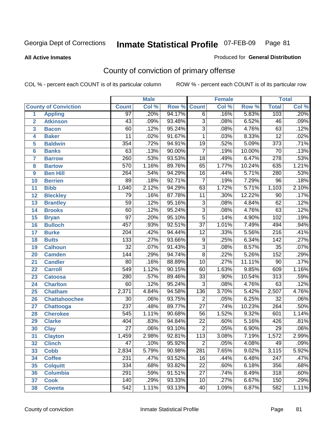**All Active Inmates**

#### Produced for **General Distribution**

# County of conviction of primary offense

|                         |                             |                  | <b>Male</b> |        | Female          |       |        | <b>Total</b>     |         |
|-------------------------|-----------------------------|------------------|-------------|--------|-----------------|-------|--------|------------------|---------|
|                         | <b>County of Conviction</b> | <b>Count</b>     | Col %       | Row %  | <b>Count</b>    | Col % | Row %  | <b>Total</b>     | Col %   |
| 1                       | <b>Appling</b>              | $\overline{97}$  | .20%        | 94.17% | $\overline{6}$  | .16%  | 5.83%  | 103              | .20%    |
| $\overline{2}$          | <b>Atkinson</b>             | $\overline{43}$  | .09%        | 93.48% | $\overline{3}$  | .08%  | 6.52%  | 46               | .09%    |
| $\overline{\mathbf{3}}$ | <b>Bacon</b>                | 60               | .12%        | 95.24% | $\overline{3}$  | .08%  | 4.76%  | 63               | .12%    |
| 4                       | <b>Baker</b>                | $\overline{11}$  | .02%        | 91.67% | 1               | .03%  | 8.33%  | $\overline{12}$  | .02%    |
| 5                       | <b>Baldwin</b>              | 354              | .72%        | 94.91% | $\overline{19}$ | .52%  | 5.09%  | $\overline{373}$ | .71%    |
| 6                       | <b>Banks</b>                | 63               | .13%        | 90.00% | $\overline{7}$  | .19%  | 10.00% | $\overline{70}$  | .13%    |
| 7                       | <b>Barrow</b>               | 260              | .53%        | 93.53% | $\overline{18}$ | .49%  | 6.47%  | 278              | .53%    |
| 8                       | <b>Bartow</b>               | $\overline{570}$ | 1.16%       | 89.76% | 65              | 1.77% | 10.24% | 635              | 1.21%   |
| 9                       | <b>Ben Hill</b>             | 264              | .54%        | 94.29% | $\overline{16}$ | .44%  | 5.71%  | 280              | .53%    |
| 10                      | <b>Berrien</b>              | 89               | .18%        | 92.71% | $\overline{7}$  | .19%  | 7.29%  | $\overline{96}$  | .18%    |
| 11                      | <b>Bibb</b>                 | 1,040            | 2.12%       | 94.29% | 63              | 1.72% | 5.71%  | 1,103            | 2.10%   |
| 12                      | <b>Bleckley</b>             | 79               | .16%        | 87.78% | 11              | .30%  | 12.22% | 90               | .17%    |
| $\overline{13}$         | <b>Brantley</b>             | $\overline{59}$  | .12%        | 95.16% | $\overline{3}$  | .08%  | 4.84%  | 62               | .12%    |
| 14                      | <b>Brooks</b>               | $\overline{60}$  | .12%        | 95.24% | $\overline{3}$  | .08%  | 4.76%  | 63               | .12%    |
| 15                      | <b>Bryan</b>                | $\overline{97}$  | .20%        | 95.10% | $\overline{5}$  | .14%  | 4.90%  | 102              | .19%    |
| 16                      | <b>Bulloch</b>              | 457              | .93%        | 92.51% | $\overline{37}$ | 1.01% | 7.49%  | 494              | .94%    |
| 17                      | <b>Burke</b>                | $\overline{204}$ | .42%        | 94.44% | $\overline{12}$ | .33%  | 5.56%  | $\overline{216}$ | .41%    |
| 18                      | <b>Butts</b>                | 133              | .27%        | 93.66% | $\overline{9}$  | .25%  | 6.34%  | $\overline{142}$ | .27%    |
| 19                      | <b>Calhoun</b>              | $\overline{32}$  | .07%        | 91.43% | $\overline{3}$  | .08%  | 8.57%  | $\overline{35}$  | .07%    |
| 20                      | <b>Camden</b>               | 144              | .29%        | 94.74% | $\overline{8}$  | .22%  | 5.26%  | 152              | .29%    |
| 21                      | <b>Candler</b>              | $\overline{80}$  | .16%        | 88.89% | $\overline{10}$ | .27%  | 11.11% | $\overline{90}$  | .17%    |
| 22                      | <b>Carroll</b>              | 549              | 1.12%       | 90.15% | 60              | 1.63% | 9.85%  | 609              | 1.16%   |
| 23                      | <b>Catoosa</b>              | 280              | .57%        | 89.46% | $\overline{33}$ | .90%  | 10.54% | $\overline{313}$ | .59%    |
| 24                      | <b>Charlton</b>             | 60               | .12%        | 95.24% | $\overline{3}$  | .08%  | 4.76%  | 63               | .12%    |
| 25                      | <b>Chatham</b>              | 2,371            | 4.84%       | 94.58% | 136             | 3.70% | 5.42%  | 2,507            | 4.76%   |
| 26                      | <b>Chattahoochee</b>        | 30               | .06%        | 93.75% | $\overline{2}$  | .05%  | 6.25%  | $\overline{32}$  | .06%    |
| 27                      | <b>Chattooga</b>            | $\overline{237}$ | .48%        | 89.77% | $\overline{27}$ | .74%  | 10.23% | 264              | .50%    |
| 28                      | <b>Cherokee</b>             | $\overline{545}$ | 1.11%       | 90.68% | $\overline{56}$ | 1.52% | 9.32%  | 601              | 1.14%   |
| 29                      | <b>Clarke</b>               | 404              | .83%        | 94.84% | $\overline{22}$ | .60%  | 5.16%  | 426              | .81%    |
| 30                      | <b>Clay</b>                 | $\overline{27}$  | .06%        | 93.10% | $\overline{2}$  | .05%  | 6.90%  | $\overline{29}$  | .06%    |
| 31                      | <b>Clayton</b>              | 1,459            | 2.98%       | 92.81% | 113             | 3.08% | 7.19%  | 1,572            | 2.99%   |
| 32                      | <b>Clinch</b>               | 47               | .10%        | 95.92% | 2               | .05%  | 4.08%  | 49               | $.09\%$ |
| 33                      | <b>Cobb</b>                 | 2,834            | 5.79%       | 90.98% | 281             | 7.65% | 9.02%  | 3,115            | 5.92%   |
| 34                      | <b>Coffee</b>               | 231              | .47%        | 93.52% | 16              | .44%  | 6.48%  | 247              | .47%    |
| 35                      | <b>Colquitt</b>             | 334              | .68%        | 93.82% | 22              | .60%  | 6.18%  | 356              | .68%    |
| 36                      | <b>Columbia</b>             | 291              | .59%        | 91.51% | 27              | .74%  | 8.49%  | 318              | .60%    |
| 37                      | <b>Cook</b>                 | 140              | .29%        | 93.33% | 10              | .27%  | 6.67%  | 150              | .29%    |
| 38                      | <b>Coweta</b>               | 542              | 1.11%       | 93.13% | 40              | 1.09% | 6.87%  | 582              | 1.11%   |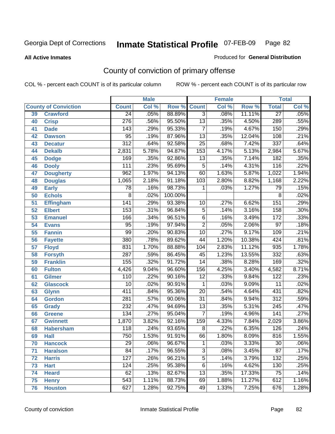**All Active Inmates**

### Produced for **General Distribution**

# County of conviction of primary offense

|                 |                             |                  | <b>Male</b> |         |                  | <b>Female</b> |        |                  | <b>Total</b> |
|-----------------|-----------------------------|------------------|-------------|---------|------------------|---------------|--------|------------------|--------------|
|                 | <b>County of Conviction</b> | <b>Count</b>     | Col %       | Row %   | <b>Count</b>     | Col %         | Row %  | <b>Total</b>     | Col %        |
| 39              | <b>Crawford</b>             | $\overline{24}$  | .05%        | 88.89%  | $\overline{3}$   | .08%          | 11.11% | $\overline{27}$  | .05%         |
| 40              | <b>Crisp</b>                | $\overline{276}$ | .56%        | 95.50%  | $\overline{13}$  | .35%          | 4.50%  | 289              | .55%         |
| 41              | <b>Dade</b>                 | 143              | .29%        | 95.33%  | $\overline{7}$   | .19%          | 4.67%  | 150              | .29%         |
| 42              | <b>Dawson</b>               | $\overline{95}$  | .19%        | 87.96%  | 13               | .35%          | 12.04% | 108              | .21%         |
| 43              | <b>Decatur</b>              | $\overline{312}$ | .64%        | 92.58%  | $\overline{25}$  | .68%          | 7.42%  | $\overline{337}$ | .64%         |
| 44              | <b>Dekalb</b>               | 2,831            | 5.78%       | 94.87%  | $\overline{153}$ | 4.17%         | 5.13%  | 2,984            | 5.67%        |
| 45              | <b>Dodge</b>                | 169              | .35%        | 92.86%  | $\overline{13}$  | .35%          | 7.14%  | 182              | .35%         |
| 46              | <b>Dooly</b>                | 111              | .23%        | 95.69%  | 5                | .14%          | 4.31%  | $\overline{116}$ | .22%         |
| 47              | <b>Dougherty</b>            | 962              | 1.97%       | 94.13%  | 60               | 1.63%         | 5.87%  | 1,022            | 1.94%        |
| 48              | <b>Douglas</b>              | 1,065            | 2.18%       | 91.18%  | 103              | 2.80%         | 8.82%  | 1,168            | 2.22%        |
| 49              | <b>Early</b>                | 78               | .16%        | 98.73%  | 1                | .03%          | 1.27%  | 79               | .15%         |
| 50              | <b>Echols</b>               | $\overline{8}$   | .02%        | 100.00% |                  |               |        | 8                | .02%         |
| $\overline{51}$ | <b>Effingham</b>            | $\overline{141}$ | .29%        | 93.38%  | 10               | .27%          | 6.62%  | 151              | .29%         |
| 52              | <b>Elbert</b>               | 153              | .31%        | 96.84%  | $\overline{5}$   | .14%          | 3.16%  | 158              | .30%         |
| 53              | <b>Emanuel</b>              | 166              | .34%        | 96.51%  | $\overline{6}$   | .16%          | 3.49%  | 172              | .33%         |
| 54              | <b>Evans</b>                | 95               | .19%        | 97.94%  | $\overline{2}$   | .05%          | 2.06%  | $\overline{97}$  | .18%         |
| 55              | <b>Fannin</b>               | 99               | .20%        | 90.83%  | 10               | .27%          | 9.17%  | 109              | .21%         |
| 56              | <b>Fayette</b>              | 380              | .78%        | 89.62%  | 44               | 1.20%         | 10.38% | 424              | .81%         |
| 57              | <b>Floyd</b>                | 831              | 1.70%       | 88.88%  | 104              | 2.83%         | 11.12% | 935              | 1.78%        |
| 58              | <b>Forsyth</b>              | 287              | .59%        | 86.45%  | 45               | 1.23%         | 13.55% | 332              | .63%         |
| 59              | <b>Franklin</b>             | 155              | .32%        | 91.72%  | $\overline{14}$  | .38%          | 8.28%  | 169              | .32%         |
| 60              | <b>Fulton</b>               | 4,426            | 9.04%       | 96.60%  | 156              | 4.25%         | 3.40%  | 4,582            | 8.71%        |
| 61              | <b>Gilmer</b>               | 110              | .22%        | 90.16%  | $\overline{12}$  | .33%          | 9.84%  | $\overline{122}$ | .23%         |
| 62              | <b>Glascock</b>             | 10               | .02%        | 90.91%  | $\mathbf 1$      | .03%          | 9.09%  | $\overline{11}$  | .02%         |
| 63              | <b>Glynn</b>                | 411              | .84%        | 95.36%  | $\overline{20}$  | .54%          | 4.64%  | 431              | .82%         |
| 64              | <b>Gordon</b>               | 281              | .57%        | 90.06%  | $\overline{31}$  | .84%          | 9.94%  | $\overline{312}$ | .59%         |
| 65              | <b>Grady</b>                | 232              | .47%        | 94.69%  | $\overline{13}$  | .35%          | 5.31%  | $\overline{245}$ | .47%         |
| 66              | <b>Greene</b>               | 134              | .27%        | 95.04%  | $\overline{7}$   | .19%          | 4.96%  | $\overline{141}$ | .27%         |
| 67              | <b>Gwinnett</b>             | 1,870            | 3.82%       | 92.16%  | 159              | 4.33%         | 7.84%  | 2,029            | 3.86%        |
| 68              | <b>Habersham</b>            | 118              | .24%        | 93.65%  | 8                | .22%          | 6.35%  | 126              | .24%         |
| 69              | <b>Hall</b>                 | 750              | 1.53%       | 91.91%  | 66               | 1.80%         | 8.09%  | 816              | 1.55%        |
| 70              | <b>Hancock</b>              | 29               | .06%        | 96.67%  | 1                | .03%          | 3.33%  | 30               | .06%         |
| 71              | <b>Haralson</b>             | 84               | .17%        | 96.55%  | $\overline{3}$   | .08%          | 3.45%  | $\overline{87}$  | .17%         |
| 72              | <b>Harris</b>               | 127              | .26%        | 96.21%  | $\overline{5}$   | .14%          | 3.79%  | 132              | .25%         |
| 73              | <b>Hart</b>                 | 124              | .25%        | 95.38%  | $\overline{6}$   | .16%          | 4.62%  | 130              | .25%         |
| 74              | <b>Heard</b>                | 62               | .13%        | 82.67%  | 13               | .35%          | 17.33% | 75               | .14%         |
| 75              | <b>Henry</b>                | 543              | 1.11%       | 88.73%  | 69               | 1.88%         | 11.27% | 612              | 1.16%        |
| 76              | <b>Houston</b>              | 627              | 1.28%       | 92.75%  | 49               | 1.33%         | 7.25%  | 676              | 1.28%        |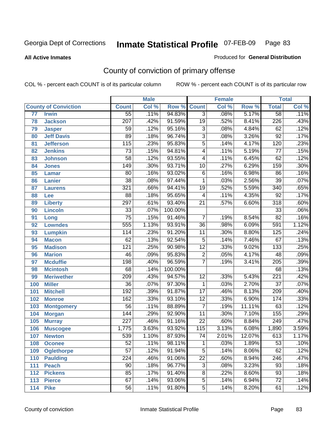**All Active Inmates**

### Produced for **General Distribution**

# County of conviction of primary offense

|     |                             |                  | <b>Male</b> |         |                          | <b>Female</b> |        |                  | <b>Total</b> |
|-----|-----------------------------|------------------|-------------|---------|--------------------------|---------------|--------|------------------|--------------|
|     | <b>County of Conviction</b> | <b>Count</b>     | Col %       | Row %   | <b>Count</b>             | Col %         | Row %  | <b>Total</b>     | Col %        |
| 77  | <b>Irwin</b>                | $\overline{55}$  | .11%        | 94.83%  | $\overline{3}$           | .08%          | 5.17%  | $\overline{58}$  | .11%         |
| 78  | <b>Jackson</b>              | 207              | .42%        | 91.59%  | $\overline{19}$          | .52%          | 8.41%  | $\overline{226}$ | .43%         |
| 79  | <b>Jasper</b>               | 59               | .12%        | 95.16%  | $\overline{3}$           | .08%          | 4.84%  | 62               | .12%         |
| 80  | <b>Jeff Davis</b>           | 89               | .18%        | 96.74%  | $\overline{3}$           | .08%          | 3.26%  | $\overline{92}$  | .17%         |
| 81  | <b>Jefferson</b>            | $\overline{115}$ | .23%        | 95.83%  | $\overline{5}$           | .14%          | 4.17%  | $\overline{120}$ | .23%         |
| 82  | <b>Jenkins</b>              | $\overline{73}$  | .15%        | 94.81%  | $\overline{\mathbf{4}}$  | .11%          | 5.19%  | $\overline{77}$  | .15%         |
| 83  | <b>Johnson</b>              | $\overline{58}$  | .12%        | 93.55%  | $\overline{\mathcal{A}}$ | .11%          | 6.45%  | 62               | .12%         |
| 84  | <b>Jones</b>                | 149              | .30%        | 93.71%  | 10                       | .27%          | 6.29%  | $\overline{159}$ | .30%         |
| 85  | <b>Lamar</b>                | 80               | .16%        | 93.02%  | $\overline{6}$           | .16%          | 6.98%  | 86               | .16%         |
| 86  | <b>Lanier</b>               | $\overline{38}$  | .08%        | 97.44%  | 1                        | .03%          | 2.56%  | $\overline{39}$  | .07%         |
| 87  | <b>Laurens</b>              | 321              | .66%        | 94.41%  | 19                       | .52%          | 5.59%  | 340              | .65%         |
| 88  | Lee                         | $\overline{88}$  | .18%        | 95.65%  | 4                        | .11%          | 4.35%  | $\overline{92}$  | .17%         |
| 89  | <b>Liberty</b>              | 297              | .61%        | 93.40%  | $\overline{21}$          | .57%          | 6.60%  | $\overline{318}$ | .60%         |
| 90  | <b>Lincoln</b>              | $\overline{33}$  | .07%        | 100.00% |                          |               |        | $\overline{33}$  | .06%         |
| 91  | Long                        | $\overline{75}$  | .15%        | 91.46%  | $\overline{7}$           | .19%          | 8.54%  | $\overline{82}$  | .16%         |
| 92  | <b>Lowndes</b>              | 555              | 1.13%       | 93.91%  | 36                       | .98%          | 6.09%  | 591              | 1.12%        |
| 93  | <b>Lumpkin</b>              | 114              | .23%        | 91.20%  | $\overline{11}$          | .30%          | 8.80%  | 125              | .24%         |
| 94  | <b>Macon</b>                | 62               | .13%        | 92.54%  | $\overline{5}$           | .14%          | 7.46%  | 67               | .13%         |
| 95  | <b>Madison</b>              | $\overline{121}$ | .25%        | 90.98%  | $\overline{12}$          | .33%          | 9.02%  | $\overline{133}$ | .25%         |
| 96  | <b>Marion</b>               | 46               | .09%        | 95.83%  | $\overline{2}$           | .05%          | 4.17%  | 48               | .09%         |
| 97  | <b>Mcduffie</b>             | 198              | .40%        | 96.59%  | $\overline{7}$           | .19%          | 3.41%  | $\overline{205}$ | .39%         |
| 98  | <b>Mcintosh</b>             | 68               | .14%        | 100.00% |                          |               |        | 68               | .13%         |
| 99  | <b>Meriwether</b>           | 209              | .43%        | 94.57%  | $\overline{12}$          | .33%          | 5.43%  | $\overline{221}$ | .42%         |
| 100 | <b>Miller</b>               | $\overline{36}$  | .07%        | 97.30%  | 1                        | .03%          | 2.70%  | $\overline{37}$  | .07%         |
| 101 | <b>Mitchell</b>             | $\overline{192}$ | .39%        | 91.87%  | $\overline{17}$          | .46%          | 8.13%  | $\overline{209}$ | .40%         |
| 102 | <b>Monroe</b>               | 162              | .33%        | 93.10%  | $\overline{12}$          | .33%          | 6.90%  | 174              | .33%         |
| 103 | <b>Montgomery</b>           | $\overline{56}$  | .11%        | 88.89%  | $\overline{7}$           | .19%          | 11.11% | 63               | .12%         |
| 104 | <b>Morgan</b>               | 144              | .29%        | 92.90%  | 11                       | .30%          | 7.10%  | 155              | .29%         |
| 105 | <b>Murray</b>               | 227              | .46%        | 91.16%  | $\overline{22}$          | .60%          | 8.84%  | 249              | .47%         |
| 106 | <b>Muscogee</b>             | 1,775            | 3.63%       | 93.92%  | 115                      | 3.13%         | 6.08%  | 1,890            | 3.59%        |
| 107 | <b>Newton</b>               | 539              | 1.10%       | 87.93%  | $\overline{74}$          | 2.01%         | 12.07% | 613              | 1.17%        |
| 108 | <b>Oconee</b>               | 52               | .11%        | 98.11%  | 1                        | .03%          | 1.89%  | 53               | .10%         |
| 109 | <b>Oglethorpe</b>           | $\overline{57}$  | .12%        | 91.94%  | $\overline{5}$           | .14%          | 8.06%  | $\overline{62}$  | .12%         |
| 110 | <b>Paulding</b>             | $\overline{224}$ | .46%        | 91.06%  | $\overline{22}$          | .60%          | 8.94%  | $\overline{246}$ | .47%         |
| 111 | <b>Peach</b>                | $\overline{90}$  | .18%        | 96.77%  | $\overline{3}$           | .08%          | 3.23%  | 93               | .18%         |
| 112 | <b>Pickens</b>              | 85               | .17%        | 91.40%  | 8                        | .22%          | 8.60%  | 93               | .18%         |
| 113 | <b>Pierce</b>               | 67               | .14%        | 93.06%  | $\overline{5}$           | .14%          | 6.94%  | $\overline{72}$  | .14%         |
| 114 | <b>Pike</b>                 | 56               | .11%        | 91.80%  | $\overline{5}$           | .14%          | 8.20%  | 61               | .12%         |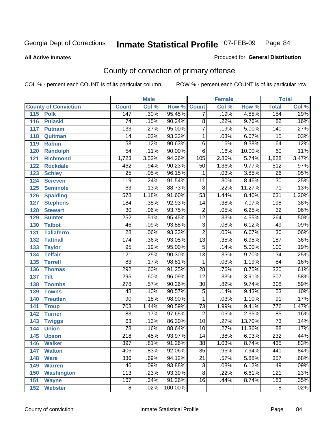**All Active Inmates**

### Produced for **General Distribution**

# County of conviction of primary offense

| <b>Male</b>                 |                  | <b>Female</b> |         |                 | <b>Total</b> |        |                  |       |
|-----------------------------|------------------|---------------|---------|-----------------|--------------|--------|------------------|-------|
| <b>County of Conviction</b> | <b>Count</b>     | Col %         | Row %   | <b>Count</b>    | Col %        | Row %  | <b>Total</b>     | Col % |
| 115<br><b>Polk</b>          | 147              | .30%          | 95.45%  | $\overline{7}$  | .19%         | 4.55%  | 154              | .29%  |
| 116<br><b>Pulaski</b>       | 74               | .15%          | 90.24%  | $\overline{8}$  | .22%         | 9.76%  | $\overline{82}$  | .16%  |
| 117<br><b>Putnam</b>        | 133              | .27%          | 95.00%  | 7               | .19%         | 5.00%  | 140              | .27%  |
| 118<br>Quitman              | 14               | .03%          | 93.33%  | 1               | .03%         | 6.67%  | $\overline{15}$  | .03%  |
| 119<br><b>Rabun</b>         | $\overline{58}$  | .12%          | 90.63%  | $\overline{6}$  | .16%         | 9.38%  | 64               | .12%  |
| 120<br><b>Randolph</b>      | $\overline{54}$  | .11%          | 90.00%  | $\overline{6}$  | .16%         | 10.00% | 60               | .11%  |
| 121<br><b>Richmond</b>      | 1,723            | 3.52%         | 94.26%  | 105             | 2.86%        | 5.74%  | 1,828            | 3.47% |
| 122<br><b>Rockdale</b>      | 462              | .94%          | 90.23%  | 50              | 1.36%        | 9.77%  | $\overline{512}$ | .97%  |
| 123<br><b>Schley</b>        | $\overline{25}$  | .05%          | 96.15%  | 1               | .03%         | 3.85%  | $\overline{26}$  | .05%  |
| 124<br><b>Screven</b>       | 119              | .24%          | 91.54%  | 11              | .30%         | 8.46%  | 130              | .25%  |
| <b>Seminole</b><br>125      | 63               | .13%          | 88.73%  | 8               | .22%         | 11.27% | $\overline{71}$  | .13%  |
| 126<br><b>Spalding</b>      | $\overline{578}$ | 1.18%         | 91.60%  | $\overline{53}$ | 1.44%        | 8.40%  | 631              | 1.20% |
| 127<br><b>Stephens</b>      | 184              | .38%          | 92.93%  | $\overline{14}$ | .38%         | 7.07%  | 198              | .38%  |
| 128<br><b>Stewart</b>       | $\overline{30}$  | .06%          | 93.75%  | $\overline{2}$  | .05%         | 6.25%  | $\overline{32}$  | .06%  |
| 129<br><b>Sumter</b>        | $\overline{252}$ | .51%          | 95.45%  | $\overline{12}$ | .33%         | 4.55%  | 264              | .50%  |
| <b>Talbot</b><br>130        | 46               | .09%          | 93.88%  | $\overline{3}$  | .08%         | 6.12%  | 49               | .09%  |
| 131<br><b>Taliaferro</b>    | $\overline{28}$  | .06%          | 93.33%  | $\overline{2}$  | .05%         | 6.67%  | $\overline{30}$  | .06%  |
| <b>Tattnall</b><br>132      | 174              | .36%          | 93.05%  | $\overline{13}$ | .35%         | 6.95%  | 187              | .36%  |
| 133<br><b>Taylor</b>        | 95               | .19%          | 95.00%  | $\overline{5}$  | .14%         | 5.00%  | 100              | .19%  |
| <b>Telfair</b><br>134       | $\overline{121}$ | .25%          | 90.30%  | $\overline{13}$ | .35%         | 9.70%  | 134              | .25%  |
| 135<br><b>Terrell</b>       | 83               | .17%          | 98.81%  | $\mathbf{1}$    | .03%         | 1.19%  | $\overline{84}$  | .16%  |
| 136<br><b>Thomas</b>        | 292              | .60%          | 91.25%  | $\overline{28}$ | .76%         | 8.75%  | 320              | .61%  |
| 137<br><b>Tift</b>          | 295              | .60%          | 96.09%  | $\overline{12}$ | .33%         | 3.91%  | $\overline{307}$ | .58%  |
| <b>Toombs</b><br>138        | $\overline{278}$ | .57%          | 90.26%  | 30              | .82%         | 9.74%  | 308              | .59%  |
| 139<br><b>Towns</b>         | 48               | .10%          | 90.57%  | $\overline{5}$  | .14%         | 9.43%  | $\overline{53}$  | .10%  |
| <b>Treutlen</b><br>140      | 90               | .18%          | 98.90%  | 1               | .03%         | 1.10%  | 91               | .17%  |
| 141<br><b>Troup</b>         | $\overline{703}$ | 1.44%         | 90.59%  | $\overline{73}$ | 1.99%        | 9.41%  | 776              | 1.47% |
| 142<br><b>Turner</b>        | 83               | .17%          | 97.65%  | $\overline{2}$  | .05%         | 2.35%  | 85               | .16%  |
| 143<br><b>Twiggs</b>        | 63               | .13%          | 86.30%  | 10              | .27%         | 13.70% | $\overline{73}$  | .14%  |
| 144<br><b>Union</b>         | $\overline{78}$  | .16%          | 88.64%  | $\overline{10}$ | .27%         | 11.36% | $\overline{88}$  | .17%  |
| 145<br><b>Upson</b>         | $\overline{218}$ | .45%          | 93.97%  | 14              | .38%         | 6.03%  | 232              | .44%  |
| 146<br><b>Walker</b>        | 397              | .81%          | 91.26%  | 38              | 1.03%        | 8.74%  | 435              | .83%  |
| 147<br><b>Walton</b>        | 406              | .83%          | 92.06%  | $\overline{35}$ | .95%         | 7.94%  | 441              | .84%  |
| 148<br><b>Ware</b>          | 336              | .69%          | 94.12%  | $\overline{21}$ | .57%         | 5.88%  | 357              | .68%  |
| <b>Warren</b><br>149        | 46               | .09%          | 93.88%  | 3               | .08%         | 6.12%  | 49               | .09%  |
| <b>Washington</b><br>150    | 113              | .23%          | 93.39%  | 8               | .22%         | 6.61%  | 121              | .23%  |
| 151<br><b>Wayne</b>         | 167              | .34%          | 91.26%  | 16              | .44%         | 8.74%  | 183              | .35%  |
| 152<br><b>Webster</b>       | 8                | .02%          | 100.00% |                 |              |        | 8                | .02%  |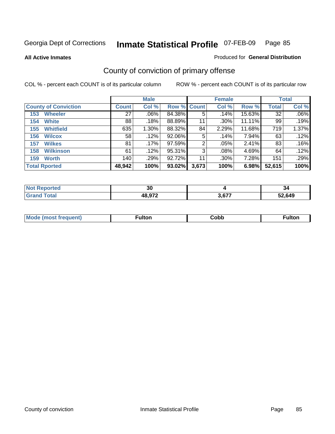**All Active Inmates**

### Produced for **General Distribution**

# County of conviction of primary offense

|                             |              | <b>Male</b> |             |       | <b>Female</b> |        |              | <b>Total</b> |  |
|-----------------------------|--------------|-------------|-------------|-------|---------------|--------|--------------|--------------|--|
| <b>County of Conviction</b> | <b>Count</b> | Col %       | Row % Count |       | Col %         | Row %  | <b>Total</b> | Col %        |  |
| <b>Wheeler</b><br>153       | 27           | $.06\%$     | 84.38%      | 5     | .14%          | 15.63% | 32           | $.06\%$      |  |
| <b>White</b><br>154         | 88           | .18%        | 88.89%      | 11    | $.30\%$       | 11.11% | 99           | .19%         |  |
| <b>Whitfield</b><br>155     | 635          | 1.30%       | 88.32%      | 84    | 2.29%         | 11.68% | 719          | 1.37%        |  |
| 156<br><b>Wilcox</b>        | 58           | .12%        | 92.06%      | 5     | .14%          | 7.94%  | 63           | .12%         |  |
| <b>Wilkes</b><br>157        | 81           | .17%        | 97.59%      | 2     | $.05\%$       | 2.41%  | 83           | .16%         |  |
| <b>Wilkinson</b><br>158     | 61           | .12%        | 95.31%      | 3     | $.08\%$       | 4.69%  | 64           | $.12\%$      |  |
| <b>Worth</b><br>159         | 140          | .29%        | $92.72\%$   | 11    | $.30\%$       | 7.28%  | 151          | .29%         |  |
| <b>Total Rported</b>        | 48,942       | 100%        | 93.02%      | 3,673 | 100%          | 6.98%  | 52,615       | 100%         |  |

| Reported<br>' NOT | or.<br>ึงเ |       | -94    |
|-------------------|------------|-------|--------|
| ⊺ota.             | 48,972     | 3,677 | 52,649 |

| M | -uitor. | Cobb | <u></u> |
|---|---------|------|---------|
|   |         |      |         |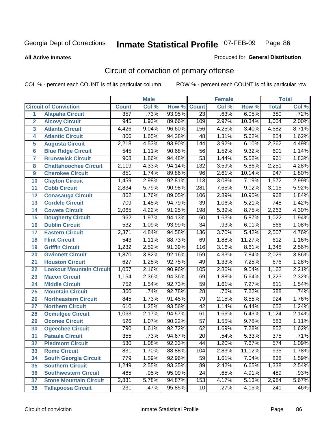**All Active Inmates**

#### Produced for **General Distribution**

# Circuit of conviction of primary offense

|                         |                                 |                  | <b>Male</b> |        |                  | <b>Female</b> |        |                  | <b>Total</b> |
|-------------------------|---------------------------------|------------------|-------------|--------|------------------|---------------|--------|------------------|--------------|
|                         | <b>Circuit of Conviction</b>    | <b>Count</b>     | Col %       | Row %  | <b>Count</b>     | Col %         | Row %  | <b>Total</b>     | Col %        |
| 1                       | <b>Alapaha Circuit</b>          | 357              | .73%        | 93.95% | $\overline{23}$  | .63%          | 6.05%  | 380              | .72%         |
| $\overline{2}$          | <b>Alcovy Circuit</b>           | $\overline{945}$ | 1.93%       | 89.66% | 109              | 2.97%         | 10.34% | 1,054            | 2.00%        |
| $\overline{\mathbf{3}}$ | <b>Atlanta Circuit</b>          | 4,426            | 9.04%       | 96.60% | $\overline{156}$ | 4.25%         | 3.40%  | 4,582            | 8.71%        |
| 4                       | <b>Atlantic Circuit</b>         | 806              | 1.65%       | 94.38% | 48               | 1.31%         | 5.62%  | 854              | 1.62%        |
| 5                       | <b>Augusta Circuit</b>          | 2,218            | 4.53%       | 93.90% | 144              | 3.92%         | 6.10%  | 2,362            | 4.49%        |
| $6\phantom{a}$          | <b>Blue Ridge Circuit</b>       | $\overline{545}$ | 1.11%       | 90.68% | $\overline{56}$  | 1.52%         | 9.32%  | 601              | 1.14%        |
| $\overline{\mathbf{7}}$ | <b>Brunswick Circuit</b>        | 908              | 1.86%       | 94.48% | $\overline{53}$  | 1.44%         | 5.52%  | 961              | 1.83%        |
| 8                       | <b>Chattahoochee Circuit</b>    | 2,119            | 4.33%       | 94.14% | $\overline{132}$ | 3.59%         | 5.86%  | 2,251            | 4.28%        |
| 9                       | <b>Cherokee Circuit</b>         | 851              | 1.74%       | 89.86% | 96               | 2.61%         | 10.14% | $\overline{947}$ | 1.80%        |
| 10                      | <b>Clayton Circuit</b>          | 1,459            | 2.98%       | 92.81% | $\overline{113}$ | 3.08%         | 7.19%  | 1,572            | 2.99%        |
| 11                      | <b>Cobb Circuit</b>             | 2,834            | 5.79%       | 90.98% | $\overline{281}$ | 7.65%         | 9.02%  | 3,115            | 5.92%        |
| 12                      | <b>Conasauga Circuit</b>        | 862              | 1.76%       | 89.05% | 106              | 2.89%         | 10.95% | 968              | 1.84%        |
| 13                      | <b>Cordele Circuit</b>          | 709              | 1.45%       | 94.79% | $\overline{39}$  | 1.06%         | 5.21%  | $\overline{748}$ | 1.42%        |
| 14                      | <b>Coweta Circuit</b>           | 2,065            | 4.22%       | 91.25% | 198              | 5.39%         | 8.75%  | 2,263            | 4.30%        |
| 15                      | <b>Dougherty Circuit</b>        | 962              | 1.97%       | 94.13% | 60               | 1.63%         | 5.87%  | 1,022            | 1.94%        |
| 16                      | <b>Dublin Circuit</b>           | $\overline{532}$ | 1.09%       | 93.99% | $\overline{34}$  | .93%          | 6.01%  | 566              | 1.08%        |
| 17                      | <b>Eastern Circuit</b>          | 2,371            | 4.84%       | 94.58% | 136              | 3.70%         | 5.42%  | 2,507            | 4.76%        |
| 18                      | <b>Flint Circuit</b>            | 543              | 1.11%       | 88.73% | 69               | 1.88%         | 11.27% | 612              | 1.16%        |
| 19                      | <b>Griffin Circuit</b>          | 1,232            | 2.52%       | 91.39% | 116              | 3.16%         | 8.61%  | 1,348            | 2.56%        |
| 20                      | <b>Gwinnett Circuit</b>         | 1,870            | 3.82%       | 92.16% | 159              | 4.33%         | 7.84%  | 2,029            | 3.86%        |
| 21                      | <b>Houston Circuit</b>          | 627              | 1.28%       | 92.75% | 49               | 1.33%         | 7.25%  | 676              | 1.28%        |
| $\overline{22}$         | <b>Lookout Mountain Circuit</b> | 1,057            | 2.16%       | 90.96% | 105              | 2.86%         | 9.04%  | 1,162            | 2.21%        |
| 23                      | <b>Macon Circuit</b>            | 1,154            | 2.36%       | 94.36% | 69               | 1.88%         | 5.64%  | 1,223            | 2.32%        |
| 24                      | <b>Middle Circuit</b>           | $\overline{752}$ | 1.54%       | 92.73% | $\overline{59}$  | 1.61%         | 7.27%  | 811              | 1.54%        |
| 25                      | <b>Mountain Circuit</b>         | 360              | .74%        | 92.78% | $\overline{28}$  | .76%          | 7.22%  | 388              | .74%         |
| 26                      | <b>Northeastern Circuit</b>     | 845              | 1.73%       | 91.45% | $\overline{79}$  | 2.15%         | 8.55%  | 924              | 1.76%        |
| 27                      | <b>Northern Circuit</b>         | $\overline{610}$ | 1.25%       | 93.56% | $\overline{42}$  | 1.14%         | 6.44%  | 652              | 1.24%        |
| 28                      | <b>Ocmulgee Circuit</b>         | 1,063            | 2.17%       | 94.57% | 61               | 1.66%         | 5.43%  | 1,124            | 2.14%        |
| 29                      | <b>Oconee Circuit</b>           | 526              | 1.07%       | 90.22% | $\overline{57}$  | 1.55%         | 9.78%  | 583              | 1.11%        |
| 30                      | <b>Ogeechee Circuit</b>         | 790              | 1.61%       | 92.72% | $\overline{62}$  | 1.69%         | 7.28%  | 852              | 1.62%        |
| $\overline{31}$         | <b>Pataula Circuit</b>          | 355              | .73%        | 94.67% | 20               | .54%          | 5.33%  | $\overline{375}$ | .71%         |
| 32                      | <b>Piedmont Circuit</b>         | 530              | 1.08%       | 92.33% | 44               | 1.20%         | 7.67%  | 574              | $1.09\%$     |
| 33                      | <b>Rome Circuit</b>             | 831              | 1.70%       | 88.88% | 104              | 2.83%         | 11.12% | 935              | 1.78%        |
| 34                      | <b>South Georgia Circuit</b>    | 779              | 1.59%       | 92.96% | $\overline{59}$  | 1.61%         | 7.04%  | 838              | 1.59%        |
| 35                      | <b>Southern Circuit</b>         | 1,249            | 2.55%       | 93.35% | 89               | 2.42%         | 6.65%  | 1,338            | 2.54%        |
| 36                      | <b>Southwestern Circuit</b>     | 465              | .95%        | 95.09% | 24               | .65%          | 4.91%  | 489              | .93%         |
| 37                      | <b>Stone Mountain Circuit</b>   | 2,831            | 5.78%       | 94.87% | 153              | 4.17%         | 5.13%  | 2,984            | 5.67%        |
| 38                      | <b>Tallapoosa Circuit</b>       | 231              | .47%        | 95.85% | 10               | .27%          | 4.15%  | $\overline{241}$ | .46%         |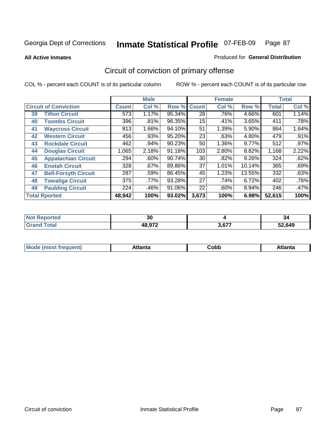**All Active Inmates**

### Produced for **General Distribution**

# Circuit of conviction of primary offense

|                      |                              |              | <b>Male</b> |        |              | <b>Female</b> |          |              | <b>Total</b> |  |
|----------------------|------------------------------|--------------|-------------|--------|--------------|---------------|----------|--------------|--------------|--|
|                      | <b>Circuit of Conviction</b> | <b>Count</b> | Col %       | Row %  | <b>Count</b> | Col %         | Row %    | <b>Total</b> | Col %        |  |
| 39                   | <b>Tifton Circuit</b>        | 573          | 1.17%       | 95.34% | 28           | .76%          | 4.66%    | 601          | 1.14%        |  |
| 40                   | <b>Toombs Circuit</b>        | 396          | .81%        | 96.35% | 15           | .41%          | 3.65%    | 411          | .78%         |  |
| 41                   | <b>Waycross Circuit</b>      | 813          | 1.66%       | 94.10% | 51           | 1.39%         | 5.90%    | 864          | 1.64%        |  |
| 42                   | <b>Western Circuit</b>       | 456          | .93%        | 95.20% | 23           | .63%          | 4.80%    | 479          | .91%         |  |
| 43                   | <b>Rockdale Circuit</b>      | 462          | .94%        | 90.23% | 50           | 1.36%         | 9.77%    | 512          | $.97\%$      |  |
| 44                   | <b>Douglas Circuit</b>       | 1,065        | 2.18%       | 91.18% | 103          | 2.80%         | 8.82%    | 1,168        | 2.22%        |  |
| 45                   | <b>Appalachian Circuit</b>   | 294          | $.60\%$     | 90.74% | 30           | $.82\%$       | $9.26\%$ | 324          | .62%         |  |
| 46                   | <b>Enotah Circuit</b>        | 328          | .67%        | 89.86% | 37           | 1.01%         | 10.14%   | 365          | .69%         |  |
| 47                   | <b>Bell-Forsyth Circuit</b>  | 287          | .59%        | 86.45% | 45           | 1.23%         | 13.55%   | 332          | .63%         |  |
| 48                   | <b>Towaliga Circuit</b>      | 375          | .77%        | 93.28% | 27           | .74%          | 6.72%    | 402          | .76%         |  |
| 49                   | <b>Paulding Circuit</b>      | 224          | .46%        | 91.06% | 22           | .60%          | 8.94%    | 246          | $.47\%$      |  |
| <b>Total Rported</b> |                              | 48,942       | 100%        | 93.02% | 3,673        | 100%          | 6.98%    | 52,615       | 100%         |  |

| N<br>тео | $\sim$<br>งบ |       | -34    |
|----------|--------------|-------|--------|
|          | 48.972       | 3,677 | 52,649 |

| M, | $+1 - - + -$<br>annu -<br>uu | ∶obb<br>- - - - - | .<br>чна<br>- --------- |
|----|------------------------------|-------------------|-------------------------|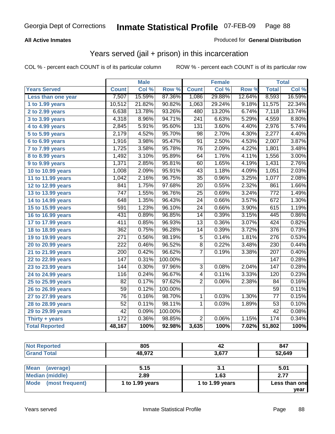### **All Active Inmates**

### Produced for **General Distribution**

## Years served (jail + prison) in this incarceration

|                              | <b>Male</b>      |        | <b>Female</b> |                 |        | <b>Total</b> |                  |        |
|------------------------------|------------------|--------|---------------|-----------------|--------|--------------|------------------|--------|
| <b>Years Served</b>          | <b>Count</b>     | Col %  | Row %         | <b>Count</b>    | Col %  | Row %        | <b>Total</b>     | Col %  |
| Less than one year           | 7,507            | 15.59% | 87.36%        | 1,086           | 29.88% | 12.64%       | 8,593            | 16.59% |
| 1 to 1.99 years              | 10,512           | 21.82% | 90.82%        | 1,063           | 29.24% | 9.18%        | 11,575           | 22.34% |
| 2 to 2.99 years              | 6,638            | 13.78% | 93.26%        | 480             | 13.20% | 6.74%        | 7,118            | 13.74% |
| $3$ to 3.99 years            | 4,318            | 8.96%  | 94.71%        | 241             | 6.63%  | 5.29%        | 4,559            | 8.80%  |
| 4 to 4.99 years              | 2,845            | 5.91%  | 95.60%        | 131             | 3.60%  | 4.40%        | 2,976            | 5.74%  |
| $\overline{5}$ to 5.99 years | 2,179            | 4.52%  | 95.70%        | 98              | 2.70%  | 4.30%        | 2,277            | 4.40%  |
| 6 to 6.99 years              | 1,916            | 3.98%  | 95.47%        | $\overline{91}$ | 2.50%  | 4.53%        | 2,007            | 3.87%  |
| 7 to 7.99 years              | 1,725            | 3.58%  | 95.78%        | $\overline{76}$ | 2.09%  | 4.22%        | 1,801            | 3.48%  |
| 8 to 8.99 years              | 1,492            | 3.10%  | 95.89%        | 64              | 1.76%  | 4.11%        | 1,556            | 3.00%  |
| 9 to 9.99 years              | 1,371            | 2.85%  | 95.81%        | 60              | 1.65%  | 4.19%        | 1,431            | 2.76%  |
| 10 to 10.99 years            | 1,008            | 2.09%  | 95.91%        | $\overline{43}$ | 1.18%  | 4.09%        | 1,051            | 2.03%  |
| 11 to 11.99 years            | 1,042            | 2.16%  | 96.75%        | $\overline{35}$ | 0.96%  | 3.25%        | 1,077            | 2.08%  |
| 12 to 12.99 years            | 841              | 1.75%  | 97.68%        | $\overline{20}$ | 0.55%  | 2.32%        | 861              | 1.66%  |
| 13 to 13.99 years            | 747              | 1.55%  | 96.76%        | $\overline{25}$ | 0.69%  | 3.24%        | 772              | 1.49%  |
| 14 to 14.99 years            | $\overline{648}$ | 1.35%  | 96.43%        | $\overline{24}$ | 0.66%  | 3.57%        | 672              | 1.30%  |
| 15 to 15.99 years            | $\overline{591}$ | 1.23%  | 96.10%        | $\overline{24}$ | 0.66%  | 3.90%        | 615              | 1.19%  |
| 16 to 16.99 years            | 431              | 0.89%  | 96.85%        | $\overline{14}$ | 0.39%  | 3.15%        | 445              | 0.86%  |
| 17 to 17.99 years            | 411              | 0.85%  | 96.93%        | $\overline{13}$ | 0.36%  | 3.07%        | 424              | 0.82%  |
| 18 to 18.99 years            | 362              | 0.75%  | 96.28%        | 14              | 0.39%  | 3.72%        | 376              | 0.73%  |
| 19 to 19.99 years            | 271              | 0.56%  | 98.19%        | $\overline{5}$  | 0.14%  | 1.81%        | $\overline{276}$ | 0.53%  |
| 20 to 20.99 years            | $\overline{222}$ | 0.46%  | 96.52%        | $\overline{8}$  | 0.22%  | 3.48%        | 230              | 0.44%  |
| 21 to 21.99 years            | $\overline{200}$ | 0.42%  | 96.62%        | $\overline{7}$  | 0.19%  | 3.38%        | 207              | 0.40%  |
| 22 to 22.99 years            | 147              | 0.31%  | 100.00%       |                 |        |              | 147              | 0.28%  |
| 23 to 23.99 years            | 144              | 0.30%  | 97.96%        | $\overline{3}$  | 0.08%  | 2.04%        | $\overline{147}$ | 0.28%  |
| 24 to 24.99 years            | 116              | 0.24%  | 96.67%        | $\overline{4}$  | 0.11%  | 3.33%        | 120              | 0.23%  |
| 25 to 25.99 years            | $\overline{82}$  | 0.17%  | 97.62%        | $\overline{2}$  | 0.06%  | 2.38%        | $\overline{84}$  | 0.16%  |
| 26 to 26.99 years            | 59               | 0.12%  | 100.00%       |                 |        |              | 59               | 0.11%  |
| 27 to 27.99 years            | $\overline{76}$  | 0.16%  | 98.70%        | $\mathbf{1}$    | 0.03%  | 1.30%        | $\overline{77}$  | 0.15%  |
| 28 to 28.99 years            | $\overline{52}$  | 0.11%  | 98.11%        | 1               | 0.03%  | 1.89%        | $\overline{53}$  | 0.10%  |
| 29 to 29.99 years            | $\overline{42}$  | 0.09%  | 100.00%       |                 |        |              | 42               | 0.08%  |
| Thirty + years               | $\overline{172}$ | 0.36%  | 98.85%        | $\overline{2}$  | 0.06%  | 1.15%        | 174              | 0.34%  |
| <b>Total Reported</b>        | 48,167           | 100%   | 92.98%        | 3,635           | 100%   | 7.02%        | 51,802           | 100%   |

| <b>Not Reported</b>            | 805             | 42              | 847           |
|--------------------------------|-----------------|-----------------|---------------|
| <b>Grand Total</b>             | 48,972          | 3,677           | 52,649        |
|                                |                 |                 |               |
| <b>Mean</b><br>(average)       | 5.15            | 3.1             | 5.01          |
| <b>Median (middle)</b>         | 2.89            | 1.63            | 2.77          |
| <b>Mode</b><br>(most frequent) | 1 to 1.99 years | 1 to 1.99 years | Less than one |
|                                |                 |                 | year          |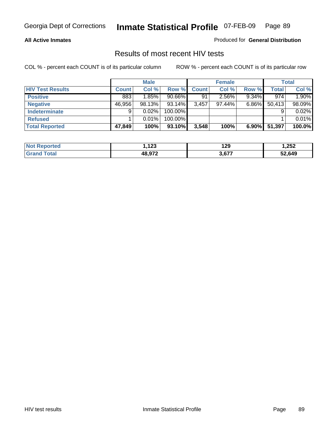### **All Active Inmates**

Produced for **General Distribution**

### Results of most recent HIV tests

|                         | <b>Male</b>  |        |         | <b>Female</b> | Total  |          |              |        |
|-------------------------|--------------|--------|---------|---------------|--------|----------|--------------|--------|
| <b>HIV Test Results</b> | <b>Count</b> | Col %  | Row %   | Count         | Col %  | Row %    | <b>Total</b> | Col %  |
| <b>Positive</b>         | 883          | 1.85%  | 90.66%  | 91            | 2.56%  | $9.34\%$ | 974          | 1.90%  |
| <b>Negative</b>         | 46,956       | 98.13% | 93.14%  | 3,457         | 97.44% | $6.86\%$ | 50,413       | 98.09% |
| <b>Indeterminate</b>    | 9            | 0.02%  | 100.00% |               |        |          |              | 0.02%  |
| <b>Refused</b>          |              | 0.01%  | 100.00% |               |        |          |              | 0.01%  |
| <b>Total Reported</b>   | 47,849       | 100%   | 93.10%  | 3,548         | 100%   | 6.90%    | 51,397       | 100.0% |

| <b>Not</b><br>المدحانين<br>rtea  | $\overline{a}$<br>. I LJ | 129   | 1,252  |
|----------------------------------|--------------------------|-------|--------|
| <b>otal</b><br>⊪Gra <sup>,</sup> | ,00070                   | 2.677 | 52,649 |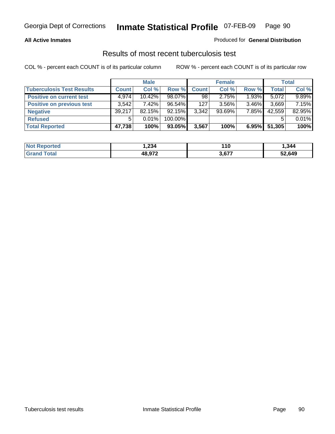### **All Active Inmates**

### Produced for **General Distribution**

### Results of most recent tuberculosis test

|                                  |              | <b>Male</b> |           |              | <b>Female</b> |          |              | <b>Total</b> |
|----------------------------------|--------------|-------------|-----------|--------------|---------------|----------|--------------|--------------|
| <b>Tuberculosis Test Results</b> | <b>Count</b> | Col %       | Row %     | <b>Count</b> | Col %         | Row %    | <b>Total</b> | Col %        |
| <b>Positive on current test</b>  | 4,974        | $10.42\%$   | 98.07%    | 98           | 2.75%         | $1.93\%$ | 5,072        | 9.89%        |
| <b>Positive on previous test</b> | 3,542        | 7.42%       | 96.54%    | 127          | $3.56\%$      | $3.46\%$ | 3,669        | 7.15%        |
| <b>Negative</b>                  | 39,217       | 82.15%      | $92.15\%$ | 3,342        | $93.69\%$     | $7.85\%$ | 42,559       | 82.95%       |
| <b>Refused</b>                   | 5            | $0.01\%$    | 100.00%   |              |               |          |              | 0.01%        |
| <b>Total Reported</b>            | 47,738       | 100%        | 93.05%    | 3,567        | 100%          | 6.95%    | 51,305       | 100%         |

| <b>Not</b><br><b>Reported</b> | .234   | 110   | ,344   |
|-------------------------------|--------|-------|--------|
| <b>Grand</b><br>⊤otar         | 48.972 | 3,677 | 52,649 |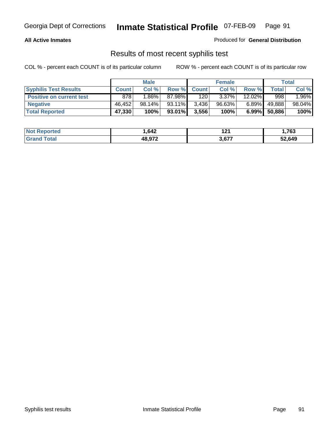### **All Active Inmates**

Produced for **General Distribution**

### Results of most recent syphilis test

|                                 | <b>Male</b>  |          |           | <b>Female</b> |           | Total    |             |        |
|---------------------------------|--------------|----------|-----------|---------------|-----------|----------|-------------|--------|
| <b>Syphilis Test Results</b>    | <b>Count</b> | Col %    | Row %     | <b>Count</b>  | Col %     | Row %    | $\tau$ otal | Col %  |
| <b>Positive on current test</b> | 878          | $1.86\%$ | 87.98%I   | 120           | $3.37\%$  | 12.02%   | 998         | 1.96%  |
| <b>Negative</b>                 | 46.452       | 98.14%   | $93.11\%$ | 3,436         | $96.63\%$ | $6.89\%$ | 49,888      | 98.04% |
| <b>Total Reported</b>           | 47,330       | 100%     | 93.01%    | 3,556         | 100%      | $6.99\%$ | 50,886      | 100%   |

| <b>Not Reported</b>   | 642. ا | 12 <sub>2</sub><br>14 I | 763,   |
|-----------------------|--------|-------------------------|--------|
| <b>Total</b><br>Grand | 48.972 | 3,677                   | 52,649 |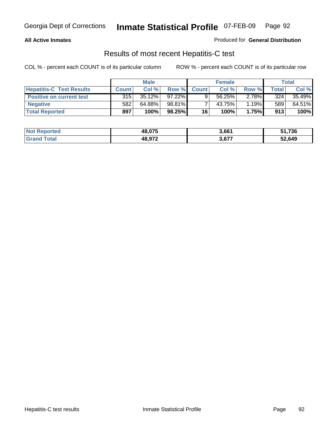### **All Active Inmates**

Produced for **General Distribution**

### Results of most recent Hepatitis-C test

|                                 | <b>Male</b>  |           |           | <b>Female</b> |        | Total |             |        |
|---------------------------------|--------------|-----------|-----------|---------------|--------|-------|-------------|--------|
| <b>Hepatitis-C Test Results</b> | <b>Count</b> | Col %     | Row %I    | <b>Count</b>  | Col %  | Row % | $\tau$ otal | Col %  |
| <b>Positive on current test</b> | 315          | $35.12\%$ | $97.22\%$ |               | 56.25% | 2.78% | 324         | 35.49% |
| <b>Negative</b>                 | 582          | 64.88%    | 98.81%    |               | 43.75% | 1.19% | 589         | 64.51% |
| <b>Total Reported</b>           | 897          | 100%      | 98.25%    | 16            | 100%   | 1.75% | 913         | 100%   |

| <b>Not Reported</b> | 48,075 | 3,661 | 51,736 |
|---------------------|--------|-------|--------|
| <b>Grand Total</b>  | 48.972 | 3,677 | 52,649 |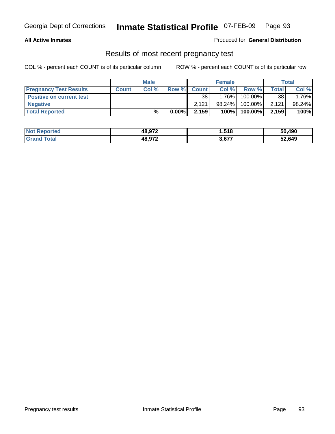### **All Active Inmates**

Produced for **General Distribution**

### Results of most recent pregnancy test

|                                 | <b>Male</b>  |       |          | <b>Female</b> |          |         | Total |         |
|---------------------------------|--------------|-------|----------|---------------|----------|---------|-------|---------|
| <b>Pregnancy Test Results</b>   | <b>Count</b> | Col % | Row %    | <b>Count</b>  | Col %    | Row %   | Total | Col %   |
| <b>Positive on current test</b> |              |       |          | 38            | $1.76\%$ | 100.00% | 38    | $.76\%$ |
| <b>Negative</b>                 |              |       |          | 2.121         | 98.24%   | 100.00% | 2,121 | 98.24%  |
| <b>Total Reported</b>           |              | %     | $0.00\%$ | 2,159         | 100%     | 100.00% | 2,159 | 100%    |

| <b>Not Reported</b> | 48.972 | 1,518 | 50,490 |
|---------------------|--------|-------|--------|
| <b>Grand Total</b>  | 48.972 | 3,677 | 52,649 |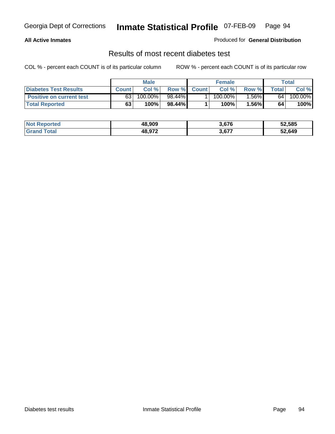### **All Active Inmates**

### Produced for **General Distribution**

### Results of most recent diabetes test

|                                 | <b>Male</b>  |         |           |              | <b>Female</b> |          | Total           |         |
|---------------------------------|--------------|---------|-----------|--------------|---------------|----------|-----------------|---------|
| <b>Diabetes Test Results</b>    | <b>Count</b> | Col %   | Row %I    | <b>Count</b> | Col %         | Row %    | Total           | Col %   |
| <b>Positive on current test</b> | 63           | 100.00% | $98.44\%$ |              | $100.00\%$    | $1.56\%$ | 64 <sub>1</sub> | 100.00% |
| <b>Total Reported</b>           | 63           | 100%    | 98.44%    |              | 100%          | 1.56%    | 64              | 100%    |

| <b>Not</b><br>Reported  | 48.909 | 3.676 | 52,585 |
|-------------------------|--------|-------|--------|
| <b>Total</b><br>' Grand | 48.972 | 3,677 | 52,649 |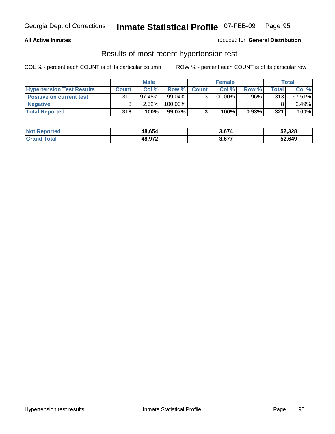### **All Active Inmates**

### Produced for **General Distribution**

### Results of most recent hypertension test

|                                  | <b>Male</b>  |           |         |              | <b>Female</b> |          | <b>Total</b> |           |
|----------------------------------|--------------|-----------|---------|--------------|---------------|----------|--------------|-----------|
| <b>Hypertension Test Results</b> | <b>Count</b> | Col %     | Row %   | <b>Count</b> | Col %         | Row %    | Total        | Col %     |
| <b>Positive on current test</b>  | 310          | $97.48\%$ | 99.04%  |              | 100.00%       | $0.96\%$ | 313          | $97.51\%$ |
| <b>Negative</b>                  |              | 2.52%     | 100.00% |              |               |          |              | $2.49\%$  |
| <b>Total Reported</b>            | 318          | 100%      | 99.07%  |              | 100%          | 0.93%    | 321          | 100%      |

| <b>Not Reported</b> | 48,654 | 3,674 | 52,328 |
|---------------------|--------|-------|--------|
| <b>Grand Total</b>  | 48,972 | 3,677 | 52,649 |